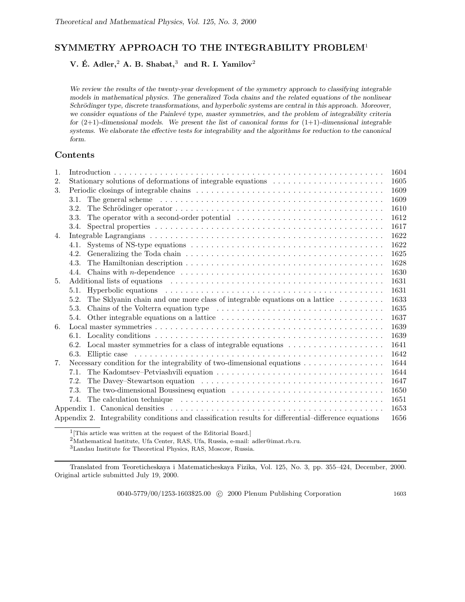# **SYMMETRY APPROACH TO THE INTEGRABILITY PROBLEM**<sup>1</sup>

**V. E. Adler, ´** <sup>2</sup> **A. B. Shabat,**<sup>3</sup> **and R. I. Yamilov**<sup>2</sup>

*We review the results of the twenty-year development of the symmetry approach to classifying integrable models in mathematical physics. The generalized Toda chains and the related equations of the nonlinear Schrödinger type, discrete transformations, and hyperbolic systems are central in this approach. Moreover,* we consider equations of the Painlevé type, master symmetries, and the problem of integrability criteria *for* (2+1)*-dimensional models. We present the list of canonical forms for* (1+1)*-dimensional integrable systems. We elaborate the effective tests for integrability and the algorithms for reduction to the canonical form.*

## **Contents**

| 1.                                                                                                            | 1604                                                                                                                                                                                                                           |      |  |  |  |  |
|---------------------------------------------------------------------------------------------------------------|--------------------------------------------------------------------------------------------------------------------------------------------------------------------------------------------------------------------------------|------|--|--|--|--|
| 2.                                                                                                            | Stationary solutions of deformations of integrable equations $\dots \dots \dots \dots \dots \dots \dots$<br>1605                                                                                                               |      |  |  |  |  |
| 3.                                                                                                            | 1609                                                                                                                                                                                                                           |      |  |  |  |  |
|                                                                                                               | The general scheme $\dots \dots \dots \dots \dots \dots \dots \dots \dots \dots \dots \dots \dots \dots \dots \dots \dots$<br>3.1.                                                                                             | 1609 |  |  |  |  |
|                                                                                                               | 3.2.                                                                                                                                                                                                                           | 1610 |  |  |  |  |
|                                                                                                               | The operator with a second-order potential $\ldots \ldots \ldots \ldots \ldots \ldots \ldots \ldots \ldots$<br>3.3.                                                                                                            | 1612 |  |  |  |  |
|                                                                                                               | 3.4.                                                                                                                                                                                                                           | 1617 |  |  |  |  |
| 4.                                                                                                            |                                                                                                                                                                                                                                | 1622 |  |  |  |  |
|                                                                                                               | Systems of NS-type equations $\dots \dots \dots \dots \dots \dots \dots \dots \dots \dots \dots \dots \dots \dots$<br>4.1.                                                                                                     | 1622 |  |  |  |  |
|                                                                                                               | 4.2.                                                                                                                                                                                                                           | 1625 |  |  |  |  |
|                                                                                                               | 4.3.                                                                                                                                                                                                                           | 1628 |  |  |  |  |
|                                                                                                               | Chains with <i>n</i> -dependence $\ldots \ldots \ldots \ldots \ldots \ldots \ldots \ldots \ldots \ldots \ldots \ldots \ldots$<br>4.4.                                                                                          | 1630 |  |  |  |  |
| 5.                                                                                                            | Additional lists of equations experiences in the set of the set of the set of the set of the set of the set of the set of the set of the set of the set of the set of the set of the set of the set of the set of the set of t | 1631 |  |  |  |  |
|                                                                                                               | 5.1.                                                                                                                                                                                                                           | 1631 |  |  |  |  |
|                                                                                                               | The Sklyanin chain and one more class of integrable equations on a lattice $\dots \dots \dots$<br>5.2.                                                                                                                         | 1633 |  |  |  |  |
|                                                                                                               | 5.3.                                                                                                                                                                                                                           | 1635 |  |  |  |  |
|                                                                                                               | 5.4.                                                                                                                                                                                                                           | 1637 |  |  |  |  |
| 6.                                                                                                            |                                                                                                                                                                                                                                | 1639 |  |  |  |  |
|                                                                                                               | 6.1.                                                                                                                                                                                                                           | 1639 |  |  |  |  |
|                                                                                                               | 6.2.                                                                                                                                                                                                                           | 1641 |  |  |  |  |
|                                                                                                               | 6.3.                                                                                                                                                                                                                           | 1642 |  |  |  |  |
| 7.                                                                                                            | Necessary condition for the integrability of two-dimensional equations $\dots \dots \dots \dots \dots$                                                                                                                         | 1644 |  |  |  |  |
|                                                                                                               | 7.1.                                                                                                                                                                                                                           | 1644 |  |  |  |  |
|                                                                                                               | 7.2.                                                                                                                                                                                                                           | 1647 |  |  |  |  |
|                                                                                                               | 7.3.                                                                                                                                                                                                                           | 1650 |  |  |  |  |
|                                                                                                               | 7.4.                                                                                                                                                                                                                           | 1651 |  |  |  |  |
|                                                                                                               |                                                                                                                                                                                                                                |      |  |  |  |  |
| Appendix 2. Integrability conditions and classification results for differential–difference equations<br>1656 |                                                                                                                                                                                                                                |      |  |  |  |  |
|                                                                                                               |                                                                                                                                                                                                                                |      |  |  |  |  |

 $1$ <sup>[This article was written at the request of the Editorial Board.]</sup>

 $^2$ Mathematical Institute, Ufa Center, RAS, Ufa, Russia, e-mail: adler@imat.rb.ru.

 $^3{\rm L}$ Institute for Theoretical Physics, RAS, Moscow, Russia.

Translated from Teoreticheskaya i Matematicheskaya Fizika, Vol. 125, No. 3, pp. 355–424, December, 2000. Original article submitted July 19, 2000.

0040-5779/00/1253-1603\$25.00 © 2000 Plenum Publishing Corporation 1603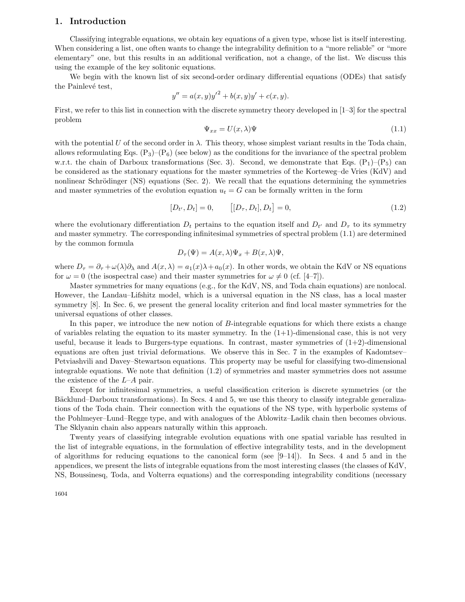## **1. Introduction**

Classifying integrable equations, we obtain key equations of a given type, whose list is itself interesting. When considering a list, one often wants to change the integrability definition to a "more reliable" or "more elementary" one, but this results in an additional verification, not a change, of the list. We discuss this using the example of the key solitonic equations.

We begin with the known list of six second-order ordinary differential equations (ODEs) that satisfy the Painlevé test,

$$
y'' = a(x, y)y'^{2} + b(x, y)y' + c(x, y).
$$

First, we refer to this list in connection with the discrete symmetry theory developed in [1–3] for the spectral problem

$$
\Psi_{xx} = U(x,\lambda)\Psi
$$
\n(1.1)

with the potential U of the second order in  $\lambda$ . This theory, whose simplest variant results in the Toda chain, allows reformulating Eqs.  $(P_3)$ – $(P_6)$  (see below) as the conditions for the invariance of the spectral problem w.r.t. the chain of Darboux transformations (Sec. 3). Second, we demonstrate that Eqs.  $(P_1)$ – $(P_5)$  can be considered as the stationary equations for the master symmetries of the Korteweg–de Vries (KdV) and nonlinear Schrödinger (NS) equations (Sec. 2). We recall that the equations determining the symmetries and master symmetries of the evolution equation  $u_t = G$  can be formally written in the form

$$
[D_{t'}, D_t] = 0, \t\t [[D_{\tau}, D_t], D_t] = 0,
$$
\t(1.2)

where the evolutionary differentiation  $D_t$  pertains to the equation itself and  $D_{t'}$  and  $D_{\tau}$  to its symmetry and master symmetry. The corresponding infinitesimal symmetries of spectral problem (1.1) are determined by the common formula

$$
D_{\tau}(\Psi) = A(x,\lambda)\Psi_x + B(x,\lambda)\Psi,
$$

where  $D_{\tau} = \partial_{\tau} + \omega(\lambda)\partial_{\lambda}$  and  $A(x, \lambda) = a_1(x)\lambda + a_0(x)$ . In other words, we obtain the KdV or NS equations for  $\omega = 0$  (the isospectral case) and their master symmetries for  $\omega \neq 0$  (cf. [4–7]).

Master symmetries for many equations (e.g., for the KdV, NS, and Toda chain equations) are nonlocal. However, the Landau–Lifshitz model, which is a universal equation in the NS class, has a local master symmetry [8]. In Sec. 6, we present the general locality criterion and find local master symmetries for the universal equations of other classes.

In this paper, we introduce the new notion of B-integrable equations for which there exists a change of variables relating the equation to its master symmetry. In the  $(1+1)$ -dimensional case, this is not very useful, because it leads to Burgers-type equations. In contrast, master symmetries of  $(1+2)$ -dimensional equations are often just trivial deformations. We observe this in Sec. 7 in the examples of Kadomtsev– Petviashvili and Davey–Stewartson equations. This property may be useful for classifying two-dimensional integrable equations. We note that definition (1.2) of symmetries and master symmetries does not assume the existence of the L–A pair.

Except for infinitesimal symmetries, a useful classification criterion is discrete symmetries (or the Bäcklund–Darboux transformations). In Secs. 4 and 5, we use this theory to classify integrable generalizations of the Toda chain. Their connection with the equations of the NS type, with hyperbolic systems of the Pohlmeyer–Lund–Regge type, and with analogues of the Ablowitz–Ladik chain then becomes obvious. The Sklyanin chain also appears naturally within this approach.

Twenty years of classifying integrable evolution equations with one spatial variable has resulted in the list of integrable equations, in the formulation of effective integrability tests, and in the development of algorithms for reducing equations to the canonical form (see  $[9-14]$ ). In Secs. 4 and 5 and in the appendices, we present the lists of integrable equations from the most interesting classes (the classes of KdV, NS, Boussinesq, Toda, and Volterra equations) and the corresponding integrability conditions (necessary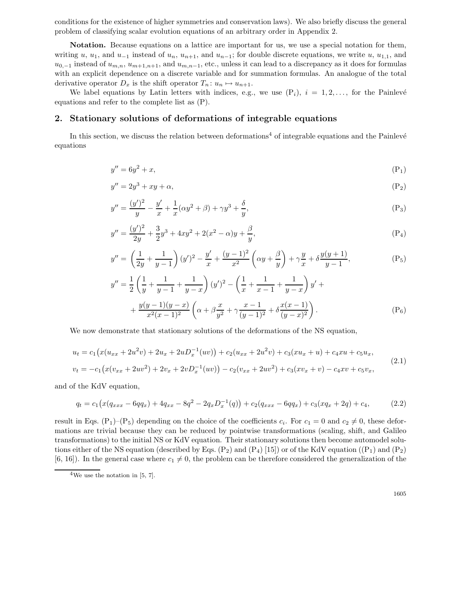conditions for the existence of higher symmetries and conservation laws). We also briefly discuss the general problem of classifying scalar evolution equations of an arbitrary order in Appendix 2.

**Notation.** Because equations on a lattice are important for us, we use a special notation for them, writing u, u<sub>1</sub>, and u<sub>-1</sub> instead of u<sub>n</sub>, u<sub>n+1</sub>, and u<sub>n-1</sub>; for double discrete equations, we write u, u<sub>1,1</sub>, and  $u_{0,-1}$  instead of  $u_{m,n}$ ,  $u_{m+1,n+1}$ , and  $u_{m,n-1}$ , etc., unless it can lead to a discrepancy as it does for formulas with an explicit dependence on a discrete variable and for summation formulas. An analogue of the total derivative operator  $D_x$  is the shift operator  $T_n: u_n \mapsto u_{n+1}$ .

We label equations by Latin letters with indices, e.g., we use  $(P_i)$ ,  $i = 1, 2, \ldots$ , for the Painlevé equations and refer to the complete list as (P).

### **2. Stationary solutions of deformations of integrable equations**

In this section, we discuss the relation between deformations<sup>4</sup> of integrable equations and the Painlevé equations

$$
y'' = 6y^2 + x,\tag{P_1}
$$

$$
y'' = 2y^3 + xy + \alpha,\tag{P_2}
$$

$$
y'' = \frac{(y')^2}{y} - \frac{y'}{x} + \frac{1}{x}(\alpha y^2 + \beta) + \gamma y^3 + \frac{\delta}{y},\tag{P_3}
$$

$$
y'' = \frac{(y')^2}{2y} + \frac{3}{2}y^3 + 4xy^2 + 2(x^2 - \alpha)y + \frac{\beta}{y},
$$
\n(P<sub>4</sub>)

$$
y'' = \left(\frac{1}{2y} + \frac{1}{y-1}\right)(y')^2 - \frac{y'}{x} + \frac{(y-1)^2}{x^2}\left(\alpha y + \frac{\beta}{y}\right) + \gamma \frac{y}{x} + \delta \frac{y(y+1)}{y-1},
$$
(P<sub>5</sub>)

$$
V = \frac{1}{2} \left( \frac{1}{y} + \frac{1}{y-1} + \frac{1}{y-x} \right) (y')^2 - \left( \frac{1}{x} + \frac{1}{x-1} + \frac{1}{y-x} \right) y' +
$$
  
+ 
$$
\frac{y(y-1)(y-x)}{x^2 (x-1)^2} \left( \alpha + \beta \frac{x}{y^2} + \gamma \frac{x-1}{(y-1)^2} + \delta \frac{x(x-1)}{(y-x)^2} \right).
$$
 (P<sub>6</sub>)

We now demonstrate that stationary solutions of the deformations of the NS equation,

$$
u_t = c_1 (x(u_{xx} + 2u^2v) + 2u_x + 2uD_x^{-1}(uv)) + c_2(u_{xx} + 2u^2v) + c_3(xu_x + u) + c_4xu + c_5u_x,
$$
  
\n
$$
v_t = -c_1 (x(v_{xx} + 2uv^2) + 2v_x + 2vD_x^{-1}(uv)) - c_2(v_{xx} + 2uv^2) + c_3(xv_x + v) - c_4xv + c_5v_x,
$$
\n(2.1)

and of the KdV equation,

 $y'$ 

$$
q_t = c_1 \left( x(q_{xxx} - 6qq_x) + 4q_{xx} - 8q^2 - 2q_x D_x^{-1}(q) \right) + c_2 (q_{xxx} - 6qq_x) + c_3 (xq_x + 2q) + c_4,
$$
\n(2.2)

result in Eqs. (P<sub>1</sub>)–(P<sub>5</sub>) depending on the choice of the coefficients  $c_i$ . For  $c_1 = 0$  and  $c_2 \neq 0$ , these deformations are trivial because they can be reduced by pointwise transformations (scaling, shift, and Galileo transformations) to the initial NS or KdV equation. Their stationary solutions then become automodel solutions either of the NS equation (described by Eqs.  $(P_2)$  and  $(P_4)$  [15]) or of the KdV equation  $((P_1)$  and  $(P_2)$ [6, 16]). In the general case where  $c_1 \neq 0$ , the problem can be therefore considered the generalization of the

 $4$ We use the notation in [5, 7].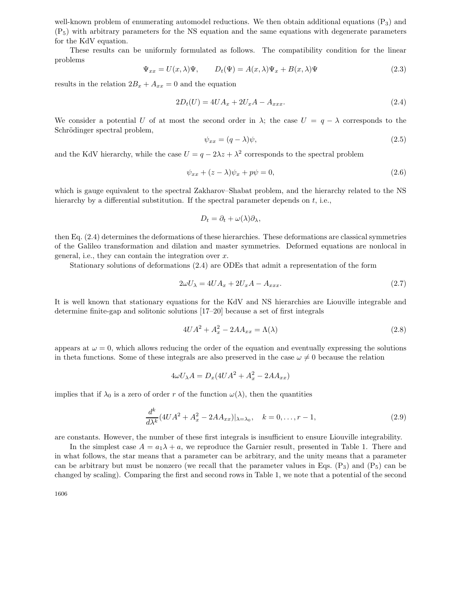well-known problem of enumerating automodel reductions. We then obtain additional equations (P<sub>3</sub>) and (P5) with arbitrary parameters for the NS equation and the same equations with degenerate parameters for the KdV equation.

These results can be uniformly formulated as follows. The compatibility condition for the linear problems

$$
\Psi_{xx} = U(x,\lambda)\Psi, \qquad D_t(\Psi) = A(x,\lambda)\Psi_x + B(x,\lambda)\Psi \tag{2.3}
$$

results in the relation  $2B_x + A_{xx} = 0$  and the equation

$$
2D_t(U) = 4UA_x + 2U_x A - A_{xxx}.
$$
\n(2.4)

We consider a potential U of at most the second order in  $\lambda$ ; the case  $U = q - \lambda$  corresponds to the Schrödinger spectral problem,

$$
\psi_{xx} = (q - \lambda)\psi,\tag{2.5}
$$

and the KdV hierarchy, while the case  $U = q - 2\lambda z + \lambda^2$  corresponds to the spectral problem

$$
\psi_{xx} + (z - \lambda)\psi_x + p\psi = 0,\tag{2.6}
$$

which is gauge equivalent to the spectral Zakharov–Shabat problem, and the hierarchy related to the NS hierarchy by a differential substitution. If the spectral parameter depends on  $t$ , i.e.,

$$
D_t = \partial_t + \omega(\lambda)\partial_\lambda,
$$

then Eq. (2.4) determines the deformations of these hierarchies. These deformations are classical symmetries of the Galileo transformation and dilation and master symmetries. Deformed equations are nonlocal in general, i.e., they can contain the integration over  $x$ .

Stationary solutions of deformations (2.4) are ODEs that admit a representation of the form

$$
2\omega U_{\lambda} = 4UA_x + 2U_x A - A_{xxx}.
$$
\n
$$
(2.7)
$$

It is well known that stationary equations for the KdV and NS hierarchies are Liouville integrable and determine finite-gap and solitonic solutions [17–20] because a set of first integrals

$$
4UA^2 + A_x^2 - 2AA_{xx} = \Lambda(\lambda) \tag{2.8}
$$

appears at  $\omega = 0$ , which allows reducing the order of the equation and eventually expressing the solutions in theta functions. Some of these integrals are also preserved in the case  $\omega \neq 0$  because the relation

$$
4\omega U_{\lambda}A = D_x(4UA^2 + A_x^2 - 2AA_{xx})
$$

implies that if  $\lambda_0$  is a zero of order r of the function  $\omega(\lambda)$ , then the quantities

$$
\frac{d^k}{d\lambda^k} (4UA^2 + A_x^2 - 2AA_{xx})|_{\lambda = \lambda_0}, \quad k = 0, \dots, r - 1,
$$
\n(2.9)

are constants. However, the number of these first integrals is insufficient to ensure Liouville integrability.

In the simplest case  $A = a_1 \lambda + a$ , we reproduce the Garnier result, presented in Table 1. There and in what follows, the star means that a parameter can be arbitrary, and the unity means that a parameter can be arbitrary but must be nonzero (we recall that the parameter values in Eqs.  $(P_3)$  and  $(P_5)$  can be changed by scaling). Comparing the first and second rows in Table 1, we note that a potential of the second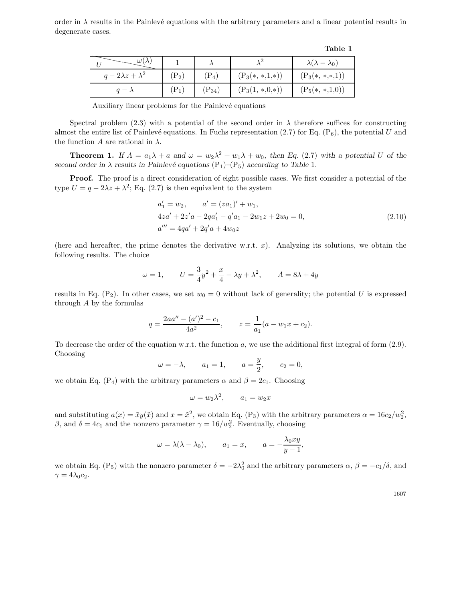order in  $\lambda$  results in the Painlevé equations with the arbitrary parameters and a linear potential results in degenerate cases.

|                          |                  |            |                  | Table 1                      |
|--------------------------|------------------|------------|------------------|------------------------------|
| $\omega(\lambda)$        |                  |            |                  | $\lambda(\lambda-\lambda_0)$ |
| $q-2\lambda z+\lambda^2$ | $(\mathrm{P}_2)$ | $(P_4)$    | $(P_3(*,*,1,*))$ | $(P_3(*,*,*,1))$             |
| $q - \lambda$            | $\mathrm{P}_1$   | $(P_{34})$ | $(P_3(1, *0,*)$  | $(P_5(*,*,1,0))$             |

Auxiliary linear problems for the Painlevé equations

Spectral problem (2.3) with a potential of the second order in  $\lambda$  therefore suffices for constructing almost the entire list of Painlevé equations. In Fuchs representation (2.7) for Eq. ( $P_6$ ), the potential U and the function A are rational in  $\lambda$ .

**Theorem 1.** If  $A = a_1\lambda + a$  and  $\omega = w_2\lambda^2 + w_1\lambda + w_0$ , then Eq. (2.7) with a potential U of the *second order in*  $\lambda$  *results in Painlevé equations*  $(P_1)$ – $(P_5)$  *according to Table* 1*.* 

**Proof.** The proof is a direct consideration of eight possible cases. We first consider a potential of the type  $U = q - 2\lambda z + \lambda^2$ ; Eq. (2.7) is then equivalent to the system

$$
a'_1 = w_2, \t a' = (za_1)' + w_1,
$$
  
\n
$$
4za' + 2z'a - 2qa'_1 - q'a_1 - 2w_1z + 2w_0 = 0,
$$
  
\n
$$
a''' = 4qa' + 2q'a + 4w_0z
$$
\n(2.10)

(here and hereafter, the prime denotes the derivative w.r.t.  $x$ ). Analyzing its solutions, we obtain the following results. The choice

$$
\omega = 1,
$$
\n $U = \frac{3}{4}y^2 + \frac{x}{4} - \lambda y + \lambda^2,$ \n $A = 8\lambda + 4y$ 

results in Eq.  $(P_2)$ . In other cases, we set  $w_0 = 0$  without lack of generality; the potential U is expressed through  $A$  by the formulas

$$
q = \frac{2aa'' - (a')^2 - c_1}{4a^2}, \qquad z = \frac{1}{a_1}(a - w_1x + c_2).
$$

To decrease the order of the equation w.r.t. the function a, we use the additional first integral of form (2.9). Choosing

$$
\omega = -\lambda
$$
,  $a_1 = 1$ ,  $a = \frac{y}{2}$ ,  $c_2 = 0$ ,

we obtain Eq. (P<sub>4</sub>) with the arbitrary parameters  $\alpha$  and  $\beta = 2c_1$ . Choosing

$$
\omega = w_2 \lambda^2, \qquad a_1 = w_2 x
$$

and substituting  $a(x) = \tilde{x}y(\tilde{x})$  and  $x = \tilde{x}^2$ , we obtain Eq. (P<sub>3</sub>) with the arbitrary parameters  $\alpha = 16c_2/w_2^2$ ,  $\beta$ , and  $\delta = 4c_1$  and the nonzero parameter  $\gamma = 16/w_2^2$ . Eventually, choosing

$$
\omega = \lambda(\lambda - \lambda_0),
$$
  $a_1 = x,$   $a = -\frac{\lambda_0 xy}{y - 1},$ 

we obtain Eq. (P<sub>5</sub>) with the nonzero parameter  $\delta = -2\lambda_0^2$  and the arbitrary parameters  $\alpha$ ,  $\beta = -c_1/\delta$ , and  $\gamma = 4\lambda_0 c_2.$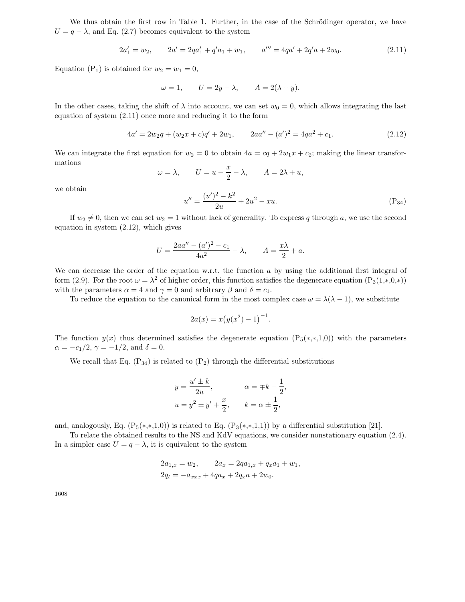We thus obtain the first row in Table 1. Further, in the case of the Schrödinger operator, we have  $U = q - \lambda$ , and Eq. (2.7) becomes equivalent to the system

$$
2a'_1 = w_2, \qquad 2a' = 2qa'_1 + q'a_1 + w_1, \qquad a''' = 4qa' + 2q'a + 2w_0. \tag{2.11}
$$

Equation (P<sub>1</sub>) is obtained for  $w_2 = w_1 = 0$ ,

$$
\omega = 1, \qquad U = 2y - \lambda, \qquad A = 2(\lambda + y).
$$

In the other cases, taking the shift of  $\lambda$  into account, we can set  $w_0 = 0$ , which allows integrating the last equation of system (2.11) once more and reducing it to the form

$$
4a' = 2w_2q + (w_2x + c)q' + 2w_1, \qquad 2aa'' - (a')^2 = 4qa^2 + c_1.
$$
\n(2.12)

We can integrate the first equation for  $w_2 = 0$  to obtain  $4a = cq + 2w_1x + c_2$ ; making the linear transformations

$$
\omega = \lambda, \qquad U = u - \frac{x}{2} - \lambda, \qquad A = 2\lambda + u,
$$

we obtain

$$
u'' = \frac{(u')^2 - k^2}{2u} + 2u^2 - xu.
$$
 (P<sub>34</sub>)

If  $w_2 \neq 0$ , then we can set  $w_2 = 1$  without lack of generality. To express q through a, we use the second equation in system (2.12), which gives

$$
U = \frac{2aa'' - (a')^2 - c_1}{4a^2} - \lambda, \qquad A = \frac{x\lambda}{2} + a.
$$

We can decrease the order of the equation w.r.t. the function  $a$  by using the additional first integral of form (2.9). For the root  $\omega = \lambda^2$  of higher order, this function satisfies the degenerate equation  $(P_3(1, *, 0, *)$ with the parameters  $\alpha = 4$  and  $\gamma = 0$  and arbitrary  $\beta$  and  $\delta = c_1$ .

To reduce the equation to the canonical form in the most complex case  $\omega = \lambda(\lambda - 1)$ , we substitute

$$
2a(x) = x(y(x^{2}) - 1)^{-1}.
$$

The function  $y(x)$  thus determined satisfies the degenerate equation  $(P_5(*,*,1,0))$  with the parameters  $\alpha = -c_1/2$ ,  $\gamma = -1/2$ , and  $\delta = 0$ .

We recall that Eq.  $(P_{34})$  is related to  $(P_2)$  through the differential substitutions

$$
y = \frac{u' \pm k}{2u}, \qquad \alpha = \mp k - \frac{1}{2},
$$
  

$$
u = y^2 \pm y' + \frac{x}{2}, \qquad k = \alpha \pm \frac{1}{2},
$$

and, analogously, Eq.  $(P_5(*,*,1,0))$  is related to Eq.  $(P_3(*,*,1,1))$  by a differential substitution [21].

To relate the obtained results to the NS and KdV equations, we consider nonstationary equation (2.4). In a simpler case  $U = q - \lambda$ , it is equivalent to the system

$$
2a_{1,x} = w_2, \t 2a_x = 2qa_{1,x} + q_x a_1 + w_1,
$$
  

$$
2q_t = -a_{xxx} + 4qa_x + 2q_x a + 2w_0.
$$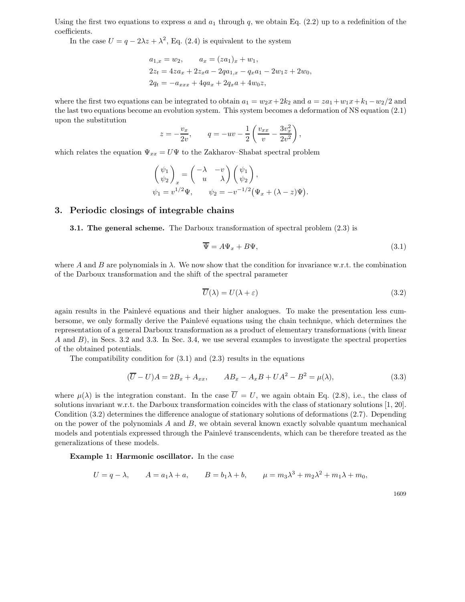Using the first two equations to express a and  $a_1$  through q, we obtain Eq. (2.2) up to a redefinition of the coefficients.

In the case  $U = q - 2\lambda z + \lambda^2$ , Eq. (2.4) is equivalent to the system

$$
a_{1,x} = w_2, \t a_x = (za_1)_x + w_1,
$$
  
\n
$$
2z_t = 4za_x + 2z_xa - 2qa_{1,x} - q_xa_1 - 2w_1z + 2w_0,
$$
  
\n
$$
2q_t = -a_{xxx} + 4qa_x + 2q_xa + 4w_0z,
$$

where the first two equations can be integrated to obtain  $a_1 = w_2x + 2k_2$  and  $a = za_1 + w_1x + k_1 - w_2/2$  and the last two equations become an evolution system. This system becomes a deformation of NS equation (2.1) upon the substitution

$$
z = -\frac{v_x}{2v},
$$
  $q = -uv - \frac{1}{2} \left( \frac{v_{xx}}{v} - \frac{3v_x^2}{2v^2} \right),$ 

which relates the equation  $\Psi_{xx} = U\Psi$  to the Zakharov–Shabat spectral problem

$$
\begin{pmatrix} \psi_1 \\ \psi_2 \end{pmatrix}_x = \begin{pmatrix} -\lambda & -v \\ u & \lambda \end{pmatrix} \begin{pmatrix} \psi_1 \\ \psi_2 \end{pmatrix},
$$
  
\n
$$
\psi_1 = v^{1/2} \Psi, \qquad \psi_2 = -v^{-1/2} (\Psi_x + (\lambda - z) \Psi).
$$

### **3. Periodic closings of integrable chains**

**3.1. The general scheme.** The Darboux transformation of spectral problem (2.3) is

$$
\overline{\Psi} = A\Psi_x + B\Psi, \tag{3.1}
$$

where A and B are polynomials in  $\lambda$ . We now show that the condition for invariance w.r.t. the combination of the Darboux transformation and the shift of the spectral parameter

$$
\overline{U}(\lambda) = U(\lambda + \varepsilon) \tag{3.2}
$$

again results in the Painlevé equations and their higher analogues. To make the presentation less cumbersome, we only formally derive the Painlevé equations using the chain technique, which determines the representation of a general Darboux transformation as a product of elementary transformations (with linear A and B), in Secs. 3.2 and 3.3. In Sec. 3.4, we use several examples to investigate the spectral properties of the obtained potentials.

The compatibility condition for  $(3.1)$  and  $(2.3)$  results in the equations

$$
(\overline{U} - U)A = 2B_x + A_{xx}, \qquad AB_x - A_xB + UA^2 - B^2 = \mu(\lambda),
$$
\n(3.3)

where  $\mu(\lambda)$  is the integration constant. In the case  $\overline{U} = U$ , we again obtain Eq. (2.8), i.e., the class of solutions invariant w.r.t. the Darboux transformation coincides with the class of stationary solutions [1, 20]. Condition (3.2) determines the difference analogue of stationary solutions of deformations (2.7). Depending on the power of the polynomials  $A$  and  $B$ , we obtain several known exactly solvable quantum mechanical models and potentials expressed through the Painlevé transcendents, which can be therefore treated as the generalizations of these models.

**Example 1: Harmonic oscillator.** In the case

$$
U = q - \lambda, \qquad A = a_1 \lambda + a, \qquad B = b_1 \lambda + b, \qquad \mu = m_3 \lambda^3 + m_2 \lambda^2 + m_1 \lambda + m_0,
$$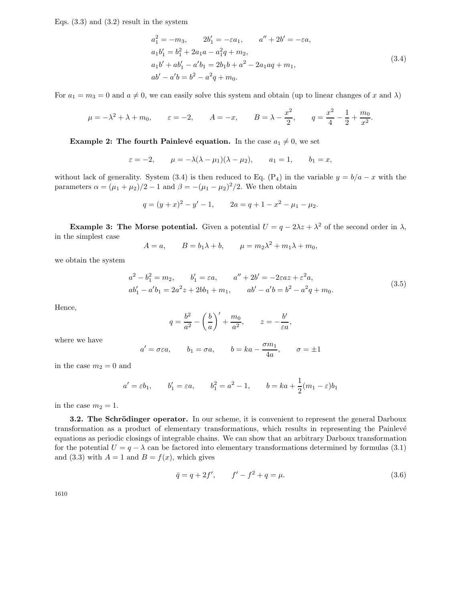Eqs.  $(3.3)$  and  $(3.2)$  result in the system

$$
a_1^2 = -m_3, \t 2b'_1 = -\varepsilon a_1, \t a'' + 2b' = -\varepsilon a,
$$
  
\n
$$
a_1b'_1 = b_1^2 + 2a_1a - a_1^2q + m_2,
$$
  
\n
$$
a_1b' + ab'_1 - a'b_1 = 2b_1b + a^2 - 2a_1aq + m_1,
$$
  
\n
$$
ab' - a'b = b^2 - a^2q + m_0.
$$
\n(3.4)

For  $a_1 = m_3 = 0$  and  $a \neq 0$ , we can easily solve this system and obtain (up to linear changes of x and  $\lambda$ )

$$
\mu = -\lambda^2 + \lambda + m_0
$$
,  $\varepsilon = -2$ ,  $A = -x$ ,  $B = \lambda - \frac{x^2}{2}$ ,  $q = \frac{x^2}{4} - \frac{1}{2} + \frac{m_0}{x^2}$ .

**Example 2: The fourth Painlevé equation.** In the case  $a_1 \neq 0$ , we set

$$
\varepsilon = -2
$$
,  $\mu = -\lambda(\lambda - \mu_1)(\lambda - \mu_2)$ ,  $a_1 = 1$ ,  $b_1 = x$ ,

without lack of generality. System (3.4) is then reduced to Eq. (P<sub>4</sub>) in the variable  $y = b/a - x$  with the parameters  $\alpha = (\mu_1 + \mu_2)/2 - 1$  and  $\beta = -(\mu_1 - \mu_2)^2/2$ . We then obtain

$$
q = (y + x)^{2} - y' - 1, \qquad 2a = q + 1 - x^{2} - \mu_{1} - \mu_{2}.
$$

**Example 3: The Morse potential.** Given a potential  $U = q - 2\lambda z + \lambda^2$  of the second order in  $\lambda$ , in the simplest case

$$
A = a, \qquad B = b_1 \lambda + b, \qquad \mu = m_2 \lambda^2 + m_1 \lambda + m_0,
$$

we obtain the system

$$
a2 - b12 = m2, \t b'1 = \varepsilon a, \t a'' + 2b' = -2\varepsilon az + \varepsilon2 a,ab'1 - a'b1 = 2a2 z + 2bb1 + m1, \t ab' - a'b = b2 - a2 q + m0.
$$
\t(3.5)

Hence,

$$
q = \frac{b^2}{a^2} - \left(\frac{b}{a}\right)' + \frac{m_0}{a^2}, \qquad z = -\frac{b'}{\varepsilon a},
$$

where we have

$$
a' = \sigma \varepsilon a
$$
,  $b_1 = \sigma a$ ,  $b = ka - \frac{\sigma m_1}{4a}$ ,  $\sigma = \pm 1$ 

in the case  $m_2 = 0$  and

$$
a' = \varepsilon b_1
$$
,  $b'_1 = \varepsilon a$ ,  $b_1^2 = a^2 - 1$ ,  $b = ka + \frac{1}{2}(m_1 - \varepsilon)b_1$ 

in the case  $m_2 = 1$ .

**3.2. The Schrödinger operator.** In our scheme, it is convenient to represent the general Darboux transformation as a product of elementary transformations, which results in representing the Painlevé equations as periodic closings of integrable chains. We can show that an arbitrary Darboux transformation for the potential  $U = q - \lambda$  can be factored into elementary transformations determined by formulas (3.1) and (3.3) with  $A = 1$  and  $B = f(x)$ , which gives

$$
\bar{q} = q + 2f', \qquad f' - f^2 + q = \mu. \tag{3.6}
$$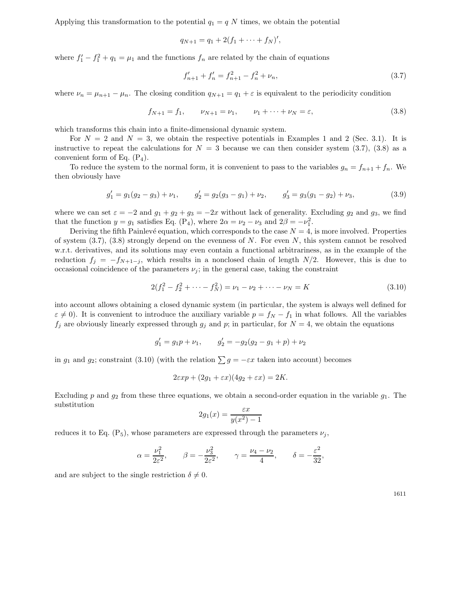Applying this transformation to the potential  $q_1 = q N$  times, we obtain the potential

$$
q_{N+1} = q_1 + 2(f_1 + \cdots + f_N)'
$$

where  $f_1' - f_1^2 + q_1 = \mu_1$  and the functions  $f_n$  are related by the chain of equations

$$
f'_{n+1} + f'_n = f_{n+1}^2 - f_n^2 + \nu_n,\tag{3.7}
$$

where  $\nu_n = \mu_{n+1} - \mu_n$ . The closing condition  $q_{N+1} = q_1 + \varepsilon$  is equivalent to the periodicity condition

$$
f_{N+1} = f_1, \qquad \nu_{N+1} = \nu_1, \qquad \nu_1 + \dots + \nu_N = \varepsilon,\tag{3.8}
$$

which transforms this chain into a finite-dimensional dynamic system.

For  $N = 2$  and  $N = 3$ , we obtain the respective potentials in Examples 1 and 2 (Sec. 3.1). It is instructive to repeat the calculations for  $N = 3$  because we can then consider system (3.7), (3.8) as a convenient form of Eq.  $(P_4)$ .

To reduce the system to the normal form, it is convenient to pass to the variables  $g_n = f_{n+1} + f_n$ . We then obviously have

$$
g_1' = g_1(g_2 - g_3) + \nu_1, \qquad g_2' = g_2(g_3 - g_1) + \nu_2, \qquad g_3' = g_3(g_1 - g_2) + \nu_3,\tag{3.9}
$$

where we can set  $\varepsilon = -2$  and  $g_1 + g_2 + g_3 = -2x$  without lack of generality. Excluding  $g_2$  and  $g_3$ , we find that the function  $y = g_1$  satisfies Eq. (P<sub>4</sub>), where  $2\alpha = \nu_2 - \nu_3$  and  $2\beta = -\nu_1^2$ .

Deriving the fifth Painlevé equation, which corresponds to the case  $N = 4$ , is more involved. Properties of system  $(3.7), (3.8)$  strongly depend on the evenness of N. For even N, this system cannot be resolved w.r.t. derivatives, and its solutions may even contain a functional arbitrariness, as in the example of the reduction  $f_j = -f_{N+1-j}$ , which results in a nonclosed chain of length  $N/2$ . However, this is due to occasional coincidence of the parameters  $\nu_i$ ; in the general case, taking the constraint

$$
2(f_1^2 - f_2^2 + \dots - f_N^2) = \nu_1 - \nu_2 + \dots - \nu_N = K
$$
\n(3.10)

into account allows obtaining a closed dynamic system (in particular, the system is always well defined for  $\varepsilon \neq 0$ ). It is convenient to introduce the auxiliary variable  $p = f_N - f_1$  in what follows. All the variables  $f_i$  are obviously linearly expressed through  $g_i$  and p; in particular, for  $N = 4$ , we obtain the equations

$$
g'_1 = g_1 p + \nu_1
$$
,  $g'_2 = -g_2(g_2 - g_1 + p) + \nu_2$ 

in  $g_1$  and  $g_2$ ; constraint (3.10) (with the relation  $\sum g = -\varepsilon x$  taken into account) becomes

$$
2\varepsilon xp + (2g_1 + \varepsilon x)(4g_2 + \varepsilon x) = 2K.
$$

Excluding p and  $g_2$  from these three equations, we obtain a second-order equation in the variable  $g_1$ . The substitution

$$
2g_1(x) = \frac{\varepsilon x}{y(x^2) - 1}
$$

reduces it to Eq.  $(P_5)$ , whose parameters are expressed through the parameters  $\nu_i$ ,

$$
\alpha = \frac{\nu_1^2}{2\varepsilon^2},
$$
\n $\beta = -\frac{\nu_3^2}{2\varepsilon^2},$ \n $\gamma = \frac{\nu_4 - \nu_2}{4},$ \n $\delta = -\frac{\varepsilon^2}{32},$ 

and are subject to the single restriction  $\delta \neq 0$ .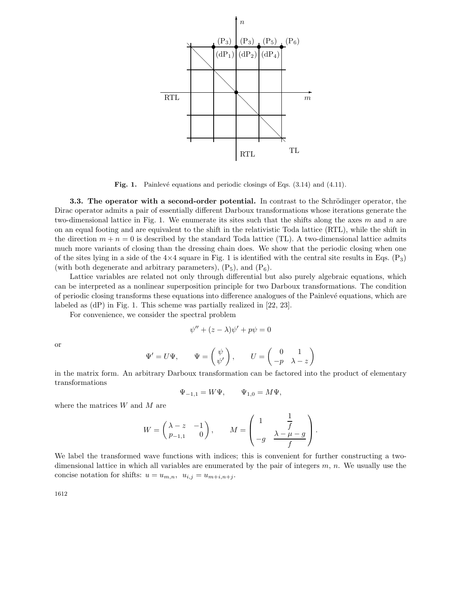

**Fig. 1.** Painlevé equations and periodic closings of Eqs.  $(3.14)$  and  $(4.11)$ .

**3.3.** The operator with a second-order potential. In contrast to the Schrödinger operator, the Dirac operator admits a pair of essentially different Darboux transformations whose iterations generate the two-dimensional lattice in Fig. 1. We enumerate its sites such that the shifts along the axes  $m$  and  $n$  are on an equal footing and are equivalent to the shift in the relativistic Toda lattice (RTL), while the shift in the direction  $m + n = 0$  is described by the standard Toda lattice (TL). A two-dimensional lattice admits much more variants of closing than the dressing chain does. We show that the periodic closing when one of the sites lying in a side of the  $4\times4$  square in Fig. 1 is identified with the central site results in Eqs. (P<sub>3</sub>) (with both degenerate and arbitrary parameters),  $(P_5)$ , and  $(P_6)$ .

Lattice variables are related not only through differential but also purely algebraic equations, which can be interpreted as a nonlinear superposition principle for two Darboux transformations. The condition of periodic closing transforms these equations into difference analogues of the Painlev´e equations, which are labeled as (dP) in Fig. 1. This scheme was partially realized in [22, 23].

For convenience, we consider the spectral problem

$$
\psi'' + (z - \lambda)\psi' + p\psi = 0
$$

or

$$
\Psi' = U\Psi, \qquad \Psi = \begin{pmatrix} \psi \\ \psi' \end{pmatrix}, \qquad U = \begin{pmatrix} 0 & 1 \\ -p & \lambda - z \end{pmatrix}
$$

in the matrix form. An arbitrary Darboux transformation can be factored into the product of elementary transformations

$$
\Psi_{-1,1} = W\Psi, \qquad \Psi_{1,0} = M\Psi,
$$

where the matrices  $W$  and  $M$  are

$$
W = \begin{pmatrix} \lambda - z & -1 \\ p_{-1,1} & 0 \end{pmatrix}, \qquad M = \begin{pmatrix} 1 & \frac{1}{f} \\ -g & \frac{\lambda - \mu - g}{f} \end{pmatrix}.
$$

We label the transformed wave functions with indices; this is convenient for further constructing a twodimensional lattice in which all variables are enumerated by the pair of integers  $m$ ,  $n$ . We usually use the concise notation for shifts:  $u = u_{m,n}$ ,  $u_{i,j} = u_{m+i,n+j}$ .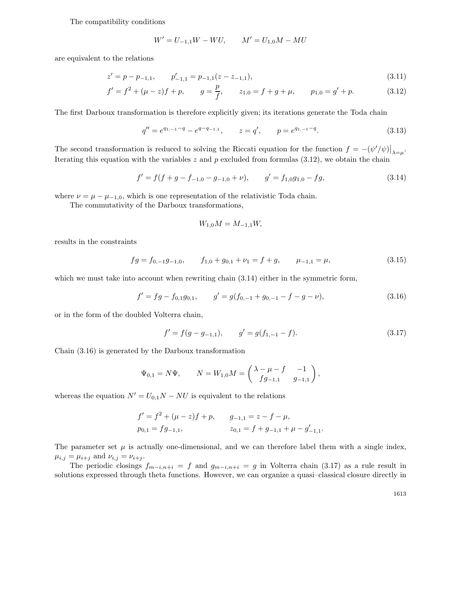#### The compatibility conditions

$$
W' = U_{-1,1}W - WU, \qquad M' = U_{1,0}M - MU
$$

are equivalent to the relations

$$
z' = p - p_{-1,1}, \qquad p'_{-1,1} = p_{-1,1}(z - z_{-1,1}), \tag{3.11}
$$

$$
f' = f2 + (\mu - z)f + p, \qquad g = \frac{p}{f}, \qquad z_{1,0} = f + g + \mu, \qquad p_{1,0} = g' + p. \tag{3.12}
$$

The first Darboux transformation is therefore explicitly given; its iterations generate the Toda chain

$$
q'' = e^{q_{1,-1}-q} - e^{q-q_{-1,1}}, \qquad z = q', \qquad p = e^{q_{1,-1}-q}.
$$
\n(3.13)

The second transformation is reduced to solving the Riccati equation for the function  $f = -(\psi'/\psi)|_{\lambda=\mu}$ . Iterating this equation with the variables  $z$  and  $p$  excluded from formulas (3.12), we obtain the chain

$$
f' = f(f + g - f_{-1,0} - g_{-1,0} + \nu), \qquad g' = f_{1,0}g_{1,0} - fg,\tag{3.14}
$$

where  $\nu = \mu - \mu_{-1,0}$ , which is one representation of the relativistic Toda chain.

The commutativity of the Darboux transformations,

$$
W_{1,0}M = M_{-1,1}W,
$$

results in the constraints

$$
fg = f_{0,-1}g_{-1,0}, \qquad f_{1,0} + g_{0,1} + \nu_1 = f + g, \qquad \mu_{-1,1} = \mu,
$$
\n(3.15)

which we must take into account when rewriting chain  $(3.14)$  either in the symmetric form,

$$
f' = fg - f_{0,1}g_{0,1}, \qquad g' = g(f_{0,-1} + g_{0,-1} - f - g - \nu), \tag{3.16}
$$

or in the form of the doubled Volterra chain,

$$
f' = f(g - g_{-1,1}), \qquad g' = g(f_{1,-1} - f). \tag{3.17}
$$

Chain (3.16) is generated by the Darboux transformation

$$
\Psi_{0,1} = N\Psi,
$$
\n $N = W_{1,0}M = \begin{pmatrix}\n\lambda - \mu - f & -1 \\
fg_{-1,1} & g_{-1,1}\n\end{pmatrix},$ 

whereas the equation  $N' = U_{0,1}N - NU$  is equivalent to the relations

$$
f' = f2 + (\mu - z)f + p, \t g-1,1 = z - f - \mu,
$$
  
\n
$$
p0,1 = fg-1,1, \t z0,1 = f + g-1,1 + \mu - g'-1,1.
$$

The parameter set  $\mu$  is actually one-dimensional, and we can therefore label them with a single index,  $\mu_{i,j} = \mu_{i+j}$  and  $\nu_{i,j} = \nu_{i+j}$ .

The periodic closings  $f_{m-i,n+i} = f$  and  $g_{m-i,n+i} = g$  in Volterra chain (3.17) as a rule result in solutions expressed through theta functions. However, we can organize a quasi–classical closure directly in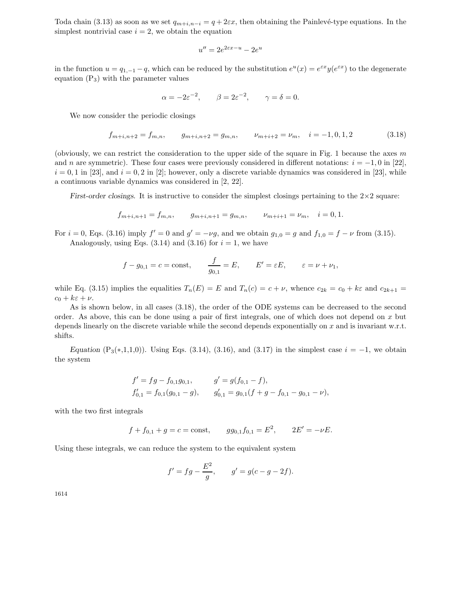Toda chain (3.13) as soon as we set  $q_{m+i,n-i} = q + 2\varepsilon x$ , then obtaining the Painlevé-type equations. In the simplest nontrivial case  $i = 2$ , we obtain the equation

$$
u'' = 2e^{2\varepsilon x - u} - 2e^u
$$

in the function  $u = q_{1,-1} - q$ , which can be reduced by the substitution  $e^u(x) = e^{\varepsilon x} y(e^{\varepsilon x})$  to the degenerate equation  $(P_3)$  with the parameter values

$$
\alpha = -2\varepsilon^{-2}, \qquad \beta = 2\varepsilon^{-2}, \qquad \gamma = \delta = 0.
$$

We now consider the periodic closings

$$
f_{m+i,n+2} = f_{m,n}, \qquad g_{m+i,n+2} = g_{m,n}, \qquad \nu_{m+i+2} = \nu_m, \quad i = -1, 0, 1, 2 \tag{3.18}
$$

(obviously, we can restrict the consideration to the upper side of the square in Fig. 1 because the axes  $m$ and n are symmetric). These four cases were previously considered in different notations:  $i = -1, 0$  in [22],  $i = 0, 1$  in [23], and  $i = 0, 2$  in [2]; however, only a discrete variable dynamics was considered in [23], while a continuous variable dynamics was considered in [2, 22].

*First-order closings.* It is instructive to consider the simplest closings pertaining to the  $2 \times 2$  square:

$$
f_{m+i,n+1} = f_{m,n},
$$
  $g_{m+i,n+1} = g_{m,n},$   $\nu_{m+i+1} = \nu_m,$   $i = 0, 1.$ 

For  $i = 0$ , Eqs. (3.16) imply  $f' = 0$  and  $g' = -\nu g$ , and we obtain  $g_{1,0} = g$  and  $f_{1,0} = f - \nu$  from (3.15). Analogously, using Eqs.  $(3.14)$  and  $(3.16)$  for  $i = 1$ , we have

$$
f - g_{0,1} = c = \text{const},
$$
  $\frac{f}{g_{0,1}} = E,$   $E' = \varepsilon E,$   $\varepsilon = \nu + \nu_1,$ 

while Eq. (3.15) implies the equalities  $T_n(E) = E$  and  $T_n(c) = c + \nu$ , whence  $c_{2k} = c_0 + k\varepsilon$  and  $c_{2k+1} =$  $c_0 + k\varepsilon + \nu$ .

As is shown below, in all cases (3.18), the order of the ODE systems can be decreased to the second order. As above, this can be done using a pair of first integrals, one of which does not depend on x but depends linearly on the discrete variable while the second depends exponentially on x and is invariant w.r.t. shifts.

*Equation* (P<sub>3</sub>(\*,1,1,0)). Using Eqs. (3.14), (3.16), and (3.17) in the simplest case  $i = -1$ , we obtain the system

$$
f' = fg - f_{0,1}g_{0,1}, \t g' = g(f_{0,1} - f),
$$
  
\n
$$
f'_{0,1} = f_{0,1}(g_{0,1} - g), \t g'_{0,1} = g_{0,1}(f + g - f_{0,1} - g_{0,1} - \nu),
$$

with the two first integrals

$$
f + f_{0,1} + g = c = \text{const},
$$
  $gg_{0,1}f_{0,1} = E^2,$   $2E' = -\nu E.$ 

Using these integrals, we can reduce the system to the equivalent system

$$
f' = fg - \frac{E^2}{g}
$$
,  $g' = g(c - g - 2f)$ .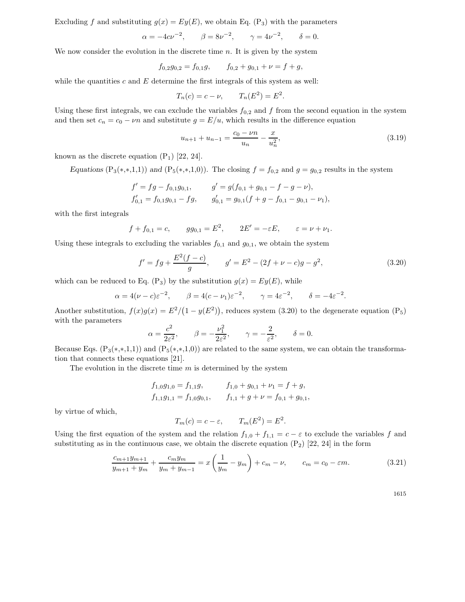Excluding f and substituting  $q(x) = Ey(E)$ , we obtain Eq. (P<sub>3</sub>) with the parameters

$$
\alpha = -4c\nu^{-2}
$$
,  $\beta = 8\nu^{-2}$ ,  $\gamma = 4\nu^{-2}$ ,  $\delta = 0$ .

We now consider the evolution in the discrete time  $n$ . It is given by the system

$$
f_{0,2}g_{0,2} = f_{0,1}g, \qquad f_{0,2} + g_{0,1} + \nu = f + g,
$$

while the quantities c and  $E$  determine the first integrals of this system as well:

$$
T_n(c) = c - \nu, \qquad T_n(E^2) = E^2.
$$

Using these first integrals, we can exclude the variables  $f_{0,2}$  and f from the second equation in the system and then set  $c_n = c_0 - \nu n$  and substitute  $g = E/u$ , which results in the difference equation

$$
u_{n+1} + u_{n-1} = \frac{c_0 - \nu n}{u_n} - \frac{x}{u_n^2},\tag{3.19}
$$

known as the discrete equation  $(P_1)$  [22, 24].

*Equations* (P<sub>3</sub>(\*,\*,1,1)) *and* (P<sub>5</sub>(\*,\*,1,0)). The closing  $f = f_{0,2}$  and  $g = g_{0,2}$  results in the system

$$
f' = fg - f_{0,1}g_{0,1}, \t g' = g(f_{0,1} + g_{0,1} - f - g - \nu),
$$
  
\n
$$
f'_{0,1} = f_{0,1}g_{0,1} - fg, \t g'_{0,1} = g_{0,1}(f + g - f_{0,1} - g_{0,1} - \nu_1),
$$

with the first integrals

$$
f + f_{0,1} = c
$$
,  $gg_{0,1} = E^2$ ,  $2E' = -\varepsilon E$ ,  $\varepsilon = \nu + \nu_1$ .

Using these integrals to excluding the variables  $f_{0,1}$  and  $g_{0,1}$ , we obtain the system

$$
f' = fg + \frac{E^2(f - c)}{g}, \qquad g' = E^2 - (2f + \nu - c)g - g^2,\tag{3.20}
$$

which can be reduced to Eq. (P<sub>3</sub>) by the substitution  $g(x) = Ey(E)$ , while

$$
\alpha = 4(\nu - c)\varepsilon^{-2}
$$
,  $\beta = 4(c - \nu_1)\varepsilon^{-2}$ ,  $\gamma = 4\varepsilon^{-2}$ ,  $\delta = -4\varepsilon^{-2}$ .

Another substitution,  $f(x)g(x) = E^2/(1 - y(E^2))$ , reduces system (3.20) to the degenerate equation (P<sub>5</sub>) with the parameters

$$
\alpha = \frac{c^2}{2\varepsilon^2}, \qquad \beta = -\frac{\nu_1^2}{2\varepsilon^2}, \qquad \gamma = -\frac{2}{\varepsilon^2}, \qquad \delta = 0.
$$

Because Eqs.  $(P_3(*,*,1,1))$  and  $(P_5(*,*,1,0))$  are related to the same system, we can obtain the transformation that connects these equations [21].

The evolution in the discrete time  $m$  is determined by the system

$$
f_{1,0}g_{1,0} = f_{1,1}g,
$$
  
\n
$$
f_{1,0} + g_{0,1} + \nu_1 = f + g,
$$
  
\n
$$
f_{1,1}g_{1,1} = f_{1,0}g_{0,1},
$$
  
\n
$$
f_{1,1} + g + \nu = f_{0,1} + g_{0,1},
$$

by virtue of which,

$$
T_m(c) = c - \varepsilon, \qquad T_m(E^2) = E^2.
$$

Using the first equation of the system and the relation  $f_{1,0} + f_{1,1} = c - \varepsilon$  to exclude the variables f and substituting as in the continuous case, we obtain the discrete equation  $(P_2)$  [22, 24] in the form

$$
\frac{c_{m+1}y_{m+1}}{y_{m+1} + y_m} + \frac{c_m y_m}{y_m + y_{m-1}} = x \left( \frac{1}{y_m} - y_m \right) + c_m - \nu, \qquad c_m = c_0 - \varepsilon m. \tag{3.21}
$$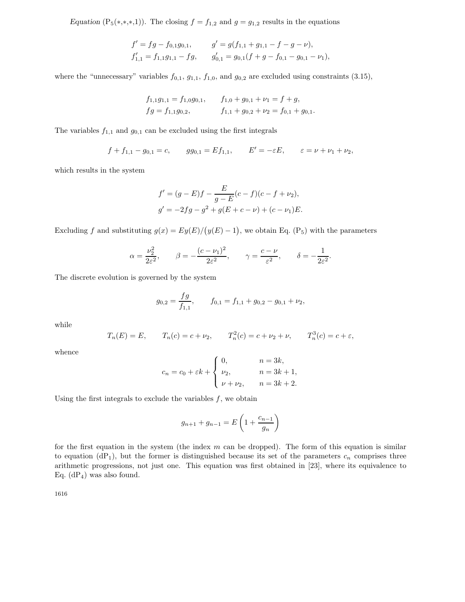*Equation* (P<sub>5</sub>(\*,\*,\*,1)). The closing  $f = f_{1,2}$  and  $g = g_{1,2}$  results in the equations

$$
f' = fg - f_{0,1}g_{0,1}, \qquad g' = g(f_{1,1} + g_{1,1} - f - g - \nu),
$$
  
\n
$$
f'_{1,1} = f_{1,1}g_{1,1} - fg, \qquad g'_{0,1} = g_{0,1}(f + g - f_{0,1} - g_{0,1} - \nu),
$$

where the "unnecessary" variables  $f_{0,1}$ ,  $g_{1,1}$ ,  $f_{1,0}$ , and  $g_{0,2}$  are excluded using constraints (3.15),

$$
f_{1,1}g_{1,1} = f_{1,0}g_{0,1}, \t f_{1,0} + g_{0,1} + \nu_1 = f + g,
$$
  
\n
$$
fg = f_{1,1}g_{0,2}, \t f_{1,1} + g_{0,2} + \nu_2 = f_{0,1} + g_{0,1}.
$$

The variables  $f_{1,1}$  and  $g_{0,1}$  can be excluded using the first integrals

$$
f + f_{1,1} - g_{0,1} = c
$$
,  $gg_{0,1} = Ef_{1,1}$ ,  $E' = -\varepsilon E$ ,  $\varepsilon = \nu + \nu_1 + \nu_2$ ,

which results in the system

$$
f' = (g - E)f - \frac{E}{g - E}(c - f)(c - f + \nu_2),
$$
  
\n
$$
g' = -2fg - g^2 + g(E + c - \nu) + (c - \nu_1)E.
$$

Excluding f and substituting  $g(x) = Ey(E)/(y(E) - 1)$ , we obtain Eq. (P<sub>5</sub>) with the parameters

$$
\alpha = \frac{\nu_2^2}{2\varepsilon^2}
$$
,  $\beta = -\frac{(c - \nu_1)^2}{2\varepsilon^2}$ ,  $\gamma = \frac{c - \nu}{\varepsilon^2}$ ,  $\delta = -\frac{1}{2\varepsilon^2}$ .

The discrete evolution is governed by the system

$$
g_{0,2} = \frac{fg}{f_{1,1}}, \qquad f_{0,1} = f_{1,1} + g_{0,2} - g_{0,1} + \nu_2,
$$

while

$$
T_n(E) = E
$$
,  $T_n(c) = c + \nu_2$ ,  $T_n^2(c) = c + \nu_2 + \nu$ ,  $T_n^3(c) = c + \varepsilon$ ,

whence

$$
c_n = c_0 + \varepsilon k + \begin{cases} 0, & n = 3k, \\ \nu_2, & n = 3k + 1, \\ \nu + \nu_2, & n = 3k + 2. \end{cases}
$$

Using the first integrals to exclude the variables  $f$ , we obtain

$$
g_{n+1} + g_{n-1} = E\left(1 + \frac{c_{n-1}}{g_n}\right)
$$

for the first equation in the system (the index  $m$  can be dropped). The form of this equation is similar to equation  $(dP_1)$ , but the former is distinguished because its set of the parameters  $c_n$  comprises three arithmetic progressions, not just one. This equation was first obtained in [23], where its equivalence to Eq.  $(dP_4)$  was also found.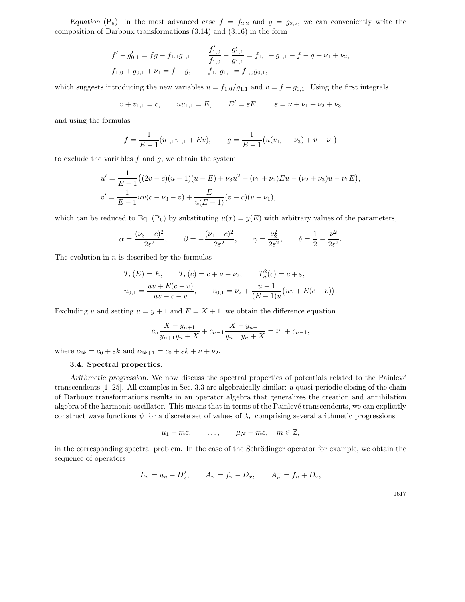*Equation* (P<sub>6</sub>). In the most advanced case  $f = f_{2,2}$  and  $g = g_{2,2}$ , we can conveniently write the composition of Darboux transformations (3.14) and (3.16) in the form

$$
f' - g'_{0,1} = fg - f_{1,1}g_{1,1}, \qquad \frac{f'_{1,0}}{f_{1,0}} - \frac{g'_{1,1}}{g_{1,1}} = f_{1,1} + g_{1,1} - f - g + \nu_1 + \nu_2,
$$
  

$$
f_{1,0} + g_{0,1} + \nu_1 = f + g, \qquad f_{1,1}g_{1,1} = f_{1,0}g_{0,1},
$$

which suggests introducing the new variables  $u = f_{1,0}/g_{1,1}$  and  $v = f - g_{0,1}$ . Using the first integrals

$$
v + v_{1,1} = c,
$$
  $uu_{1,1} = E,$   $E' = \varepsilon E,$   $\varepsilon = \nu + \nu_1 + \nu_2 + \nu_3$ 

and using the formulas

$$
f = \frac{1}{E-1}(u_{1,1}v_{1,1} + Ev),
$$
  $g = \frac{1}{E-1}(u(v_{1,1} - v_3) + v - v_1)$ 

to exclude the variables  $f$  and  $g$ , we obtain the system

$$
u' = \frac{1}{E-1}((2v-c)(u-1)(u-E) + \nu_3 u^2 + (\nu_1 + \nu_2)Eu - (\nu_2 + \nu_3)u - \nu_1 E),
$$
  

$$
v' = \frac{1}{E-1}uv(c - \nu_3 - v) + \frac{E}{u(E-1)}(v - c)(v - \nu_1),
$$

which can be reduced to Eq. (P<sub>6</sub>) by substituting  $u(x) = y(E)$  with arbitrary values of the parameters,

$$
\alpha = \frac{(\nu_3 - c)^2}{2\varepsilon^2}, \qquad \beta = -\frac{(\nu_1 - c)^2}{2\varepsilon^2}, \qquad \gamma = \frac{\nu_2^2}{2\varepsilon^2}, \qquad \delta = \frac{1}{2} - \frac{\nu^2}{2\varepsilon^2}.
$$

The evolution in  $n$  is described by the formulas

$$
T_n(E) = E, \t T_n(c) = c + \nu + \nu_2, \t T_n^2(c) = c + \varepsilon,
$$
  

$$
u_{0,1} = \frac{uv + E(c - v)}{uv + c - v}, \t v_{0,1} = \nu_2 + \frac{u - 1}{(E - 1)u}(uv + E(c - v)).
$$

Excluding v and setting  $u = y + 1$  and  $E = X + 1$ , we obtain the difference equation

$$
c_n \frac{X - y_{n+1}}{y_{n+1}y_n + X} + c_{n-1} \frac{X - y_{n-1}}{y_{n-1}y_n + X} = \nu_1 + c_{n-1},
$$

where  $c_{2k} = c_0 + \varepsilon k$  and  $c_{2k+1} = c_0 + \varepsilon k + \nu + \nu_2$ .

#### **3.4. Spectral properties.**

*Arithmetic progression.* We now discuss the spectral properties of potentials related to the Painlevé transcendents [1, 25]. All examples in Sec. 3.3 are algebraically similar: a quasi-periodic closing of the chain of Darboux transformations results in an operator algebra that generalizes the creation and annihilation algebra of the harmonic oscillator. This means that in terms of the Painlevé transcendents, we can explicitly construct wave functions  $\psi$  for a discrete set of values of  $\lambda_n$  comprising several arithmetic progressions

$$
\mu_1 + m\varepsilon
$$
, ...,  $\mu_N + m\varepsilon$ ,  $m \in \mathbb{Z}$ ,

in the corresponding spectral problem. In the case of the Schrödinger operator for example, we obtain the sequence of operators

$$
L_n = u_n - D_x^2
$$
,  $A_n = f_n - D_x$ ,  $A_n^+ = f_n + D_x$ ,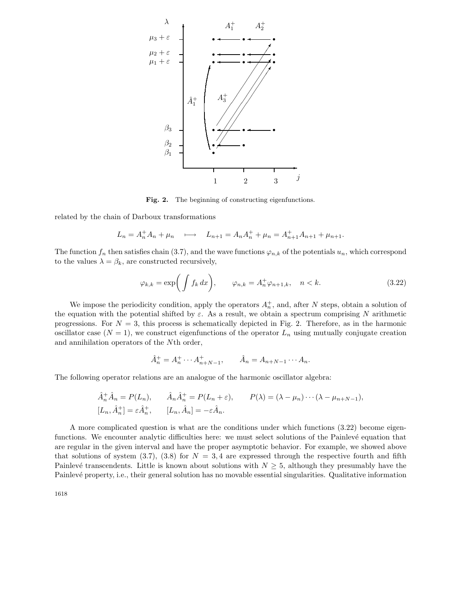

Fig. 2. The beginning of constructing eigenfunctions.

related by the chain of Darboux transformations

$$
L_n = A_n^+ A_n + \mu_n \quad \longmapsto \quad L_{n+1} = A_n A_n^+ + \mu_n = A_{n+1}^+ A_{n+1} + \mu_{n+1}.
$$

The function  $f_n$  then satisfies chain (3.7), and the wave functions  $\varphi_{n,k}$  of the potentials  $u_n$ , which correspond to the values  $\lambda = \beta_k$ , are constructed recursively,

$$
\varphi_{k,k} = \exp\bigg(\int f_k dx\bigg), \qquad \varphi_{n,k} = A_n^+ \varphi_{n+1,k}, \quad n < k. \tag{3.22}
$$

We impose the periodicity condition, apply the operators  $A_n^+$ , and, after N steps, obtain a solution of the equation with the potential shifted by  $\varepsilon$ . As a result, we obtain a spectrum comprising N arithmetic progressions. For  $N = 3$ , this process is schematically depicted in Fig. 2. Therefore, as in the harmonic oscillator case  $(N = 1)$ , we construct eigenfunctions of the operator  $L_n$  using mutually conjugate creation and annihilation operators of the Nth order,

$$
\hat{A}_n^+ = A_n^+ \cdots A_{n+N-1}^+, \qquad \hat{A}_n = A_{n+N-1} \cdots A_n.
$$

The following operator relations are an analogue of the harmonic oscillator algebra:

$$
\hat{A}_n^+ \hat{A}_n = P(L_n), \qquad \hat{A}_n \hat{A}_n^+ = P(L_n + \varepsilon), \qquad P(\lambda) = (\lambda - \mu_n) \cdots (\lambda - \mu_{n+N-1}),
$$
  
\n
$$
[L_n, \hat{A}_n^+] = \varepsilon \hat{A}_n^+, \qquad [L_n, \hat{A}_n] = -\varepsilon \hat{A}_n.
$$

A more complicated question is what are the conditions under which functions (3.22) become eigenfunctions. We encounter analytic difficulties here: we must select solutions of the Painlevé equation that are regular in the given interval and have the proper asymptotic behavior. For example, we showed above that solutions of system (3.7), (3.8) for  $N = 3, 4$  are expressed through the respective fourth and fifth Painlevé transcendents. Little is known about solutions with  $N \geq 5$ , although they presumably have the Painlevé property, i.e., their general solution has no movable essential singularities. Qualitative information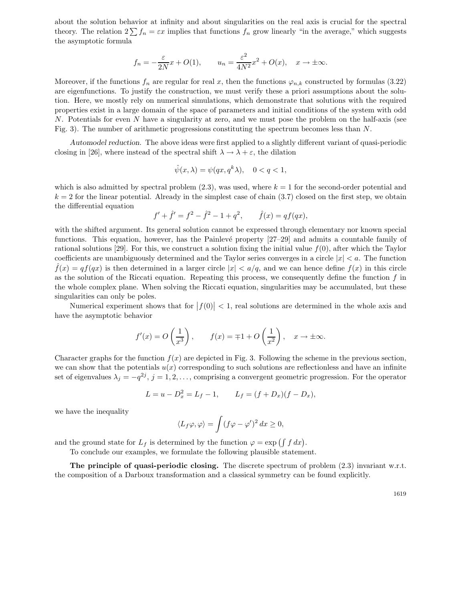about the solution behavior at infinity and about singularities on the real axis is crucial for the spectral theory. The relation  $2\sum f_n = \varepsilon x$  implies that functions  $f_n$  grow linearly "in the average," which suggests the asymptotic formula

$$
f_n = -\frac{\varepsilon}{2N}x + O(1),
$$
  $u_n = \frac{\varepsilon^2}{4N^2}x^2 + O(x),$   $x \to \pm \infty.$ 

Moreover, if the functions  $f_n$  are regular for real x, then the functions  $\varphi_{n,k}$  constructed by formulas (3.22) are eigenfunctions. To justify the construction, we must verify these a priori assumptions about the solution. Here, we mostly rely on numerical simulations, which demonstrate that solutions with the required properties exist in a large domain of the space of parameters and initial conditions of the system with odd N. Potentials for even N have a singularity at zero, and we must pose the problem on the half-axis (see Fig. 3). The number of arithmetic progressions constituting the spectrum becomes less than N.

*Automodel reduction.* The above ideas were first applied to a slightly different variant of quasi-periodic closing in [26], where instead of the spectral shift  $\lambda \to \lambda + \varepsilon$ , the dilation

$$
\hat{\psi}(x,\lambda) = \psi(qx, q^k \lambda), \quad 0 < q < 1,
$$

which is also admitted by spectral problem  $(2.3)$ , was used, where  $k = 1$  for the second-order potential and  $k = 2$  for the linear potential. Already in the simplest case of chain (3.7) closed on the first step, we obtain the differential equation

$$
f' + \hat{f}' = f^2 - \hat{f}^2 - 1 + q^2, \qquad \hat{f}(x) = qf(qx),
$$

with the shifted argument. Its general solution cannot be expressed through elementary nor known special functions. This equation, however, has the Painlevé property [27–29] and admits a countable family of rational solutions [29]. For this, we construct a solution fixing the initial value  $f(0)$ , after which the Taylor coefficients are unambiguously determined and the Taylor series converges in a circle  $|x| < a$ . The function  $f(x) = qf(qx)$  is then determined in a larger circle  $|x| < a/q$ , and we can hence define  $f(x)$  in this circle as the solution of the Riccati equation. Repeating this process, we consequently define the function  $f$  in the whole complex plane. When solving the Riccati equation, singularities may be accumulated, but these singularities can only be poles.

Numerical experiment shows that for  $|f(0)| < 1$ , real solutions are determined in the whole axis and have the asymptotic behavior

$$
f'(x) = O\left(\frac{1}{x^3}\right)
$$
,  $f(x) = \mp 1 + O\left(\frac{1}{x^2}\right)$ ,  $x \to \pm \infty$ .

Character graphs for the function  $f(x)$  are depicted in Fig. 3. Following the scheme in the previous section, we can show that the potentials  $u(x)$  corresponding to such solutions are reflectionless and have an infinite set of eigenvalues  $\lambda_j = -q^{2j}, j = 1, 2, \ldots$ , comprising a convergent geometric progression. For the operator

$$
L = u - D_x^2 = L_f - 1, \qquad L_f = (f + D_x)(f - D_x),
$$

we have the inequality

$$
\langle L_f \varphi, \varphi \rangle = \int (f \varphi - \varphi')^2 dx \ge 0,
$$

and the ground state for  $L_f$  is determined by the function  $\varphi = \exp \left( \int f \, dx \right)$ .

To conclude our examples, we formulate the following plausible statement.

**The principle of quasi-periodic closing.** The discrete spectrum of problem (2.3) invariant w.r.t. the composition of a Darboux transformation and a classical symmetry can be found explicitly.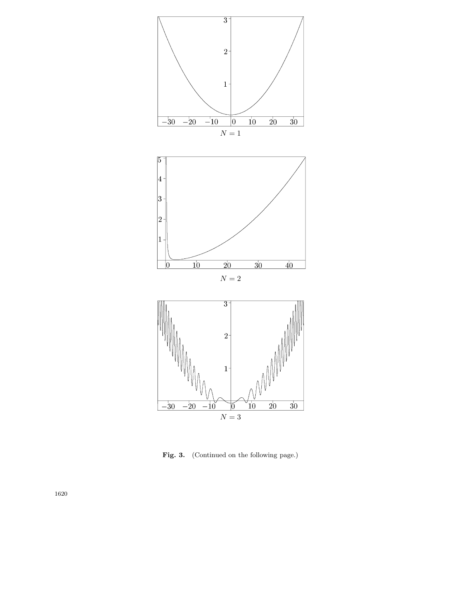

Fig. 3. (Continued on the following page.)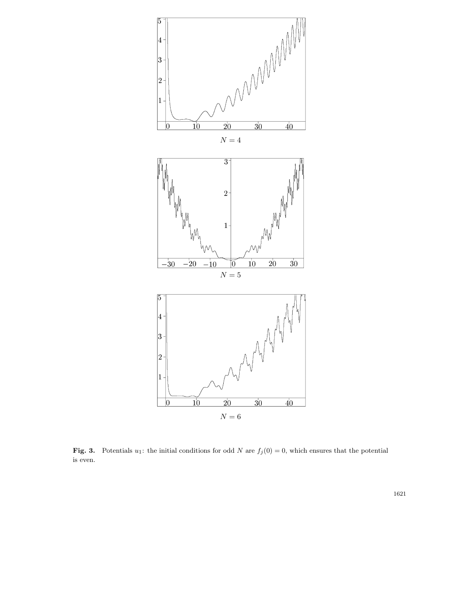

**Fig. 3.** Potentials  $u_1$ : the initial conditions for odd N are  $f_j(0) = 0$ , which ensures that the potential is even.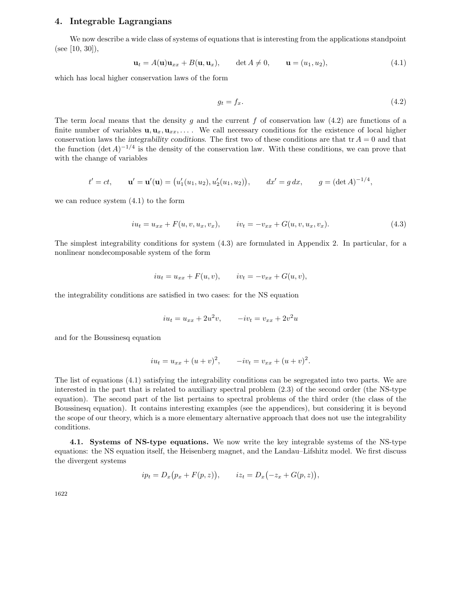### **4. Integrable Lagrangians**

We now describe a wide class of systems of equations that is interesting from the applications standpoint (see [10, 30]),

$$
\mathbf{u}_t = A(\mathbf{u})\mathbf{u}_{xx} + B(\mathbf{u}, \mathbf{u}_x), \qquad \det A \neq 0, \qquad \mathbf{u} = (u_1, u_2), \tag{4.1}
$$

which has local higher conservation laws of the form

$$
g_t = f_x. \tag{4.2}
$$

The term *local* means that the density g and the current f of conservation law  $(4.2)$  are functions of a finite number of variables  $\mathbf{u}, \mathbf{u}_x, \mathbf{u}_{xx}, \ldots$ . We call necessary conditions for the existence of local higher conservation laws the *integrability conditions*. The first two of these conditions are that  $tr A = 0$  and that the function  $(\det A)^{-1/4}$  is the density of the conservation law. With these conditions, we can prove that with the change of variables

$$
t' = ct
$$
,  $\mathbf{u}' = \mathbf{u}'(\mathbf{u}) = (u'_1(u_1, u_2), u'_2(u_1, u_2)),$   $dx' = g dx$ ,  $g = (\det A)^{-1/4}$ ,

we can reduce system (4.1) to the form

$$
iu_t = u_{xx} + F(u, v, u_x, v_x), \qquad iv_t = -v_{xx} + G(u, v, u_x, v_x). \tag{4.3}
$$

The simplest integrability conditions for system (4.3) are formulated in Appendix 2. In particular, for a nonlinear nondecomposable system of the form

$$
iu_t = u_{xx} + F(u, v), \t iv_t = -v_{xx} + G(u, v),
$$

the integrability conditions are satisfied in two cases: for the NS equation

$$
iu_t = u_{xx} + 2u^2v, \qquad -iv_t = v_{xx} + 2v^2u
$$

and for the Boussinesq equation

$$
iu_t = u_{xx} + (u+v)^2
$$
,  $-iv_t = v_{xx} + (u+v)^2$ .

The list of equations (4.1) satisfying the integrability conditions can be segregated into two parts. We are interested in the part that is related to auxiliary spectral problem (2.3) of the second order (the NS-type equation). The second part of the list pertains to spectral problems of the third order (the class of the Boussinesq equation). It contains interesting examples (see the appendices), but considering it is beyond the scope of our theory, which is a more elementary alternative approach that does not use the integrability conditions.

**4.1. Systems of NS-type equations.** We now write the key integrable systems of the NS-type equations: the NS equation itself, the Heisenberg magnet, and the Landau–Lifshitz model. We first discuss the divergent systems

$$
ip_t = D_x(p_x + F(p, z)),
$$
  $iz_t = D_x(-z_x + G(p, z)),$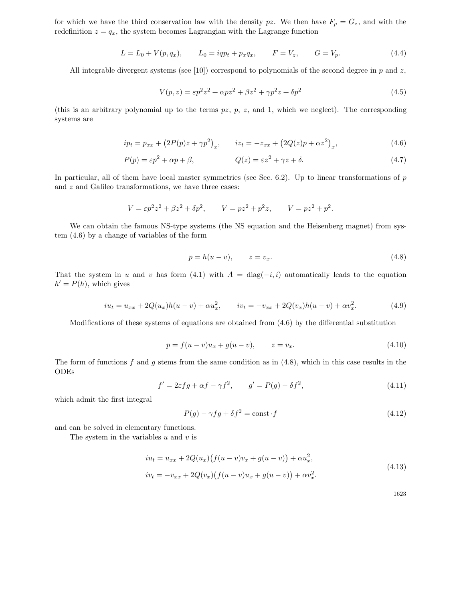for which we have the third conservation law with the density pz. We then have  $F_p = G_z$ , and with the redefinition  $z = q_x$ , the system becomes Lagrangian with the Lagrange function

$$
L = L_0 + V(p, q_x), \qquad L_0 = iqp_t + p_x q_x, \qquad F = V_z, \qquad G = V_p. \tag{4.4}
$$

All integrable divergent systems (see [10]) correspond to polynomials of the second degree in  $p$  and  $z$ ,

$$
V(p,z) = \varepsilon p^2 z^2 + \alpha p z^2 + \beta z^2 + \gamma p^2 z + \delta p^2 \tag{4.5}
$$

(this is an arbitrary polynomial up to the terms  $pz$ ,  $p$ ,  $z$ , and 1, which we neglect). The corresponding systems are

$$
ip_t = p_{xx} + (2P(p)z + \gamma p^2)_x, \qquad iz_t = -z_{xx} + (2Q(z)p + \alpha z^2)_x,
$$
\n(4.6)

$$
P(p) = \varepsilon p^2 + \alpha p + \beta, \qquad Q(z) = \varepsilon z^2 + \gamma z + \delta. \tag{4.7}
$$

In particular, all of them have local master symmetries (see Sec. 6.2). Up to linear transformations of  $p$ and z and Galileo transformations, we have three cases:

$$
V = \varepsilon p^2 z^2 + \beta z^2 + \delta p^2, \qquad V = p z^2 + p^2 z, \qquad V = p z^2 + p^2.
$$

We can obtain the famous NS-type systems (the NS equation and the Heisenberg magnet) from system (4.6) by a change of variables of the form

$$
p = h(u - v), \qquad z = v_x. \tag{4.8}
$$

That the system in u and v has form (4.1) with  $A = \text{diag}(-i, i)$  automatically leads to the equation  $h' = P(h)$ , which gives

$$
iu_t = u_{xx} + 2Q(u_x)h(u - v) + \alpha u_x^2, \qquad iv_t = -v_{xx} + 2Q(v_x)h(u - v) + \alpha v_x^2. \tag{4.9}
$$

Modifications of these systems of equations are obtained from (4.6) by the differential substitution

$$
p = f(u - v)u_x + g(u - v), \t z = v_x.
$$
\t(4.10)

The form of functions  $f$  and  $g$  stems from the same condition as in  $(4.8)$ , which in this case results in the ODEs

$$
f' = 2\varepsilon f g + \alpha f - \gamma f^2, \qquad g' = P(g) - \delta f^2,\tag{4.11}
$$

which admit the first integral

$$
P(g) - \gamma fg + \delta f^2 = \text{const} \cdot f \tag{4.12}
$$

and can be solved in elementary functions.

The system in the variables  $u$  and  $v$  is

$$
iu_t = u_{xx} + 2Q(u_x)\big(f(u-v)v_x + g(u-v)\big) + \alpha u_x^2,
$$
  
\n
$$
iv_t = -v_{xx} + 2Q(v_x)\big(f(u-v)u_x + g(u-v)\big) + \alpha v_x^2.
$$
\n(4.13)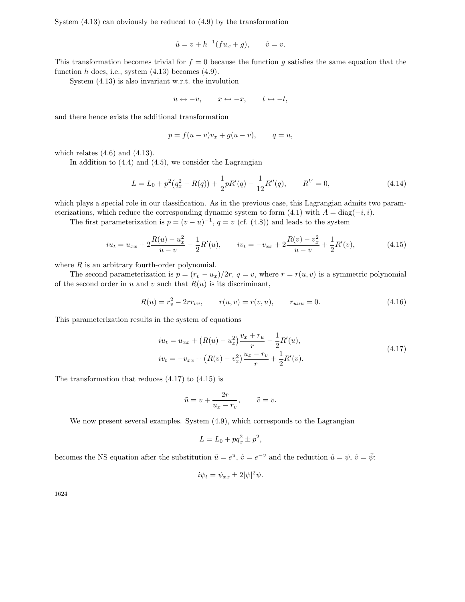System (4.13) can obviously be reduced to (4.9) by the transformation

$$
\tilde{u} = v + h^{-1}(fu_x + g), \qquad \tilde{v} = v.
$$

This transformation becomes trivial for  $f = 0$  because the function g satisfies the same equation that the function  $h$  does, i.e., system  $(4.13)$  becomes  $(4.9)$ .

System (4.13) is also invariant w.r.t. the involution

$$
u \leftrightarrow -v, \qquad x \leftrightarrow -x, \qquad t \leftrightarrow -t,
$$

and there hence exists the additional transformation

$$
p = f(u - v)v_x + g(u - v), \qquad q = u,
$$

which relates  $(4.6)$  and  $(4.13)$ .

In addition to  $(4.4)$  and  $(4.5)$ , we consider the Lagrangian

$$
L = L_0 + p^2 (q_x^2 - R(q)) + \frac{1}{2} pR'(q) - \frac{1}{12} R''(q), \qquad R^V = 0,
$$
\n(4.14)

which plays a special role in our classification. As in the previous case, this Lagrangian admits two parameterizations, which reduce the corresponding dynamic system to form  $(4.1)$  with  $A = diag(-i, i)$ .

The first parameterization is  $p = (v - u)^{-1}$ ,  $q = v$  (cf. (4.8)) and leads to the system

$$
iu_t = u_{xx} + 2\frac{R(u) - u_x^2}{u - v} - \frac{1}{2}R'(u), \qquad iv_t = -v_{xx} + 2\frac{R(v) - v_x^2}{u - v} + \frac{1}{2}R'(v),
$$
\n(4.15)

where  $R$  is an arbitrary fourth-order polynomial.

The second parameterization is  $p = (r_v - u_x)/2r$ ,  $q = v$ , where  $r = r(u, v)$  is a symmetric polynomial of the second order in u and v such that  $R(u)$  is its discriminant,

$$
R(u) = r_v^2 - 2rr_{vv}, \qquad r(u, v) = r(v, u), \qquad r_{uuu} = 0.
$$
\n(4.16)

This parameterization results in the system of equations

$$
iu_t = u_{xx} + (R(u) - u_x^2) \frac{v_x + r_u}{r} - \frac{1}{2}R'(u),
$$
  
\n
$$
iv_t = -v_{xx} + (R(v) - v_x^2) \frac{u_x - r_v}{r} + \frac{1}{2}R'(v).
$$
\n(4.17)

The transformation that reduces (4.17) to (4.15) is

$$
\tilde{u}=v+\frac{2r}{u_x-r_v},\qquad \tilde{v}=v.
$$

We now present several examples. System (4.9), which corresponds to the Lagrangian

$$
L = L_0 + pq_x^2 \pm p^2,
$$

becomes the NS equation after the substitution  $\tilde{u} = e^u$ ,  $\tilde{v} = e^{-v}$  and the reduction  $\tilde{u} = \psi$ ,  $\tilde{v} = \bar{\psi}$ :

$$
i\psi_t = \psi_{xx} \pm 2|\psi|^2 \psi.
$$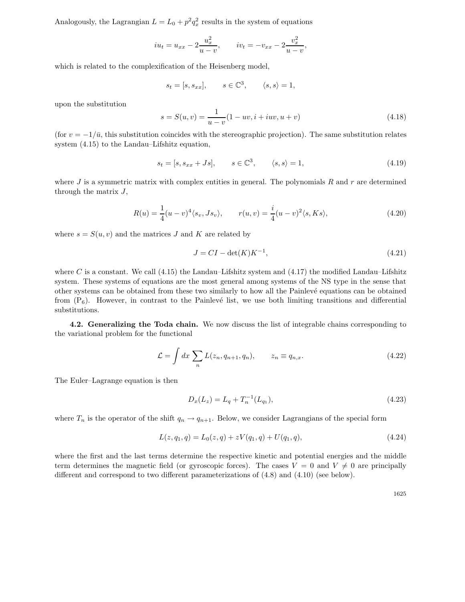Analogously, the Lagrangian  $L = L_0 + p^2 q_x^2$  results in the system of equations

$$
iu_t = u_{xx} - 2\frac{u_x^2}{u - v},
$$
  $iv_t = -v_{xx} - 2\frac{v_x^2}{u - v},$ 

which is related to the complexification of the Heisenberg model,

$$
s_t = [s, s_{xx}],
$$
  $s \in \mathbb{C}^3$ ,  $\langle s, s \rangle = 1$ ,

upon the substitution

$$
s = S(u, v) = \frac{1}{u - v}(1 - uv, i + iuv, u + v)
$$
\n(4.18)

(for  $v = -1/\bar{u}$ , this substitution coincides with the stereographic projection). The same substitution relates system (4.15) to the Landau–Lifshitz equation,

$$
s_t = [s, s_{xx} + Js], \qquad s \in \mathbb{C}^3, \qquad \langle s, s \rangle = 1,
$$
\n
$$
(4.19)
$$

where J is a symmetric matrix with complex entities in general. The polynomials R and r are determined through the matrix J,

$$
R(u) = \frac{1}{4}(u-v)^{4}\langle s_v, Js_v \rangle, \qquad r(u,v) = \frac{i}{4}(u-v)^{2}\langle s, Ks \rangle,
$$
\n(4.20)

where  $s = S(u, v)$  and the matrices J and K are related by

$$
J = CI - \det(K)K^{-1},\tag{4.21}
$$

where C is a constant. We call  $(4.15)$  the Landau–Lifshitz system and  $(4.17)$  the modified Landau–Lifshitz system. These systems of equations are the most general among systems of the NS type in the sense that other systems can be obtained from these two similarly to how all the Painlev´e equations can be obtained from  $(P_6)$ . However, in contrast to the Painlevé list, we use both limiting transitions and differential substitutions.

**4.2. Generalizing the Toda chain.** We now discuss the list of integrable chains corresponding to the variational problem for the functional

$$
\mathcal{L} = \int dx \sum_{n} L(z_n, q_{n+1}, q_n), \qquad z_n \equiv q_{n,x}.
$$
 (4.22)

The Euler–Lagrange equation is then

$$
D_x(L_z) = L_q + T_n^{-1}(L_{q_1}),
$$
\n(4.23)

where  $T_n$  is the operator of the shift  $q_n \to q_{n+1}$ . Below, we consider Lagrangians of the special form

$$
L(z, q_1, q) = L_0(z, q) + zV(q_1, q) + U(q_1, q), \qquad (4.24)
$$

where the first and the last terms determine the respective kinetic and potential energies and the middle term determines the magnetic field (or gyroscopic forces). The cases  $V = 0$  and  $V \neq 0$  are principally different and correspond to two different parameterizations of (4.8) and (4.10) (see below).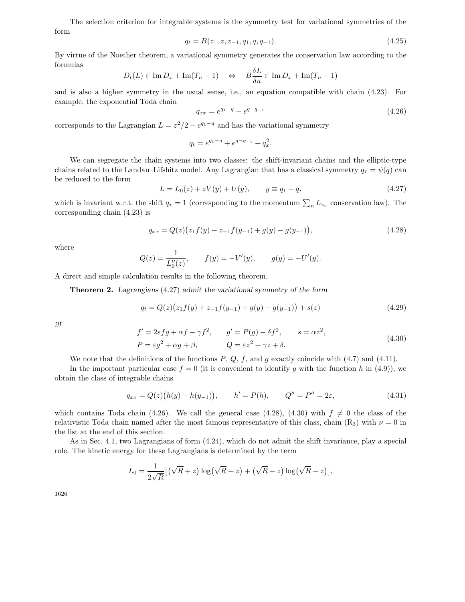The selection criterion for integrable systems is the symmetry test for variational symmetries of the form

$$
q_t = B(z_1, z, z_{-1}, q_1, q, q_{-1}).
$$
\n(4.25)

By virtue of the Noether theorem, a variational symmetry generates the conservation law according to the formulas

$$
D_t(L) \in \operatorname{Im} D_x + \operatorname{Im}(T_n - 1) \quad \Leftrightarrow \quad B\frac{\delta L}{\delta u} \in \operatorname{Im} D_x + \operatorname{Im}(T_n - 1)
$$

and is also a higher symmetry in the usual sense, i.e., an equation compatible with chain (4.23). For example, the exponential Toda chain

$$
q_{xx} = e^{q_1 - q} - e^{q - q_{-1}} \tag{4.26}
$$

corresponds to the Lagrangian  $L = z^2/2 - e^{q_1-q}$  and has the variational symmetry

$$
q_t = e^{q_1 - q} + e^{q - q_{-1}} + q_x^2.
$$

We can segregate the chain systems into two classes: the shift-invariant chains and the elliptic-type chains related to the Landau–Lifshitz model. Any Lagrangian that has a classical symmetry  $q_{\tau} = \psi(q)$  can be reduced to the form

$$
L = L_0(z) + zV(y) + U(y), \qquad y \equiv q_1 - q,\tag{4.27}
$$

which is invariant w.r.t. the shift  $q_{\tau} = 1$  (corresponding to the momentum  $\sum_{n} L_{z_n}$  conservation law). The corresponding chain (4.23) is

$$
q_{xx} = Q(z)\big(z_1 f(y) - z_{-1} f(y_{-1}) + g(y) - g(y_{-1})\big),\tag{4.28}
$$

where

$$
Q(z) = \frac{1}{L_0''(z)},
$$
  $f(y) = -V'(y),$   $g(y) = -U'(y).$ 

A direct and simple calculation results in the following theorem.

**Theorem 2.** *Lagrangians* (4.27) *admit the variational symmetry of the form*

$$
q_t = Q(z)\left(z_1 f(y) + z_{-1} f(y_{-1}) + g(y) + g(y_{-1})\right) + s(z)
$$
\n(4.29)

*iff*

$$
f' = 2\varepsilon f g + \alpha f - \gamma f^2, \qquad g' = P(g) - \delta f^2, \qquad s = \alpha z^2,
$$
  
\n
$$
P = \varepsilon g^2 + \alpha g + \beta, \qquad Q = \varepsilon z^2 + \gamma z + \delta.
$$
\n(4.30)

We note that the definitions of the functions  $P, Q, f$ , and g exactly coincide with (4.7) and (4.11).

In the important particular case  $f = 0$  (it is convenient to identify q with the function h in (4.9)), we obtain the class of integrable chains

$$
q_{xx} = Q(z)(h(y) - h(y_{-1})), \qquad h' = P(h), \qquad Q'' = P'' = 2\varepsilon,
$$
\n(4.31)

which contains Toda chain (4.26). We call the general case (4.28), (4.30) with  $f \neq 0$  the class of the relativistic Toda chain named after the most famous representative of this class, chain  $(R_3)$  with  $\nu = 0$  in the list at the end of this section.

As in Sec. 4.1, two Lagrangians of form (4.24), which do not admit the shift invariance, play a special role. The kinetic energy for these Lagrangians is determined by the term

$$
L_0 = \frac{1}{2\sqrt{R}} \left[ \left( \sqrt{R} + z \right) \log \left( \sqrt{R} + z \right) + \left( \sqrt{R} - z \right) \log \left( \sqrt{R} - z \right) \right],
$$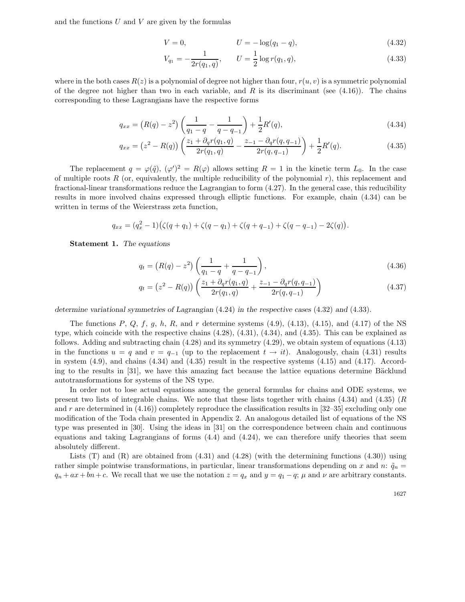and the functions  $U$  and  $V$  are given by the formulas

$$
V = 0, \t\t U = -\log(q_1 - q), \t\t (4.32)
$$

$$
V_{q_1} = -\frac{1}{2r(q_1, q)}, \qquad U = \frac{1}{2}\log r(q_1, q), \tag{4.33}
$$

where in the both cases  $R(z)$  is a polynomial of degree not higher than four,  $r(u, v)$  is a symmetric polynomial of the degree not higher than two in each variable, and R is its discriminant (see  $(4.16)$ ). The chains corresponding to these Lagrangians have the respective forms

$$
q_{xx} = (R(q) - z^2) \left( \frac{1}{q_1 - q} - \frac{1}{q - q_{-1}} \right) + \frac{1}{2} R'(q), \tag{4.34}
$$

$$
q_{xx} = (z^2 - R(q)) \left( \frac{z_1 + \partial_q r(q_1, q)}{2r(q_1, q)} - \frac{z_{-1} - \partial_q r(q, q_{-1})}{2r(q, q_{-1})} \right) + \frac{1}{2} R'(q). \tag{4.35}
$$

The replacement  $q = \varphi(\tilde{q}), (\varphi')^2 = R(\varphi)$  allows setting  $R = 1$  in the kinetic term  $L_0$ . In the case of multiple roots  $R$  (or, equivalently, the multiple reducibility of the polynomial  $r$ ), this replacement and fractional-linear transformations reduce the Lagrangian to form (4.27). In the general case, this reducibility results in more involved chains expressed through elliptic functions. For example, chain (4.34) can be written in terms of the Weierstrass zeta function,

$$
q_{xx} = (q_x^2 - 1)(\zeta(q + q_1) + \zeta(q - q_1) + \zeta(q + q_{-1}) + \zeta(q - q_{-1}) - 2\zeta(q)).
$$

**Statement 1.** *The equations*

$$
q_t = (R(q) - z^2) \left( \frac{1}{q_1 - q} + \frac{1}{q - q_{-1}} \right),
$$
\n(4.36)

$$
q_t = (z^2 - R(q)) \left( \frac{z_1 + \partial_q r(q_1, q)}{2r(q_1, q)} + \frac{z_{-1} - \partial_q r(q, q_{-1})}{2r(q, q_{-1})} \right)
$$
(4.37)

*determine variational symmetries of Lagrangian* (4.24) *in the respective cases* (4.32) *and* (4.33)*.*

The functions  $P, Q, f, g, h, R$ , and  $r$  determine systems (4.9), (4.13), (4.15), and (4.17) of the NS type, which coincide with the respective chains (4.28), (4.31), (4.34), and (4.35). This can be explained as follows. Adding and subtracting chain (4.28) and its symmetry (4.29), we obtain system of equations (4.13) in the functions  $u = q$  and  $v = q_{-1}$  (up to the replacement  $t \to it$ ). Analogously, chain (4.31) results in system  $(4.9)$ , and chains  $(4.34)$  and  $(4.35)$  result in the respective systems  $(4.15)$  and  $(4.17)$ . According to the results in  $[31]$ , we have this amazing fact because the lattice equations determine Bäcklund autotransformations for systems of the NS type.

In order not to lose actual equations among the general formulas for chains and ODE systems, we present two lists of integrable chains. We note that these lists together with chains  $(4.34)$  and  $(4.35)$  (R and r are determined in  $(4.16)$ ) completely reproduce the classification results in [32–35] excluding only one modification of the Toda chain presented in Appendix 2. An analogous detailed list of equations of the NS type was presented in [30]. Using the ideas in [31] on the correspondence between chain and continuous equations and taking Lagrangians of forms  $(4.4)$  and  $(4.24)$ , we can therefore unify theories that seem absolutely different.

Lists  $(T)$  and  $(R)$  are obtained from  $(4.31)$  and  $(4.28)$  (with the determining functions  $(4.30)$ ) using rather simple pointwise transformations, in particular, linear transformations depending on x and n:  $\tilde{q}_n =$  $q_n + ax + bn + c$ . We recall that we use the notation  $z = q_x$  and  $y = q_1 - q$ ;  $\mu$  and  $\nu$  are arbitrary constants.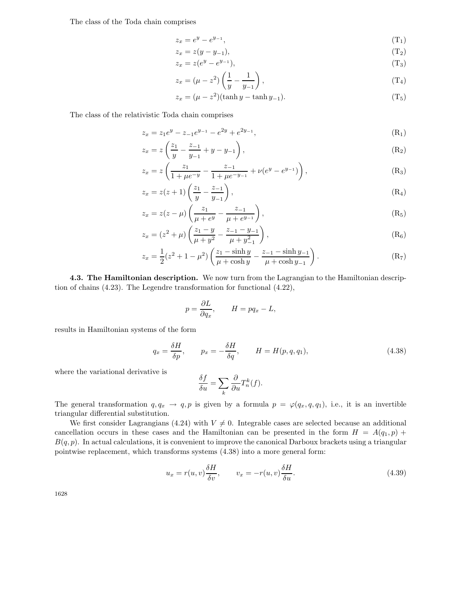The class of the Toda chain comprises

$$
z_x = e^y - e^{y_{-1}}, \tag{T_1}
$$

$$
z_x = z(y - y_{-1}),
$$
 (T<sub>2</sub>)

$$
z_x = z(e^y - e^{y-1}), \tag{T}_3
$$

$$
z_x = (\mu - z^2) \left( \frac{1}{y} - \frac{1}{y-1} \right),\tag{T4}
$$

$$
z_x = (\mu - z^2)(\tanh y - \tanh y_{-1}).
$$
\n(T<sub>5</sub>)

The class of the relativistic Toda chain comprises

$$
z_x = z_1 e^y - z_{-1} e^{y_{-1}} - e^{2y} + e^{2y_{-1}}, \tag{R_1}
$$

$$
z_x = z \left( \frac{z_1}{y} - \frac{z_{-1}}{y_{-1}} + y - y_{-1} \right), \tag{R_2}
$$

$$
z_x = z \left( \frac{z_1}{1 + \mu e^{-y}} - \frac{z_{-1}}{1 + \mu e^{-y_{-1}}} + \nu (e^y - e^{y_{-1}}) \right), \tag{R_3}
$$

$$
z_x = z(z+1) \left( \frac{z_1}{y} - \frac{z_{-1}}{y_{-1}} \right), \tag{R4}
$$

$$
z_x = z(z - \mu) \left( \frac{z_1}{\mu + e^y} - \frac{z_{-1}}{\mu + e^{y_{-1}}} \right), \tag{R_5}
$$

$$
z_x = (z^2 + \mu) \left( \frac{z_1 - y}{\mu + y^2} - \frac{z_{-1} - y_{-1}}{\mu + y_{-1}^2} \right),
$$
 (R<sub>6</sub>)

$$
z_x = \frac{1}{2}(z^2 + 1 - \mu^2) \left( \frac{z_1 - \sinh y}{\mu + \cosh y} - \frac{z_{-1} - \sinh y_{-1}}{\mu + \cosh y_{-1}} \right).
$$
 (R<sub>7</sub>)

**4.3. The Hamiltonian description.** We now turn from the Lagrangian to the Hamiltonian description of chains (4.23). The Legendre transformation for functional (4.22),

$$
p = \frac{\partial L}{\partial q_x}, \qquad H = pq_x - L,
$$

results in Hamiltonian systems of the form

$$
q_x = \frac{\delta H}{\delta p}, \qquad p_x = -\frac{\delta H}{\delta q}, \qquad H = H(p, q, q_1), \tag{4.38}
$$

where the variational derivative is

$$
\frac{\delta f}{\delta u} = \sum_{k} \frac{\partial}{\partial u} T_n^k(f).
$$

The general transformation  $q, q_x \to q, p$  is given by a formula  $p = \varphi(q_x, q, q_1)$ , i.e., it is an invertible triangular differential substitution.

We first consider Lagrangians (4.24) with  $V \neq 0$ . Integrable cases are selected because an additional cancellation occurs in these cases and the Hamiltonian can be presented in the form  $H = A(q_1, p) +$  $B(q, p)$ . In actual calculations, it is convenient to improve the canonical Darboux brackets using a triangular pointwise replacement, which transforms systems (4.38) into a more general form:

$$
u_x = r(u, v)\frac{\delta H}{\delta v}, \qquad v_x = -r(u, v)\frac{\delta H}{\delta u}.
$$
\n(4.39)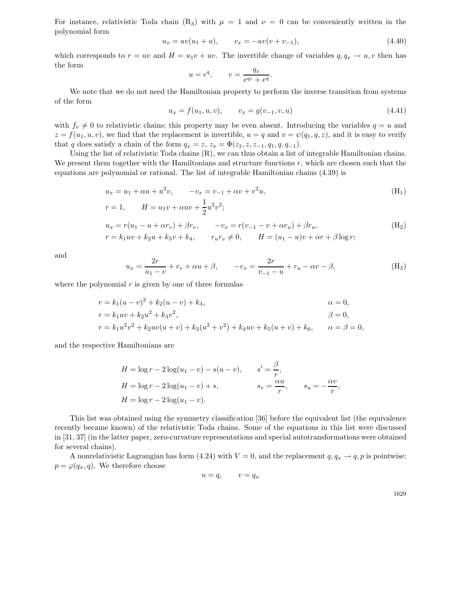For instance, relativistic Toda chain  $(R_3)$  with  $\mu = 1$  and  $\nu = 0$  can be conveniently written in the polynomial form

$$
u_x = uv(u_1 + u), \qquad v_x = -uv(v + v_{-1}), \tag{4.40}
$$

which corresponds to  $r = uv$  and  $H = u_1v + uv$ . The invertible change of variables  $q, q_x \to u, v$  then has the form

$$
u = e^q, \qquad v = \frac{q_x}{e^{q_1} + e^q}.
$$

We note that we do not need the Hamiltonian property to perform the inverse transition from systems of the form

$$
u_x = f(u_1, u, v), \qquad v_x = g(v_{-1}, v, u) \tag{4.41}
$$

with  $f_v \neq 0$  to relativistic chains; this property may be even absent. Introducing the variables  $q = u$  and  $z = f(u_1, u, v)$ , we find that the replacement is invertible,  $u = q$  and  $v = \psi(q_1, q, z)$ , and it is easy to verify that q does satisfy a chain of the form  $q_x = z$ ,  $z_x = \Phi(z_1, z, z_{-1}, q_1, q, q_{-1})$ .

Using the list of relativistic Toda chains (R), we can thus obtain a list of integrable Hamiltonian chains. We present them together with the Hamiltonians and structure functions  $r$ , which are chosen such that the equations are polynomial or rational. The list of integrable Hamiltonian chains (4.39) is

$$
u_x = u_1 + \alpha u + u^2 v, \t -v_x = v_{-1} + \alpha v + v^2 u,
$$
  
\n
$$
r = 1, \t H = u_1 v + \alpha u v + \frac{1}{2} u^2 v^2;
$$
  
\n
$$
u_x = r(u_1 - u + \alpha r_v) + \beta r_v, \t -v_x = r(v_{-1} - v + \alpha r_u) + \beta r_u,
$$
  
\n
$$
r = k_1 u v + k_2 u + k_3 v + k_4, \t r_u r_v \neq 0, \t H = (u_1 - u)v + \alpha r + \beta \log r;
$$
  
\n(H<sub>2</sub>)

and

$$
u_x = \frac{2r}{u_1 - v} + r_v + \alpha u + \beta, \qquad -v_x = \frac{2r}{v_{-1} - u} + r_u - \alpha v - \beta,
$$
 (H<sub>3</sub>)

where the polynomial  $r$  is given by one of three formulas

$$
r = k_1(u - v)^2 + k_2(u - v) + k_3,
$$
  
\n
$$
r = k_1uv + k_2u^2 + k_3v^2,
$$
  
\n
$$
r = k_1u^2v^2 + k_2uv(u + v) + k_3(u^2 + v^2) + k_4uv + k_5(u + v) + k_6,
$$
  
\n
$$
\alpha = 0,
$$
  
\n
$$
\beta = 0,
$$
  
\n
$$
\alpha = 0,
$$
  
\n
$$
\beta = 0,
$$
  
\n
$$
\alpha = \beta = 0,
$$

and the respective Hamiltonians are

$$
H = \log r - 2\log(u_1 - v) - s(u - v), \qquad s' = \frac{\beta}{r},
$$
  
\n
$$
H = \log r - 2\log(u_1 - v) + s, \qquad s_v = \frac{\alpha u}{r}, \qquad s_u = -\frac{\alpha v}{r},
$$
  
\n
$$
H = \log r - 2\log(u_1 - v).
$$

This list was obtained using the symmetry classification [36] before the equivalent list (the equivalence recently became known) of the relativistic Toda chains. Some of the equations in this list were discussed in [31, 37] (in the latter paper, zero-curvature representations and special autotransformations were obtained for several chains).

A nonrelativistic Lagrangian has form (4.24) with  $V = 0$ , and the replacement  $q, q_x \rightarrow q, p$  is pointwise:  $p = \varphi(q_x, q)$ . We therefore choose

$$
u=q, \qquad v=q_x
$$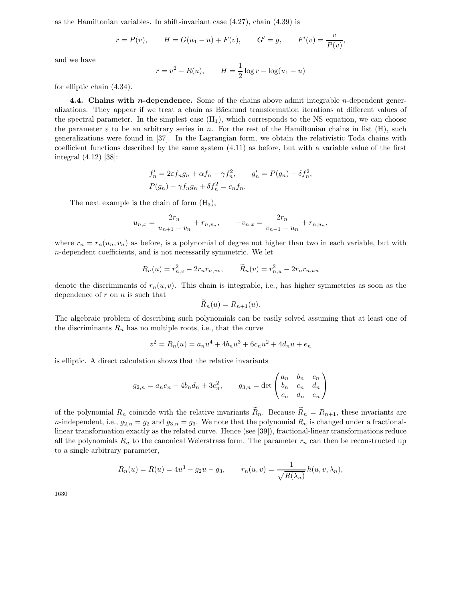as the Hamiltonian variables. In shift-invariant case (4.27), chain (4.39) is

$$
r = P(v)
$$
,  $H = G(u_1 - u) + F(v)$ ,  $G' = g$ ,  $F'(v) = \frac{v}{P(v)}$ ,

and we have

$$
r = v^2 - R(u)
$$
,  $H = \frac{1}{2} \log r - \log(u_1 - u)$ 

for elliptic chain (4.34).

**4.4. Chains with** *n***-dependence.** Some of the chains above admit integrable *n*-dependent generalizations. They appear if we treat a chain as Bäcklund transformation iterations at different values of the spectral parameter. In the simplest case  $(H_1)$ , which corresponds to the NS equation, we can choose the parameter  $\varepsilon$  to be an arbitrary series in n. For the rest of the Hamiltonian chains in list (H), such generalizations were found in [37]. In the Lagrangian form, we obtain the relativistic Toda chains with coefficient functions described by the same system (4.11) as before, but with a variable value of the first integral (4.12) [38]:

$$
f'_n = 2\varepsilon f_n g_n + \alpha f_n - \gamma f_n^2, \qquad g'_n = P(g_n) - \delta f_n^2,
$$
  

$$
P(g_n) - \gamma f_n g_n + \delta f_n^2 = c_n f_n.
$$

The next example is the chain of form  $(H_3)$ ,

$$
u_{n,x} = \frac{2r_n}{u_{n+1} - v_n} + r_{n,v_n}, \qquad -v_{n,x} = \frac{2r_n}{v_{n-1} - u_n} + r_{n,u_n},
$$

where  $r_n = r_n(u_n, v_n)$  as before, is a polynomial of degree not higher than two in each variable, but with n-dependent coefficients, and is not necessarily symmetric. We let

$$
R_n(u) = r_{n,v}^2 - 2r_n r_{n,vv}, \qquad \widetilde{R}_n(v) = r_{n,u}^2 - 2r_n r_{n,uu}
$$

denote the discriminants of  $r_n(u, v)$ . This chain is integrable, i.e., has higher symmetries as soon as the dependence of  $r$  on  $n$  is such that

$$
R_n(u) = R_{n+1}(u).
$$

The algebraic problem of describing such polynomials can be easily solved assuming that at least one of the discriminants  $R_n$  has no multiple roots, i.e., that the curve

$$
z^{2} = R_{n}(u) = a_{n}u^{4} + 4b_{n}u^{3} + 6c_{n}u^{2} + 4d_{n}u + e_{n}
$$

is elliptic. A direct calculation shows that the relative invariants

$$
g_{2,n} = a_n e_n - 4b_n d_n + 3c_n^2
$$
,  $g_{3,n} = \det \begin{pmatrix} a_n & b_n & c_n \\ b_n & c_n & d_n \\ c_n & d_n & e_n \end{pmatrix}$ 

of the polynomial  $R_n$  coincide with the relative invariants  $\widetilde{R}_n$ . Because  $\widetilde{R}_n = R_{n+1}$ , these invariants are n-independent, i.e.,  $g_{2,n} = g_2$  and  $g_{3,n} = g_3$ . We note that the polynomial  $R_n$  is changed under a fractionallinear transformation exactly as the related curve. Hence (see [39]), fractional-linear transformations reduce all the polynomials  $R_n$  to the canonical Weierstrass form. The parameter  $r_n$  can then be reconstructed up to a single arbitrary parameter,

$$
R_n(u) = R(u) = 4u^3 - g_2u - g_3, \qquad r_n(u, v) = \frac{1}{\sqrt{R(\lambda_n)}} h(u, v, \lambda_n),
$$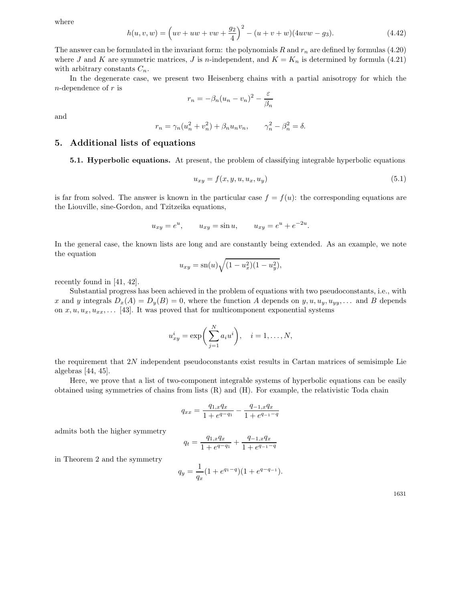where

$$
h(u, v, w) = \left(uv + uw + vw + \frac{g_2}{4}\right)^2 - (u + v + w)(4uvw - g_3).
$$
 (4.42)

The answer can be formulated in the invariant form: the polynomials R and  $r_n$  are defined by formulas (4.20) where J and K are symmetric matrices, J is n-independent, and  $K = K_n$  is determined by formula (4.21) with arbitrary constants  $C_n$ .

In the degenerate case, we present two Heisenberg chains with a partial anisotropy for which the  $n$ -dependence of  $r$  is

$$
r_n = -\beta_n (u_n - v_n)^2 - \frac{\varepsilon}{\beta_n}
$$

and

$$
r_n = \gamma_n (u_n^2 + v_n^2) + \beta_n u_n v_n, \qquad \gamma_n^2 - \beta_n^2 = \delta.
$$

## **5.** Additional lists of equations

**5.1. Hyperbolic equations.** At present, the problem of classifying integrable hyperbolic equations

$$
u_{xy} = f(x, y, u, u_x, u_y) \tag{5.1}
$$

is far from solved. The answer is known in the particular case  $f = f(u)$ : the corresponding equations are the Liouville, sine-Gordon, and Tzitzeika equations,

$$
u_{xy} = e^u
$$
,  $u_{xy} = \sin u$ ,  $u_{xy} = e^u + e^{-2u}$ .

In the general case, the known lists are long and are constantly being extended. As an example, we note the equation

$$
u_{xy} = \mathrm{sn}(u)\sqrt{(1 - u_x^2)(1 - u_y^2)},
$$

recently found in [41, 42].

Substantial progress has been achieved in the problem of equations with two pseudoconstants, i.e., with x and y integrals  $D_x(A) = D_y(B) = 0$ , where the function A depends on  $y, u, u_y, u_{yy}, \dots$  and B depends on  $x, u, u_x, u_{xx}, \ldots$  [43]. It was proved that for multicomponent exponential systems

$$
u_{xy}^i = \exp\bigg(\sum_{j=1}^N a_i u^i\bigg), \quad i = 1, \dots, N,
$$

the requirement that 2N independent pseudoconstants exist results in Cartan matrices of semisimple Lie algebras [44, 45].

Here, we prove that a list of two-component integrable systems of hyperbolic equations can be easily obtained using symmetries of chains from lists (R) and (H). For example, the relativistic Toda chain

$$
q_{xx} = \frac{q_{1,x}q_x}{1 + e^{q - q_1}} - \frac{q_{-1,x}q_x}{1 + e^{q_{-1} - q_1}}
$$

admits both the higher symmetry

$$
q_t = \frac{q_{1,x}q_x}{1 + e^{q - q_1}} + \frac{q_{-1,x}q_x}{1 + e^{q_{-1} - q}}
$$

in Theorem 2 and the symmetry

$$
q_y = \frac{1}{q_x}(1 + e^{q_1 - q})(1 + e^{q - q_{-1}}).
$$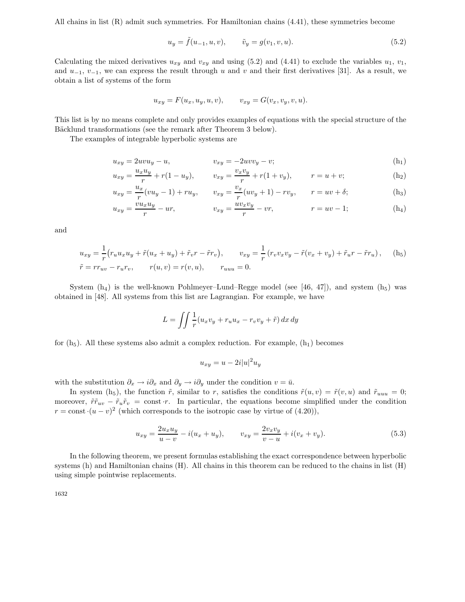All chains in list (R) admit such symmetries. For Hamiltonian chains (4.41), these symmetries become

$$
u_y = \tilde{f}(u_{-1}, u, v), \qquad \tilde{v}_y = g(v_1, v, u). \tag{5.2}
$$

Calculating the mixed derivatives  $u_{xy}$  and  $v_{xy}$  and using (5.2) and (4.41) to exclude the variables  $u_1, v_1$ , and  $u_{-1}$ ,  $v_{-1}$ , we can express the result through u and v and their first derivatives [31]. As a result, we obtain a list of systems of the form

$$
u_{xy} = F(u_x, u_y, u, v), \qquad v_{xy} = G(v_x, v_y, v, u).
$$

This list is by no means complete and only provides examples of equations with the special structure of the Bäcklund transformations (see the remark after Theorem 3 below).

The examples of integrable hyperbolic systems are

$$
u_{xy} = 2uvu_y - u, \t v_{xy} = -2uvv_y - v;
$$
\t\t\t(h<sub>1</sub>)

$$
u_{xy} = \frac{u_x u_y}{r} + r(1 - u_y), \qquad v_{xy} = \frac{v_x v_y}{r} + r(1 + v_y), \qquad r = u + v; \tag{h_2}
$$

$$
u_{xy} = \frac{u_x}{r}(vu_y - 1) + ru_y, \qquad v_{xy} = \frac{v_x}{r}(uv_y + 1) - rv_y, \qquad r = uv + \delta; \tag{h_3}
$$

$$
u_{xy} = \frac{vu_x u_y}{r} - ur,
$$
 
$$
v_{xy} = \frac{uv_x v_y}{r} - vr,
$$
 
$$
r = uv - 1;
$$
 (h<sub>4</sub>)

and

$$
u_{xy} = \frac{1}{r} (r_u u_x u_y + \tilde{r}(u_x + u_y) + \tilde{r}_v r - \tilde{r}r_v), \qquad v_{xy} = \frac{1}{r} (r_v v_x v_y - \tilde{r}(v_x + v_y) + \tilde{r}_u r - \tilde{r}r_u), \qquad (h_5)
$$
  

$$
\tilde{r} = r r_{uv} - r_u r_v, \qquad r(u, v) = r(v, u), \qquad r_{uuu} = 0.
$$

System  $(h_4)$  is the well-known Pohlmeyer–Lund–Regge model (see [46, 47]), and system  $(h_5)$  was obtained in [48]. All systems from this list are Lagrangian. For example, we have

$$
L = \iint \frac{1}{r} (u_x v_y + r_u u_x - r_v v_y + \tilde{r}) dx dy
$$

for  $(h_5)$ . All these systems also admit a complex reduction. For example,  $(h_1)$  becomes

$$
u_{xy} = u - 2i|u|^2 u_y
$$

with the substitution  $\partial_x \to i\partial_x$  and  $\partial_y \to i\partial_y$  under the condition  $v = \bar{u}$ .

In system (h<sub>5</sub>), the function  $\tilde{r}$ , similar to r, satisfies the conditions  $\tilde{r}(u, v) = \tilde{r}(v, u)$  and  $\tilde{r}_{uuu} = 0$ ; moreover,  $\tilde{r}vw - \tilde{r}_u\tilde{r}_v = \text{const} \cdot r$ . In particular, the equations become simplified under the condition  $r = \text{const} \cdot (u - v)^2$  (which corresponds to the isotropic case by virtue of (4.20)),

$$
u_{xy} = \frac{2u_x u_y}{u - v} - i(u_x + u_y), \qquad v_{xy} = \frac{2v_x v_y}{v - u} + i(v_x + v_y).
$$
 (5.3)

In the following theorem, we present formulas establishing the exact correspondence between hyperbolic systems (h) and Hamiltonian chains (H). All chains in this theorem can be reduced to the chains in list (H) using simple pointwise replacements.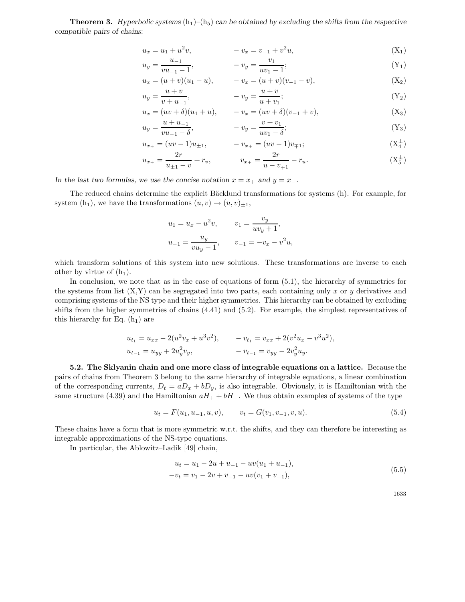**Theorem 3.** *Hyperbolic systems*  $(h_1)$ – $(h_5)$  *can be obtained by excluding the shifts from the respective compatible pairs of chains*:

$$
u_x = u_1 + u^2 v, \qquad -v_x = v_{-1} + v^2 u,
$$
\n(X<sub>1</sub>)

$$
u_y = \frac{u_{-1}}{vu_{-1} - 1}, \qquad -v_y = \frac{v_1}{uv_1 - 1}; \qquad (Y_1)
$$

$$
u_x = (u+v)(u_1-u), \qquad -v_x = (u+v)(v_{-1}-v), \qquad (X_2)
$$

$$
u_y = \frac{u+v}{v+u_{-1}}, \qquad -v_y = \frac{u+v}{u+v_1}; \tag{Y_2}
$$

$$
u_x = (uv + \delta)(u_1 + u), \t -v_x = (uv + \delta)(v_{-1} + v),
$$
  
\n
$$
u_y = \frac{u + u_{-1}}{uv - s}, \t -v_y = \frac{v + v_1}{uv - s};
$$
  
\n
$$
(Y_3)
$$

$$
= \frac{w + w - 1}{vu_{-1} - \delta}, \qquad -v_y = \frac{v + v_1}{uv_1 - \delta}; \qquad (Y_3)
$$

$$
u_{x_{\pm}} = (uv - 1)u_{\pm 1}, \qquad -v_{x_{\pm}} = (uv - 1)v_{\mp 1}; \qquad (X_4^{\pm})
$$

$$
u_{x_{\pm}} = \frac{2r}{u_{\pm 1} - v} + r_v, \qquad v_{x_{\pm}} = \frac{2r}{u - v_{\mp 1}} - r_u.
$$
 (X<sub>5</sub><sup>±</sup>)

In the last two formulas, we use the concise notation  $x = x_+$  and  $y = x_-$ .

The reduced chains determine the explicit Bäcklund transformations for systems (h). For example, for system  $(h_1)$ , we have the transformations  $(u, v) \rightarrow (u, v)_{\pm 1}$ ,

$$
u_1 = u_x - u^2 v, \t v_1 = \frac{v_y}{uv_y + 1},
$$
  

$$
u_{-1} = \frac{u_y}{vu_y - 1}, \t v_{-1} = -v_x - v^2 u,
$$

which transform solutions of this system into new solutions. These transformations are inverse to each other by virtue of  $(h_1)$ .

In conclusion, we note that as in the case of equations of form (5.1), the hierarchy of symmetries for the systems from list  $(X, Y)$  can be segregated into two parts, each containing only x or y derivatives and comprising systems of the NS type and their higher symmetries. This hierarchy can be obtained by excluding shifts from the higher symmetries of chains (4.41) and (5.2). For example, the simplest representatives of this hierarchy for Eq.  $(h_1)$  are

$$
u_{t_1} = u_{xx} - 2(u^2v_x + u^3v^2), \qquad -v_{t_1} = v_{xx} + 2(v^2u_x - v^3u^2),
$$
  

$$
u_{t_{-1}} = u_{yy} + 2u_y^2v_y, \qquad -v_{t_{-1}} = v_{yy} - 2v_y^2u_y.
$$

**5.2. The Sklyanin chain and one more classof integrable equationson a lattice.** Because the pairs of chains from Theorem 3 belong to the same hierarchy of integrable equations, a linear combination of the corresponding currents,  $D_t = aD_x + bD_y$ , is also integrable. Obviously, it is Hamiltonian with the same structure (4.39) and the Hamiltonian  $aH_+ + bH_-$ . We thus obtain examples of systems of the type

$$
u_t = F(u_1, u_{-1}, u, v), \qquad v_t = G(v_1, v_{-1}, v, u). \tag{5.4}
$$

These chains have a form that is more symmetric w.r.t. the shifts, and they can therefore be interesting as integrable approximations of the NS-type equations.

In particular, the Ablowitz–Ladik [49] chain,

$$
u_t = u_1 - 2u + u_{-1} - uv(u_1 + u_{-1}),
$$
  
\n
$$
-v_t = v_1 - 2v + v_{-1} - uv(v_1 + v_{-1}),
$$
\n(5.5)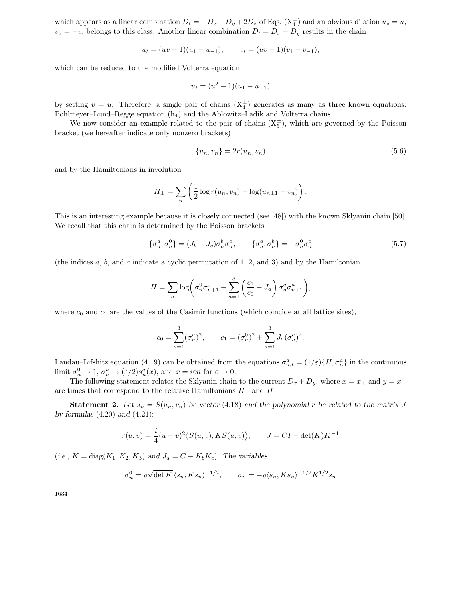which appears as a linear combination  $D_t = -D_x - D_y + 2D_z$  of Eqs.  $(X_4^{\pm})$  and an obvious dilation  $u_z = u$ ,  $v_z = -v$ , belongs to this class. Another linear combination  $D_t = D_x - D_y$  results in the chain

$$
u_t = (uv - 1)(u_1 - u_{-1}), \qquad v_t = (uv - 1)(v_1 - v_{-1}),
$$

which can be reduced to the modified Volterra equation

$$
u_t = (u^2 - 1)(u_1 - u_{-1})
$$

by setting  $v = u$ . Therefore, a single pair of chains  $(X_4^{\pm})$  generates as many as three known equations: Pohlmeyer–Lund–Regge equation  $(h_4)$  and the Ablowitz–Ladik and Volterra chains.

We now consider an example related to the pair of chains  $(X_5^{\pm})$ , which are governed by the Poisson bracket (we hereafter indicate only nonzero brackets)

$$
\{u_n, v_n\} = 2r(u_n, v_n) \tag{5.6}
$$

and by the Hamiltonians in involution

$$
H_{\pm} = \sum_{n} \left( \frac{1}{2} \log r(u_n, v_n) - \log(u_{n \pm 1} - v_n) \right).
$$

This is an interesting example because it is closely connected (see [48]) with the known Sklyanin chain [50]. We recall that this chain is determined by the Poisson brackets

$$
\{\sigma_n^a, \sigma_n^0\} = (J_b - J_c)\sigma_n^b \sigma_n^c, \qquad \{\sigma_n^a, \sigma_n^b\} = -\sigma_n^0 \sigma_n^c \tag{5.7}
$$

(the indices  $a, b$ , and c indicate a cyclic permutation of 1, 2, and 3) and by the Hamiltonian

$$
H = \sum_{n} \log \left( \sigma_n^0 \sigma_{n+1}^0 + \sum_{a=1}^3 \left( \frac{c_1}{c_0} - J_a \right) \sigma_n^a \sigma_{n+1}^a \right),
$$

where  $c_0$  and  $c_1$  are the values of the Casimir functions (which coincide at all lattice sites),

$$
c_0 = \sum_{a=1}^3 (\sigma_n^a)^2
$$
,  $c_1 = (\sigma_n^0)^2 + \sum_{a=1}^3 J_a (\sigma_n^a)^2$ .

Landau–Lifshitz equation (4.19) can be obtained from the equations  $\sigma_{n,t}^a = (1/\varepsilon) \{H, \sigma_n^a\}$  in the continuous limit  $\sigma_n^0 \to 1$ ,  $\sigma_n^a \to (\varepsilon/2)s_n^a(x)$ , and  $x = i\varepsilon n$  for  $\varepsilon \to 0$ .

The following statement relates the Sklyanin chain to the current  $D_x + D_y$ , where  $x = x_+$  and  $y = x_$ are times that correspond to the relative Hamiltonians  $H_+$  and  $H_-$ .

**Statement 2.** Let  $s_n = S(u_n, v_n)$  be vector (4.18) and the polynomial r be related to the matrix J *by formulas* (4.20) *and* (4.21):

$$
r(u,v) = \frac{i}{4}(u-v)^2 \langle S(u,v), KS(u,v) \rangle, \qquad J = CI - \det(K)K^{-1}
$$

 $(i.e., K = diag(K_1, K_2, K_3)$  and  $J_a = C - K_b K_c$ *)*. The variables

$$
\sigma_n^0 = \rho \sqrt{\det K} \left\langle s_n, K s_n \right\rangle^{-1/2}, \qquad \sigma_n = -\rho \langle s_n, K s_n \rangle^{-1/2} K^{1/2} s_n
$$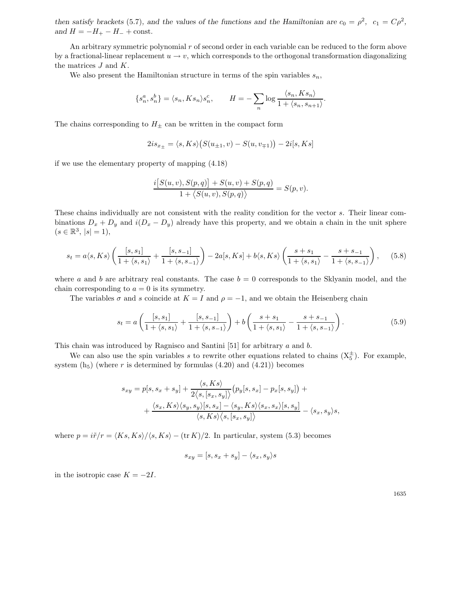*then satisfy brackets* (5.7)*, and the values of the functions and the Hamiltonian are*  $c_0 = \rho^2$ ,  $c_1 = C\rho^2$ *, and*  $H = -H_{+} - H_{-} + \text{const.}$ 

An arbitrary symmetric polynomial  $r$  of second order in each variable can be reduced to the form above by a fractional-linear replacement  $u \to v$ , which corresponds to the orthogonal transformation diagonalizing the matrices  $J$  and  $K$ .

We also present the Hamiltonian structure in terms of the spin variables  $s_n$ ,

$$
\{s_n^a,s_n^b\}=\langle s_n,Ks_n\rangle s_n^c, \qquad H=-\sum_n\log\frac{\langle s_n,Ks_n\rangle}{1+\langle s_n,s_{n+1}\rangle}.
$$

The chains corresponding to  $H_{\pm}$  can be written in the compact form

$$
2is_{x_{\pm}} = \langle s, Ks \rangle \big( S(u_{\pm 1}, v) - S(u, v_{\mp 1}) \big) - 2i[s, Ks]
$$

if we use the elementary property of mapping (4.18)

$$
\frac{i[S(u,v),S(p,q)] + S(u,v) + S(p,q)}{1 + \langle S(u,v),S(p,q) \rangle} = S(p,v).
$$

These chains individually are not consistent with the reality condition for the vector s. Their linear combinations  $D_x + D_y$  and  $i(D_x - D_y)$  already have this property, and we obtain a chain in the unit sphere  $(s \in \mathbb{R}^3, |s| = 1),$ 

$$
s_t = a\langle s, Ks \rangle \left( \frac{[s, s_1]}{1 + \langle s, s_1 \rangle} + \frac{[s, s_{-1}]}{1 + \langle s, s_{-1} \rangle} \right) - 2a[s, Ks] + b\langle s, Ks \rangle \left( \frac{s + s_1}{1 + \langle s, s_1 \rangle} - \frac{s + s_{-1}}{1 + \langle s, s_{-1} \rangle} \right), \tag{5.8}
$$

where a and b are arbitrary real constants. The case  $b = 0$  corresponds to the Sklyanin model, and the chain corresponding to  $a = 0$  is its symmetry.

The variables  $\sigma$  and s coincide at  $K = I$  and  $\rho = -1$ , and we obtain the Heisenberg chain

$$
s_t = a\left(\frac{\left[s,s_1\right]}{1+\left} + \frac{\left[s,s_{-1}\right]}{1+\left}\right) + b\left(\frac{s+s_1}{1+\left} - \frac{s+s_{-1}}{1+\left}\right). \tag{5.9}
$$

This chain was introduced by Ragnisco and Santini [51] for arbitrary a and b.

We can also use the spin variables s to rewrite other equations related to chains  $(X_5^{\pm})$ . For example, system  $(h_5)$  (where r is determined by formulas  $(4.20)$  and  $(4.21)$ ) becomes

$$
s_{xy} = p[s, s_x + s_y] + \frac{\langle s, Ks \rangle}{2\langle s, [s_x, s_y] \rangle} (p_y[s, s_x] - p_x[s, s_y]) + + \frac{\langle s_x, Ks \rangle \langle s_y, s_y \rangle [s, s_x] - \langle s_y, Ks \rangle \langle s_x, s_x \rangle [s, s_y] }{\langle s, Ks \rangle \langle s, [s_x, s_y] \rangle} - \langle s_x, s_y \rangle s,
$$

where  $p = i\tilde{r}/r = \langle Ks, Ks \rangle / \langle s, Ks \rangle - (\text{tr } K)/2$ . In particular, system (5.3) becomes

$$
s_{xy} = [s, s_x + s_y] - \langle s_x, s_y \rangle s
$$

in the isotropic case  $K = -2I$ .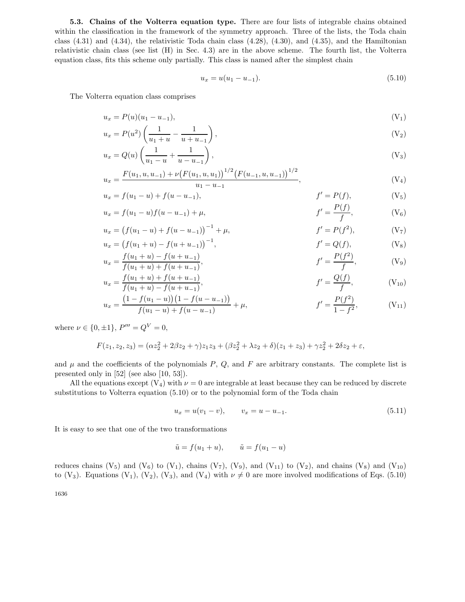**5.3. Chains of the Volterra equation type.** There are four lists of integrable chains obtained within the classification in the framework of the symmetry approach. Three of the lists, the Toda chain class  $(4.31)$  and  $(4.34)$ , the relativistic Toda chain class  $(4.28)$ ,  $(4.30)$ , and  $(4.35)$ , and the Hamiltonian relativistic chain class (see list (H) in Sec. 4.3) are in the above scheme. The fourth list, the Volterra equation class, fits this scheme only partially. This class is named after the simplest chain

$$
u_x = u(u_1 - u_{-1}). \tag{5.10}
$$

The Volterra equation class comprises

$$
u_x = P(u)(u_1 - u_{-1}), \tag{V_1}
$$

$$
u_x = P(u^2) \left( \frac{1}{u_1 + u} - \frac{1}{u + u_{-1}} \right),
$$
\n(V<sub>2</sub>)

$$
u_x = Q(u) \left( \frac{1}{u_1 - u} + \frac{1}{u - u_{-1}} \right),
$$
\n<sup>(V<sub>3</sub>)</sup>

$$
u_x = \frac{F(u_1, u, u_{-1}) + \nu \big(F(u_1, u, u_1)\big)^{1/2} \big(F(u_{-1}, u, u_{-1})\big)^{1/2}}{u_1 - u_{-1}},
$$
\n(V<sub>4</sub>)

$$
u_x = f(u_1 - u) + f(u - u_{-1}), \qquad f' = P(f), \qquad (V_5)
$$

$$
u_x = f(u_1 - u)f(u - u_{-1}) + \mu, \qquad f' = \frac{P(f)}{f}, \qquad (V_6)
$$

$$
u_x = (f(u_1 - u) + f(u - u_{-1}))^{-1} + \mu, \qquad f' = P(f^2), \qquad (V_7)
$$

$$
u_x = (f(u_1 + u) - f(u + u_{-1}))^{-1}, \qquad f' = Q(f), \qquad (V_8)
$$
  

$$
u_x = \frac{f(u_1 + u) - f(u + u_{-1})}{f(u_1 + u) + f(u + u_{-1})}, \qquad f' = \frac{P(f^2)}{f}, \qquad (V_9)
$$

$$
u_x = \frac{f(u_1 + u) + f(u + u_{-1})}{f(u_1 + u) - f(u + u_{-1})},
$$
\n
$$
f' = \frac{Q(f)}{f},
$$
\n
$$
(V_{10})
$$

$$
u_x = \frac{\left(1 - f(u_1 - u)\right)\left(1 - f(u - u_{-1})\right)}{f(u_1 - u) + f(u - u_{-1})} + \mu, \qquad f' = \frac{P(f^2)}{1 - f^2}, \qquad (V_{11})
$$

where  $\nu \in \{0, \pm 1\}, P''' = Q^V = 0,$ 

$$
F(z_1, z_2, z_3) = (\alpha z_2^2 + 2\beta z_2 + \gamma)z_1 z_3 + (\beta z_2^2 + \lambda z_2 + \delta)(z_1 + z_3) + \gamma z_2^2 + 2\delta z_2 + \varepsilon,
$$

and  $\mu$  and the coefficients of the polynomials  $P$ ,  $Q$ , and  $F$  are arbitrary constants. The complete list is presented only in [52] (see also [10, 53]).

All the equations except  $(V_4)$  with  $\nu = 0$  are integrable at least because they can be reduced by discrete substitutions to Volterra equation (5.10) or to the polynomial form of the Toda chain

$$
u_x = u(v_1 - v), \qquad v_x = u - u_{-1}.
$$
\n
$$
(5.11)
$$

It is easy to see that one of the two transformations

$$
\tilde{u} = f(u_1 + u), \qquad \tilde{u} = f(u_1 - u)
$$

reduces chains  $(V_5)$  and  $(V_6)$  to  $(V_1)$ , chains  $(V_7)$ ,  $(V_9)$ , and  $(V_{11})$  to  $(V_2)$ , and chains  $(V_8)$  and  $(V_{10})$ to (V<sub>3</sub>). Equations (V<sub>1</sub>), (V<sub>2</sub>), (V<sub>3</sub>), and (V<sub>4</sub>) with  $\nu \neq 0$  are more involved modifications of Eqs. (5.10)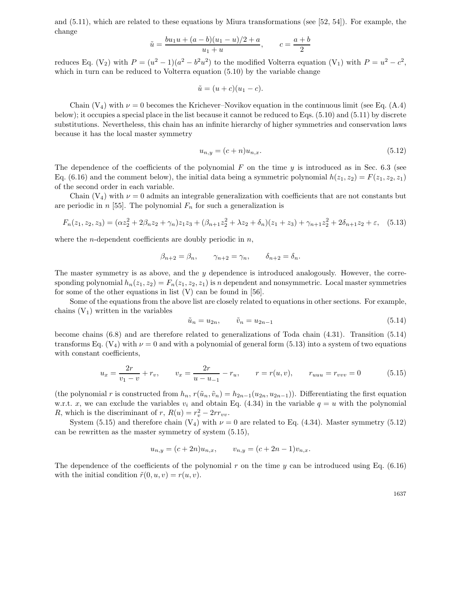and (5.11), which are related to these equations by Miura transformations (see [52, 54]). For example, the change

$$
\tilde{u} = \frac{bu_1u + (a - b)(u_1 - u)/2 + a}{u_1 + u}, \qquad c = \frac{a + b}{2}
$$

reduces Eq. (V<sub>2</sub>) with  $P = (u^2 - 1)(a^2 - b^2u^2)$  to the modified Volterra equation (V<sub>1</sub>) with  $P = u^2 - c^2$ , which in turn can be reduced to Volterra equation  $(5.10)$  by the variable change

$$
\tilde{u} = (u+c)(u_1-c).
$$

Chain  $(V_4)$  with  $\nu = 0$  becomes the Krichever–Novikov equation in the continuous limit (see Eq. (A.4) below); it occupies a special place in the list because it cannot be reduced to Eqs. (5.10) and (5.11) by discrete substitutions. Nevertheless, this chain has an infinite hierarchy of higher symmetries and conservation laws because it has the local master symmetry

$$
u_{n,y} = (c+n)u_{n,x}.\tag{5.12}
$$

The dependence of the coefficients of the polynomial  $F$  on the time  $y$  is introduced as in Sec. 6.3 (see Eq. (6.16) and the comment below), the initial data being a symmetric polynomial  $h(z_1, z_2) = F(z_1, z_2, z_1)$ of the second order in each variable.

Chain  $(V_4)$  with  $\nu = 0$  admits an integrable generalization with coefficients that are not constants but are periodic in  $n$  [55]. The polynomial  $F_n$  for such a generalization is

$$
F_n(z_1, z_2, z_3) = (\alpha z_2^2 + 2\beta_n z_2 + \gamma_n)z_1 z_3 + (\beta_{n+1} z_2^2 + \lambda z_2 + \delta_n)(z_1 + z_3) + \gamma_{n+1} z_2^2 + 2\delta_{n+1} z_2 + \varepsilon, \quad (5.13)
$$

where the *n*-dependent coefficients are doubly periodic in  $n$ ,

$$
\beta_{n+2} = \beta_n, \qquad \gamma_{n+2} = \gamma_n, \qquad \delta_{n+2} = \delta_n.
$$

The master symmetry is as above, and the  $y$  dependence is introduced analogously. However, the corresponding polynomial  $h_n(z_1, z_2) = F_n(z_1, z_2, z_1)$  is n dependent and nonsymmetric. Local master symmetries for some of the other equations in list  $(V)$  can be found in [56].

Some of the equations from the above list are closely related to equations in other sections. For example, chains  $(V_1)$  written in the variables

$$
\tilde{u}_n = u_{2n}, \qquad \tilde{v}_n = u_{2n-1} \tag{5.14}
$$

become chains (6.8) and are therefore related to generalizations of Toda chain (4.31). Transition (5.14) transforms Eq.  $(V_4)$  with  $\nu = 0$  and with a polynomial of general form (5.13) into a system of two equations with constant coefficients,

$$
u_x = \frac{2r}{v_1 - v} + r_v, \qquad v_x = \frac{2r}{u - u_{-1}} - r_u, \qquad r = r(u, v), \qquad r_{uuu} = r_{vvv} = 0 \tag{5.15}
$$

(the polynomial r is constructed from  $h_n$ ,  $r(\tilde{u}_n, \tilde{v}_n) = h_{2n-1}(u_{2n}, u_{2n-1})$ ). Differentiating the first equation w.r.t. x, we can exclude the variables  $v_i$  and obtain Eq. (4.34) in the variable  $q = u$  with the polynomial R, which is the discriminant of r,  $R(u) = r_v^2 - 2rr_{vv}$ .

System (5.15) and therefore chain  $(V_4)$  with  $\nu = 0$  are related to Eq. (4.34). Master symmetry (5.12) can be rewritten as the master symmetry of system (5.15),

$$
u_{n,y} = (c+2n)u_{n,x}, \qquad v_{n,y} = (c+2n-1)v_{n,x}.
$$

The dependence of the coefficients of the polynomial r on the time  $y$  can be introduced using Eq. (6.16) with the initial condition  $\tilde{r}(0, u, v) = r(u, v)$ .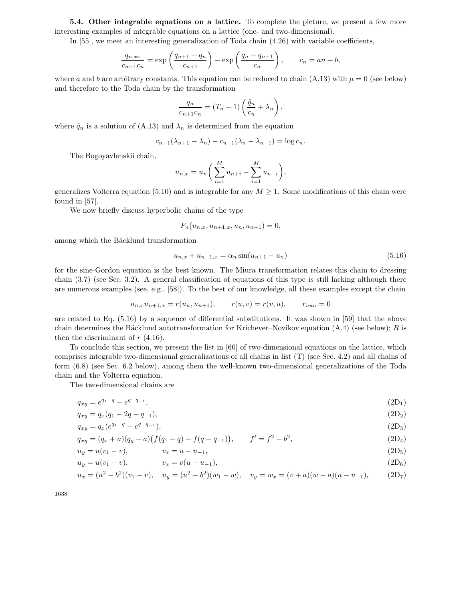**5.4.** Other integrable equations on a lattice. To complete the picture, we present a few more interesting examples of integrable equations on a lattice (one- and two-dimensional).

In [55], we meet an interesting generalization of Toda chain (4.26) with variable coefficients,

$$
\frac{q_{n,xx}}{c_{n+1}c_n} = \exp\left(\frac{q_{n+1} - q_n}{c_{n+1}}\right) - \exp\left(\frac{q_n - q_{n-1}}{c_n}\right), \qquad c_n = an + b,
$$

where a and b are arbitrary constants. This equation can be reduced to chain (A.13) with  $\mu = 0$  (see below) and therefore to the Toda chain by the transformation

$$
\frac{q_n}{c_{n+1}c_n} = (T_n - 1) \left( \frac{\tilde{q}_n}{c_n} + \lambda_n \right),
$$

where  $\tilde{q}_n$  is a solution of (A.13) and  $\lambda_n$  is determined from the equation

$$
c_{n+1}(\lambda_{n+1} - \lambda_n) - c_{n-1}(\lambda_n - \lambda_{n-1}) = \log c_n.
$$

The Bogoyavlenskii chain,

$$
u_{n,x} = u_n \bigg( \sum_{i=1}^M u_{n+i} - \sum_{i=1}^M u_{n-i} \bigg),
$$

generalizes Volterra equation (5.10) and is integrable for any  $M \geq 1$ . Some modifications of this chain were found in [57].

We now briefly discuss hyperbolic chains of the type

$$
F_n(u_{n,x}, u_{n+1,x}, u_n, u_{n+1}) = 0,
$$

among which the Bäcklund transformation

$$
u_{n,x} + u_{n+1,x} = \alpha_n \sin(u_{n+1} - u_n) \tag{5.16}
$$

for the sine-Gordon equation is the best known. The Miura transformation relates this chain to dressing chain (3.7) (see Sec. 3.2). A general classification of equations of this type is still lacking although there are numerous examples (see, e.g., [58]). To the best of our knowledge, all these examples except the chain

$$
u_{n,x}u_{n+1,x} = r(u_n, u_{n+1}), \qquad r(u,v) = r(v,u), \qquad r_{uuu} = 0
$$

are related to Eq. (5.16) by a sequence of differential substitutions. It was shown in [59] that the above chain determines the Bäcklund autotransformation for Krichever–Novikov equation  $(A.4)$  (see below); R is then the discriminant of  $r$  (4.16).

To conclude this section, we present the list in [60] of two-dimensional equations on the lattice, which comprises integrable two-dimensional generalizations of all chains in list (T) (see Sec. 4.2) and all chains of form (6.8) (see Sec. 6.2 below), among them the well-known two-dimensional generalizations of the Toda chain and the Volterra equation.

The two-dimensional chains are

$$
q_{xy} = e^{q_1 - q} - e^{q - q_{-1}}, \tag{2D_1}
$$

$$
q_{xy} = q_x(q_1 - 2q + q_{-1}), \tag{2D_2}
$$

$$
q_{xy} = q_x(e^{q_1 - q} - e^{q - q - 1}),
$$
\n(2D<sub>3</sub>)

$$
q_{xy} = (q_x + a)(q_y - a)(f(q_1 - q) - f(q - q_{-1})), \qquad f' = f^2 - b^2,
$$
\n(2D<sub>4</sub>)

$$
u_y = u(v_1 - v), \qquad v_x = u - u_{-1}, \tag{2D_5}
$$

$$
u_y = u(v_1 - v), \t v_x = v(u - u_{-1}), \t (2D_6)
$$

$$
u_x = (u^2 - b^2)(v_1 - v), \quad u_y = (u^2 - b^2)(w_1 - w), \quad v_y = w_x = (v + a)(w - a)(u - u_{-1}), \tag{2D_7}
$$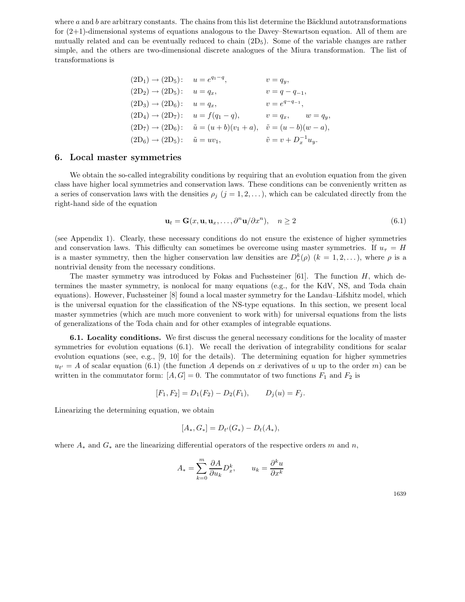where  $a$  and  $b$  are arbitrary constants. The chains from this list determine the Bäcklund autotransformations for (2+1)-dimensional systems of equations analogous to the Davey–Stewartson equation. All of them are mutually related and can be eventually reduced to chain  $(2D_5)$ . Some of the variable changes are rather simple, and the others are two-dimensional discrete analogues of the Miura transformation. The list of transformations is

$$
(2D1) \rightarrow (2D5): u = eq1 - q, v = qy,\n(2D2) \rightarrow (2D5): u = qx, v = q - q-1,\n(2D3) \rightarrow (2D6): u = qx, v = eq - q-1,\n(2D4) \rightarrow (2D7): u = f(q1 - q), v = qx, w = qy,\n(2D7) \rightarrow (2D6): \tilde{u} = (u + b)(v1 + a), \tilde{v} = (u - b)(w - a),\n(2D6) \rightarrow (2D5): \tilde{u} = uv1, \tilde{v} = v + Dx-1uy.
$$

#### **6. Localmaster symmetries**

We obtain the so-called integrability conditions by requiring that an evolution equation from the given class have higher local symmetries and conservation laws. These conditions can be conveniently written as a series of conservation laws with the densities  $\rho_j$   $(j = 1, 2, \ldots)$ , which can be calculated directly from the right-hand side of the equation

$$
\mathbf{u}_t = \mathbf{G}(x, \mathbf{u}, \mathbf{u}_x, \dots, \partial^n \mathbf{u}/\partial x^n), \quad n \ge 2
$$
\n(6.1)

(see Appendix 1). Clearly, these necessary conditions do not ensure the existence of higher symmetries and conservation laws. This difficulty can sometimes be overcome using master symmetries. If  $u<sub>\tau</sub> = H$ is a master symmetry, then the higher conservation law densities are  $D_{\tau}^{k}(\rho)$   $(k = 1, 2, \ldots)$ , where  $\rho$  is a nontrivial density from the necessary conditions.

The master symmetry was introduced by Fokas and Fuchssteiner [61]. The function  $H$ , which determines the master symmetry, is nonlocal for many equations (e.g., for the KdV, NS, and Toda chain equations). However, Fuchssteiner [8] found a local master symmetry for the Landau–Lifshitz model, which is the universal equation for the classification of the NS-type equations. In this section, we present local master symmetries (which are much more convenient to work with) for universal equations from the lists of generalizations of the Toda chain and for other examples of integrable equations.

**6.1. Locality conditions.** We first discuss the general necessary conditions for the locality of master symmetries for evolution equations (6.1). We recall the derivation of integrability conditions for scalar evolution equations (see, e.g., [9, 10] for the details). The determining equation for higher symmetries  $u_{t'} = A$  of scalar equation (6.1) (the function A depends on x derivatives of u up to the order m) can be written in the commutator form:  $[A, G] = 0$ . The commutator of two functions  $F_1$  and  $F_2$  is

$$
[F_1, F_2] = D_1(F_2) - D_2(F_1), \qquad D_j(u) = F_j.
$$

Linearizing the determining equation, we obtain

$$
[A_*, G_*] = D_{t'}(G_*) - D_t(A_*),
$$

where  $A_*$  and  $G_*$  are the linearizing differential operators of the respective orders m and n,

$$
A_* = \sum_{k=0}^m \frac{\partial A}{\partial u_k} D_x^k, \qquad u_k = \frac{\partial^k u}{\partial x^k}
$$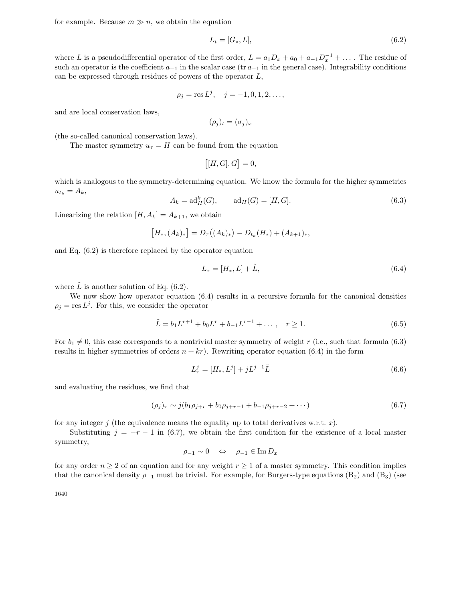for example. Because  $m \gg n$ , we obtain the equation

$$
L_t = [G_*, L],\tag{6.2}
$$

where L is a pseudodifferential operator of the first order,  $L = a_1D_x + a_0 + a_{-1}D_x^{-1} + \ldots$ . The residue of such an operator is the coefficient  $a_{-1}$  in the scalar case (tr  $a_{-1}$  in the general case). Integrability conditions can be expressed through residues of powers of the operator L,

$$
\rho_j = \text{res}\, L^j, \quad j = -1, 0, 1, 2, \dots,
$$

and are local conservation laws,

$$
(\rho_j)_t = (\sigma_j)_x
$$

(the so-called canonical conservation laws).

The master symmetry  $u_{\tau} = H$  can be found from the equation

$$
[[H, G], G] = 0,
$$

which is analogous to the symmetry-determining equation. We know the formula for the higher symmetries  $u_{t_k} = A_k,$ 

$$
A_k = \text{ad}_H^k(G), \qquad \text{ad}_H(G) = [H, G]. \tag{6.3}
$$

Linearizing the relation  $[H, A_k] = A_{k+1}$ , we obtain

$$
[H_*, (A_k)_*] = D_\tau((A_k)_*) - D_{t_k}(H_*) + (A_{k+1})_*,
$$

and Eq. (6.2) is therefore replaced by the operator equation

$$
L_{\tau} = [H_*, L] + \tilde{L},\tag{6.4}
$$

where  $\tilde{L}$  is another solution of Eq. (6.2).

We now show how operator equation  $(6.4)$  results in a recursive formula for the canonical densities  $\rho_i = \text{res } L^j$ . For this, we consider the operator

$$
\tilde{L} = b_1 L^{r+1} + b_0 L^r + b_{-1} L^{r-1} + \dots, \quad r \ge 1.
$$
\n(6.5)

For  $b_1 \neq 0$ , this case corresponds to a nontrivial master symmetry of weight r (i.e., such that formula (6.3) results in higher symmetries of orders  $n + kr$ . Rewriting operator equation (6.4) in the form

$$
L_{\tau}^{j} = [H_{*}, L^{j}] + jL^{j-1}\tilde{L}
$$
\n(6.6)

and evaluating the residues, we find that

$$
(\rho_j)_\tau \sim j(b_1 \rho_{j+r} + b_0 \rho_{j+r-1} + b_{-1} \rho_{j+r-2} + \cdots)
$$
\n(6.7)

for any integer j (the equivalence means the equality up to total derivatives w.r.t.  $x$ ).

Substituting  $j = -r - 1$  in (6.7), we obtain the first condition for the existence of a local master symmetry,

$$
\rho_{-1} \sim 0 \quad \Leftrightarrow \quad \rho_{-1} \in \operatorname{Im} D_x
$$

for any order  $n \geq 2$  of an equation and for any weight  $r \geq 1$  of a master symmetry. This condition implies that the canonical density  $\rho_{-1}$  must be trivial. For example, for Burgers-type equations (B<sub>2</sub>) and (B<sub>3</sub>) (see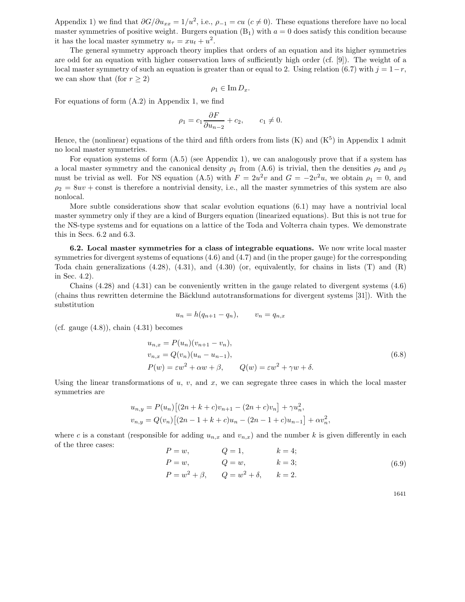Appendix 1) we find that  $\partial G/\partial u_{xx} = 1/u^2$ , i.e.,  $\rho_{-1} = cu$  ( $c \neq 0$ ). These equations therefore have no local master symmetries of positive weight. Burgers equation  $(B_1)$  with  $a = 0$  does satisfy this condition because it has the local master symmetry  $u_{\tau} = xu_t + u^2$ .

The general symmetry approach theory implies that orders of an equation and its higher symmetries are odd for an equation with higher conservation laws of sufficiently high order (cf. [9]). The weight of a local master symmetry of such an equation is greater than or equal to 2. Using relation (6.7) with  $j = 1-r$ , we can show that (for  $r \geq 2$ )

$$
\rho_1 \in \operatorname{Im} D_x.
$$

For equations of form (A.2) in Appendix 1, we find

$$
\rho_1 = c_1 \frac{\partial F}{\partial u_{n-2}} + c_2, \qquad c_1 \neq 0.
$$

Hence, the (nonlinear) equations of the third and fifth orders from lists  $(K)$  and  $(K<sup>5</sup>)$  in Appendix 1 admit no local master symmetries.

For equation systems of form  $(A.5)$  (see Appendix 1), we can analogously prove that if a system has a local master symmetry and the canonical density  $\rho_1$  from (A.6) is trivial, then the densities  $\rho_2$  and  $\rho_3$ must be trivial as well. For NS equation (A.5) with  $F = 2u^2v$  and  $G = -2v^2u$ , we obtain  $\rho_1 = 0$ , and  $\rho_2 = 8uv + \text{const}$  is therefore a nontrivial density, i.e., all the master symmetries of this system are also nonlocal.

More subtle considerations show that scalar evolution equations (6.1) may have a nontrivial local master symmetry only if they are a kind of Burgers equation (linearized equations). But this is not true for the NS-type systems and for equations on a lattice of the Toda and Volterra chain types. We demonstrate this in Secs. 6.2 and 6.3.

**6.2. Local master symmetries for a class of integrable equations.** We now write local master symmetries for divergent systems of equations (4.6) and (4.7) and (in the proper gauge) for the corresponding Toda chain generalizations  $(4.28)$ ,  $(4.31)$ , and  $(4.30)$  (or, equivalently, for chains in lists  $(T)$  and  $(R)$ in Sec. 4.2).

Chains  $(4.28)$  and  $(4.31)$  can be conveniently written in the gauge related to divergent systems  $(4.6)$ (chains thus rewritten determine the Bäcklund autotransformations for divergent systems  $[31]$ ). With the substitution

$$
u_n = h(q_{n+1} - q_n), \qquad v_n = q_{n,x}
$$

(cf. gauge  $(4.8)$ ), chain  $(4.31)$  becomes

$$
u_{n,x} = P(u_n)(v_{n+1} - v_n),
$$
  
\n
$$
v_{n,x} = Q(v_n)(u_n - u_{n-1}),
$$
  
\n
$$
P(w) = \varepsilon w^2 + \alpha w + \beta,
$$
 
$$
Q(w) = \varepsilon w^2 + \gamma w + \delta.
$$
\n(6.8)

Using the linear transformations of u, v, and x, we can segregate three cases in which the local master symmetries are

$$
u_{n,y} = P(u_n) [(2n + k + c)v_{n+1} - (2n + c)v_n] + \gamma u_n^2,
$$
  

$$
v_{n,y} = Q(v_n) [(2n - 1 + k + c)u_n - (2n - 1 + c)u_{n-1}] + \alpha v_n^2,
$$

where c is a constant (responsible for adding  $u_{n,x}$  and  $v_{n,x}$ ) and the number k is given differently in each of the three cases:

$$
P = w, \t Q = 1, \t k = 4; P = w, \t Q = w, \t k = 3; P = w2 + \beta, \t Q = w2 + \delta, \t k = 2.
$$
 (6.9)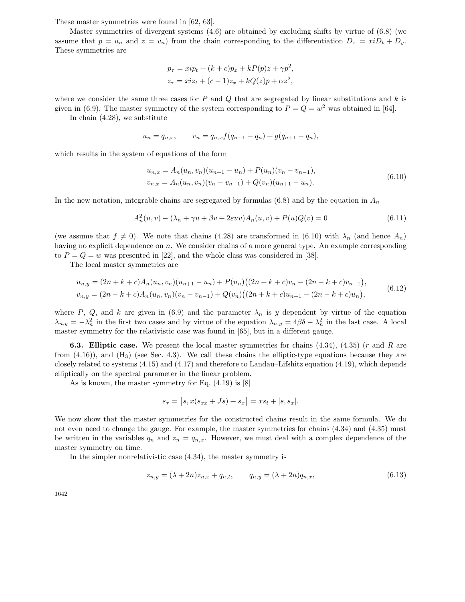These master symmetries were found in [62, 63].

Master symmetries of divergent systems (4.6) are obtained by excluding shifts by virtue of (6.8) (we assume that  $p = u_n$  and  $z = v_n$ ) from the chain corresponding to the differentiation  $D_\tau = x i D_t + D_y$ . These symmetries are

$$
p_{\tau} = xip_t + (k+c)p_x + kP(p)z + \gamma p^2,
$$
  

$$
z_{\tau} = xiz_t + (c-1)z_x + kQ(z)p + \alpha z^2,
$$

where we consider the same three cases for  $P$  and  $Q$  that are segregated by linear substitutions and  $k$  is given in (6.9). The master symmetry of the system corresponding to  $P = Q = w^2$  was obtained in [64].

In chain (4.28), we substitute

$$
u_n = q_{n,x}, \qquad v_n = q_{n,x} f(q_{n+1} - q_n) + g(q_{n+1} - q_n),
$$

which results in the system of equations of the form

$$
u_{n,x} = A_n(u_n, v_n)(u_{n+1} - u_n) + P(u_n)(v_n - v_{n-1}),
$$
  
\n
$$
v_{n,x} = A_n(u_n, v_n)(v_n - v_{n-1}) + Q(v_n)(u_{n+1} - u_n).
$$
\n(6.10)

In the new notation, integrable chains are segregated by formulas (6.8) and by the equation in  $A_n$ 

$$
A_n^2(u, v) - (\lambda_n + \gamma u + \beta v + 2\varepsilon uv)A_n(u, v) + P(u)Q(v) = 0
$$
\n(6.11)

(we assume that  $f \neq 0$ ). We note that chains (4.28) are transformed in (6.10) with  $\lambda_n$  (and hence  $A_n$ ) having no explicit dependence on  $n$ . We consider chains of a more general type. An example corresponding to  $P = Q = w$  was presented in [22], and the whole class was considered in [38].

The local master symmetries are

$$
u_{n,y} = (2n + k + c)A_n(u_n, v_n)(u_{n+1} - u_n) + P(u_n)((2n + k + c)v_n - (2n - k + c)v_{n-1}),
$$
  
\n
$$
v_{n,y} = (2n - k + c)A_n(u_n, v_n)(v_n - v_{n-1}) + Q(v_n)((2n + k + c)u_{n+1} - (2n - k + c)u_n),
$$
\n(6.12)

where P, Q, and k are given in (6.9) and the parameter  $\lambda_n$  is y dependent by virtue of the equation  $\lambda_{n,y} = -\lambda_n^2$  in the first two cases and by virtue of the equation  $\lambda_{n,y} = 4\beta\delta - \lambda_n^2$  in the last case. A local master symmetry for the relativistic case was found in [65], but in a different gauge.

**6.3. Elliptic case.** We present the local master symmetries for chains (4.34), (4.35) (r and R are from  $(4.16)$ , and  $(H_3)$  (see Sec. 4.3). We call these chains the elliptic-type equations because they are closely related to systems (4.15) and (4.17) and therefore to Landau–Lifshitz equation (4.19), which depends elliptically on the spectral parameter in the linear problem.

As is known, the master symmetry for Eq. (4.19) is [8]

$$
s_{\tau} = [s, x(s_{xx} + Js) + s_x] = xs_t + [s, s_x].
$$

We now show that the master symmetries for the constructed chains result in the same formula. We do not even need to change the gauge. For example, the master symmetries for chains (4.34) and (4.35) must be written in the variables  $q_n$  and  $z_n = q_{n,x}$ . However, we must deal with a complex dependence of the master symmetry on time.

In the simpler nonrelativistic case (4.34), the master symmetry is

$$
z_{n,y} = (\lambda + 2n)z_{n,x} + q_{n,t}, \qquad q_{n,y} = (\lambda + 2n)q_{n,x}, \qquad (6.13)
$$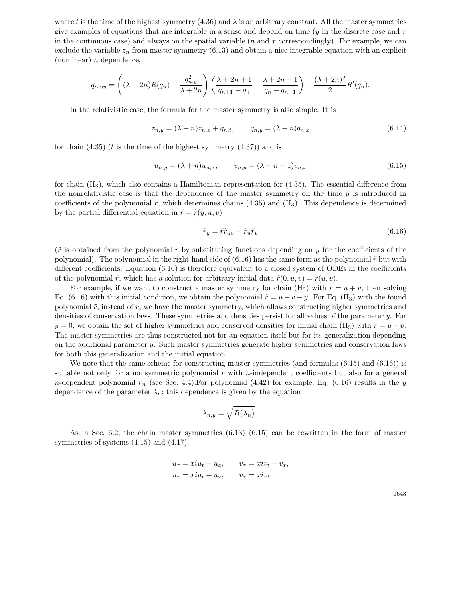where t is the time of the highest symmetry (4.36) and  $\lambda$  is an arbitrary constant. All the master symmetries give examples of equations that are integrable in a sense and depend on time (y in the discrete case and  $\tau$ ) in the continuous case) and always on the spatial variable  $(n \text{ and } x \text{ correspondingly})$ . For example, we can exclude the variable  $z_n$  from master symmetry (6.13) and obtain a nice integrable equation with an explicit  $(nonlinear)$  *n* dependence,

$$
q_{n,yy} = \left( (\lambda + 2n)R(q_n) - \frac{q_{n,y}^2}{\lambda + 2n} \right) \left( \frac{\lambda + 2n + 1}{q_{n+1} - q_n} - \frac{\lambda + 2n - 1}{q_n - q_{n-1}} \right) + \frac{(\lambda + 2n)^2}{2} R'(q_n).
$$

In the relativistic case, the formula for the master symmetry is also simple. It is

$$
z_{n,y} = (\lambda + n)z_{n,x} + q_{n,t}, \qquad q_{n,y} = (\lambda + n)q_{n,x}
$$
\n(6.14)

for chain  $(4.35)$  (*t* is the time of the highest symmetry  $(4.37)$ ) and is

$$
u_{n,y} = (\lambda + n)u_{n,x}, \qquad v_{n,y} = (\lambda + n - 1)v_{n,x}
$$
\n(6.15)

for chain  $(H_3)$ , which also contains a Hamiltonian representation for  $(4.35)$ . The essential difference from the nonrelativistic case is that the dependence of the master symmetry on the time  $y$  is introduced in coefficients of the polynomial r, which determines chains  $(4.35)$  and  $(H<sub>3</sub>)$ . This dependence is determined by the partial differential equation in  $\tilde{r} = \tilde{r}(y, u, v)$ 

$$
\tilde{r}_y = \tilde{r}\tilde{r}_{uv} - \tilde{r}_u\tilde{r}_v \tag{6.16}
$$

 $(\tilde{r}$  is obtained from the polynomial r by substituting functions depending on y for the coefficients of the polynomial). The polynomial in the right-hand side of  $(6.16)$  has the same form as the polynomial  $\tilde{r}$  but with different coefficients. Equation (6.16) is therefore equivalent to a closed system of ODEs in the coefficients of the polynomial  $\tilde{r}$ , which has a solution for arbitrary initial data  $\tilde{r}(0, u, v) = r(u, v)$ .

For example, if we want to construct a master symmetry for chain  $(H_3)$  with  $r = u + v$ , then solving Eq. (6.16) with this initial condition, we obtain the polynomial  $\tilde{r} = u + v - y$ . For Eq. (H<sub>3</sub>) with the found polynomial  $\tilde{r}$ , instead of r, we have the master symmetry, which allows constructing higher symmetries and densities of conservation laws. These symmetries and densities persist for all values of the parameter y. For  $y = 0$ , we obtain the set of higher symmetries and conserved densities for initial chain (H<sub>3</sub>) with  $r = u + v$ . The master symmetries are thus constructed not for an equation itself but for its generalization depending on the additional parameter y. Such master symmetries generate higher symmetries and conservation laws for both this generalization and the initial equation.

We note that the same scheme for constructing master symmetries (and formulas (6.15) and (6.16)) is suitable not only for a nonsymmetric polynomial  $r$  with  $n$ -independent coefficients but also for a general n-dependent polynomial  $r_n$  (see Sec. 4.4). For polynomial (4.42) for example, Eq. (6.16) results in the y dependence of the parameter  $\lambda_n$ ; this dependence is given by the equation

$$
\lambda_{n,y} = \sqrt{R(\lambda_n)}.
$$

As in Sec. 6.2, the chain master symmetries  $(6.13)$ – $(6.15)$  can be rewritten in the form of master symmetries of systems (4.15) and (4.17),

$$
u_{\tau} = xiu_t + u_x, \t v_{\tau} = xiv_t - v_x,
$$
  

$$
u_{\tau} = xiu_t + u_x, \t v_{\tau} = xiv_t.
$$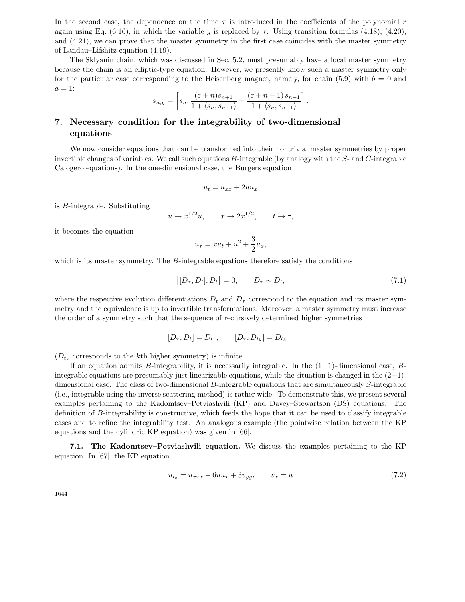In the second case, the dependence on the time  $\tau$  is introduced in the coefficients of the polynomial r again using Eq. (6.16), in which the variable y is replaced by  $\tau$ . Using transition formulas (4.18), (4.20), and (4.21), we can prove that the master symmetry in the first case coincides with the master symmetry of Landau–Lifshitz equation (4.19).

The Sklyanin chain, which was discussed in Sec. 5.2, must presumably have a local master symmetry because the chain is an elliptic-type equation. However, we presently know such a master symmetry only for the particular case corresponding to the Heisenberg magnet, namely, for chain  $(5.9)$  with  $b = 0$  and  $a=1$ :

$$
s_{n,y} = \left[ s_n, \frac{(\varepsilon + n)s_{n+1}}{1 + \langle s_n, s_{n+1} \rangle} + \frac{(\varepsilon + n - 1)s_{n-1}}{1 + \langle s_n, s_{n-1} \rangle} \right]
$$

# **7. Necessary condition for the integrability of two-dimensional equations**

We now consider equations that can be transformed into their nontrivial master symmetries by proper invertible changes of variables. We call such equations B-integrable (by analogy with the S- and C-integrable Calogero equations). In the one-dimensional case, the Burgers equation

$$
u_t = u_{xx} + 2uu_x
$$

is B-integrable. Substituting

$$
u \to x^{1/2}u, \qquad x \to 2x^{1/2}, \qquad t \to \tau,
$$

it becomes the equation

$$
u_{\tau} = xu_t + u^2 + \frac{3}{2}u_x,
$$

which is its master symmetry. The  $B$ -integrable equations therefore satisfy the conditions

$$
[[D_{\tau}, D_t], D_t] = 0, \qquad D_{\tau} \sim D_t,
$$
\n(7.1)

.

where the respective evolution differentiations  $D_t$  and  $D<sub>\tau</sub>$  correspond to the equation and its master symmetry and the equivalence is up to invertible transformations. Moreover, a master symmetry must increase the order of a symmetry such that the sequence of recursively determined higher symmetries

$$
[D_{\tau}, D_t] = D_{t_1}, \qquad [D_{\tau}, D_{t_k}] = D_{t_{k+1}}
$$

 $(D_{t_k}$  corresponds to the kth higher symmetry) is infinite.

If an equation admits B-integrability, it is necessarily integrable. In the  $(1+1)$ -dimensional case, Bintegrable equations are presumably just linearizable equations, while the situation is changed in the  $(2+1)$ dimensional case. The class of two-dimensional B-integrable equations that are simultaneously S-integrable (i.e., integrable using the inverse scattering method) is rather wide. To demonstrate this, we present several examples pertaining to the Kadomtsev–Petviashvili (KP) and Davey–Stewartson (DS) equations. The definition of B-integrability is constructive, which feeds the hope that it can be used to classify integrable cases and to refine the integrability test. An analogous example (the pointwise relation between the KP equations and the cylindric KP equation) was given in [66].

**7.1. The Kadomtsev–Petviashvili equation.** We discuss the examples pertaining to the KP equation. In [67], the KP equation

$$
u_{t_3} = u_{xxx} - 6uu_x + 3v_{yy}, \qquad v_x = u \tag{7.2}
$$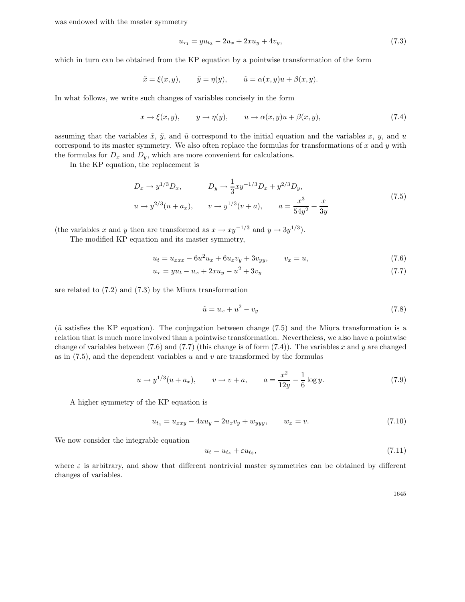was endowed with the master symmetry

$$
u_{\tau_1} = y u_{t_3} - 2u_x + 2x u_y + 4v_y, \tag{7.3}
$$

which in turn can be obtained from the KP equation by a pointwise transformation of the form

$$
\tilde{x} = \xi(x, y),
$$
  $\tilde{y} = \eta(y),$   $\tilde{u} = \alpha(x, y)u + \beta(x, y).$ 

In what follows, we write such changes of variables concisely in the form

$$
x \to \xi(x, y), \qquad y \to \eta(y), \qquad u \to \alpha(x, y)u + \beta(x, y), \tag{7.4}
$$

assuming that the variables  $\tilde{x}$ ,  $\tilde{y}$ , and  $\tilde{u}$  correspond to the initial equation and the variables x, y, and u correspond to its master symmetry. We also often replace the formulas for transformations of  $x$  and  $y$  with the formulas for  $D_x$  and  $D_y$ , which are more convenient for calculations.

In the KP equation, the replacement is

$$
D_x \to y^{1/3} D_x, \qquad D_y \to \frac{1}{3}xy^{-1/3} D_x + y^{2/3} D_y, u \to y^{2/3} (u + a_x), \qquad v \to y^{1/3} (v + a), \qquad a = \frac{x^3}{54y^2} + \frac{x}{3y}
$$
 (7.5)

(the variables x and y then are transformed as  $x \to xy^{-1/3}$  and  $y \to 3y^{1/3}$ ).

The modified KP equation and its master symmetry,

$$
u_t = u_{xxx} - 6u^2 u_x + 6u_x v_y + 3v_{yy}, \qquad v_x = u,\tag{7.6}
$$

$$
u_{\tau} = yu_t - u_x + 2xu_y - u^2 + 3v_y \tag{7.7}
$$

are related to (7.2) and (7.3) by the Miura transformation

$$
\tilde{u} = u_x + u^2 - v_y \tag{7.8}
$$

 $(\tilde{u}$  satisfies the KP equation). The conjugation between change (7.5) and the Miura transformation is a relation that is much more involved than a pointwise transformation. Nevertheless, we also have a pointwise change of variables between  $(7.6)$  and  $(7.7)$  (this change is of form  $(7.4)$ ). The variables x and y are changed as in  $(7.5)$ , and the dependent variables u and v are transformed by the formulas

$$
u \to y^{1/3}(u + a_x), \qquad v \to v + a, \qquad a = \frac{x^2}{12y} - \frac{1}{6}\log y. \tag{7.9}
$$

A higher symmetry of the KP equation is

$$
u_{t_4} = u_{xxy} - 4uu_y - 2u_xv_y + w_{yyy}, \qquad w_x = v. \tag{7.10}
$$

We now consider the integrable equation

$$
u_t = u_{t_4} + \varepsilon u_{t_3},\tag{7.11}
$$

where  $\varepsilon$  is arbitrary, and show that different nontrivial master symmetries can be obtained by different changes of variables.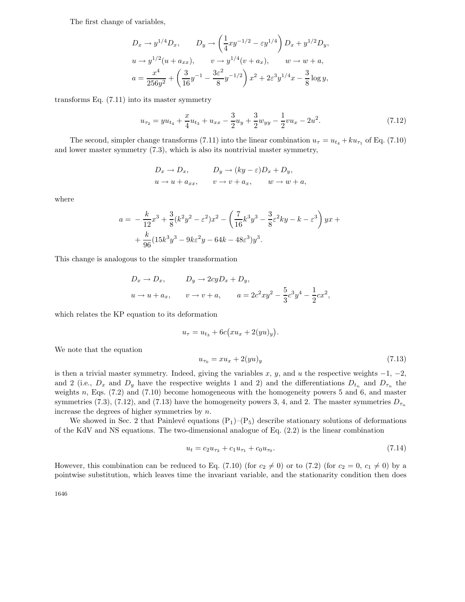The first change of variables,

$$
D_x \to y^{1/4} D_x, \qquad D_y \to \left(\frac{1}{4}xy^{-1/2} - \varepsilon y^{1/4}\right) D_x + y^{1/2} D_y,
$$
  
\n
$$
u \to y^{1/2} (u + a_{xx}), \qquad v \to y^{1/4} (v + a_x), \qquad w \to w + a,
$$
  
\n
$$
a = \frac{x^4}{256y^2} + \left(\frac{3}{16}y^{-1} - \frac{3\varepsilon^2}{8}y^{-1/2}\right)x^2 + 2\varepsilon^3 y^{1/4}x - \frac{3}{8}\log y,
$$

transforms Eq. (7.11) into its master symmetry

$$
u_{\tau_2} = y u_{t_4} + \frac{x}{4} u_{t_3} + u_{xx} - \frac{3}{2} u_y + \frac{3}{2} w_{yy} - \frac{1}{2} v u_x - 2 u^2. \tag{7.12}
$$

The second, simpler change transforms (7.11) into the linear combination  $u_{\tau} = u_{t_4} + k u_{\tau_1}$  of Eq. (7.10) and lower master symmetry (7.3), which is also its nontrivial master symmetry,

$$
D_x \to D_x, \qquad D_y \to (ky - \varepsilon)D_x + D_y,
$$
  

$$
u \to u + a_{xx}, \qquad v \to v + a_x, \qquad w \to w + a,
$$

where

$$
a = -\frac{k}{12}x^3 + \frac{3}{8}(k^2y^2 - \varepsilon^2)x^2 - \left(\frac{7}{16}k^3y^3 - \frac{3}{8}\varepsilon^2ky - k - \varepsilon^3\right)yx + + \frac{k}{96}(15k^3y^3 - 9k\varepsilon^2y - 64k - 48\varepsilon^3)y^3.
$$

This change is analogous to the simpler transformation

$$
D_x \to D_x, \qquad D_y \to 2cyD_x + D_y,
$$
  

$$
u \to u + a_x, \qquad v \to v + a, \qquad a = 2c^2xy^2 - \frac{5}{3}c^3y^4 - \frac{1}{2}cx^2,
$$

which relates the KP equation to its deformation

$$
u_{\tau} = u_{t_3} + 6c\big(xu_x + 2(yu)_y\big).
$$

We note that the equation

$$
u_{\tau_0} = x u_x + 2(y u)_y \tag{7.13}
$$

is then a trivial master symmetry. Indeed, giving the variables x, y, and u the respective weights  $-1, -2,$ and 2 (i.e.,  $D_x$  and  $D_y$  have the respective weights 1 and 2) and the differentiations  $D_{t_n}$  and  $D_{\tau_n}$  the weights n, Eqs. (7.2) and (7.10) become homogeneous with the homogeneity powers 5 and 6, and master symmetries (7.3), (7.12), and (7.13) have the homogeneity powers 3, 4, and 2. The master symmetries  $D_{\tau_n}$ increase the degrees of higher symmetries by n.

We showed in Sec. 2 that Painlevé equations  $(P_1)$ – $(P_5)$  describe stationary solutions of deformations of the KdV and NS equations. The two-dimensional analogue of Eq. (2.2) is the linear combination

$$
u_t = c_2 u_{\tau_2} + c_1 u_{\tau_1} + c_0 u_{\tau_0}.\tag{7.14}
$$

However, this combination can be reduced to Eq. (7.10) (for  $c_2 \neq 0$ ) or to (7.2) (for  $c_2 = 0$ ,  $c_1 \neq 0$ ) by a pointwise substitution, which leaves time the invariant variable, and the stationarity condition then does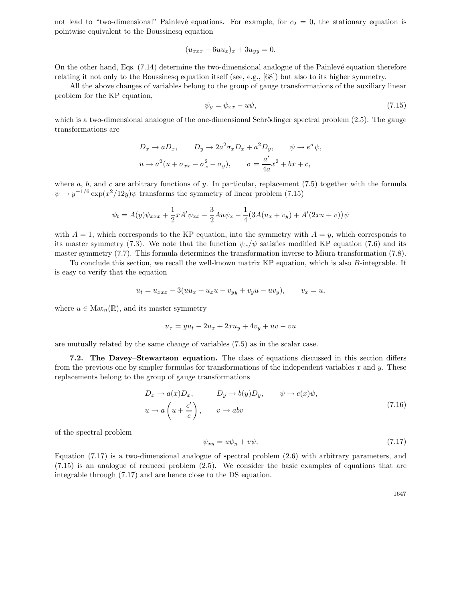not lead to "two-dimensional" Painlevé equations. For example, for  $c_2 = 0$ , the stationary equation is pointwise equivalent to the Boussinesq equation

$$
(u_{xxx} - 6uu_x)_x + 3u_{yy} = 0.
$$

On the other hand, Eqs. (7.14) determine the two-dimensional analogue of the Painlevé equation therefore relating it not only to the Boussinesq equation itself (see, e.g., [68]) but also to its higher symmetry.

All the above changes of variables belong to the group of gauge transformations of the auxiliary linear problem for the KP equation,

$$
\psi_y = \psi_{xx} - u\psi,\tag{7.15}
$$

which is a two-dimensional analogue of the one-dimensional Schrödinger spectral problem  $(2.5)$ . The gauge transformations are

$$
D_x \to aD_x, \qquad D_y \to 2a^2 \sigma_x D_x + a^2 D_y, \qquad \psi \to e^{\sigma} \psi,
$$
  

$$
u \to a^2 (u + \sigma_{xx} - \sigma_x^2 - \sigma_y), \qquad \sigma = \frac{a'}{4a} x^2 + bx + c,
$$

where a, b, and c are arbitrary functions of y. In particular, replacement  $(7.5)$  together with the formula  $\psi \rightarrow y^{-1/6} \exp(x^2/12y) \psi$  transforms the symmetry of linear problem (7.15)

$$
\psi_t = A(y)\psi_{xxx} + \frac{1}{2}xA'\psi_{xx} - \frac{3}{2}Au\psi_x - \frac{1}{4}(3A(u_x + v_y) + A'(2xu + v))\psi
$$

with  $A = 1$ , which corresponds to the KP equation, into the symmetry with  $A = y$ , which corresponds to its master symmetry (7.3). We note that the function  $\psi_x/\psi$  satisfies modified KP equation (7.6) and its master symmetry (7.7). This formula determines the transformation inverse to Miura transformation (7.8).

To conclude this section, we recall the well-known matrix KP equation, which is also B-integrable. It is easy to verify that the equation

$$
u_t = u_{xxx} - 3(uu_x + u_x u - v_{yy} + v_y u - uv_y), \qquad v_x = u,
$$

where  $u \in Mat_n(\mathbb{R})$ , and its master symmetry

$$
u_{\tau} = yu_t - 2u_x + 2xu_y + 4v_y + uv - vu
$$

are mutually related by the same change of variables (7.5) as in the scalar case.

**7.2. The Davey–Stewartson equation.** The class of equations discussed in this section differs from the previous one by simpler formulas for transformations of the independent variables  $x$  and  $y$ . These replacements belong to the group of gauge transformations

$$
D_x \to a(x)D_x, \qquad D_y \to b(y)D_y, \qquad \psi \to c(x)\psi,
$$
  

$$
u \to a\left(u + \frac{c'}{c}\right), \qquad v \to abv
$$
 (7.16)

of the spectral problem

$$
\psi_{xy} = u\psi_y + v\psi. \tag{7.17}
$$

Equation (7.17) is a two-dimensional analogue of spectral problem (2.6) with arbitrary parameters, and (7.15) is an analogue of reduced problem (2.5). We consider the basic examples of equations that are integrable through (7.17) and are hence close to the DS equation.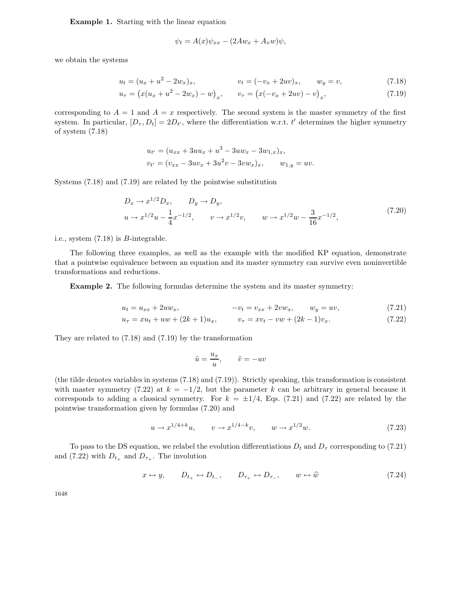**Example 1.** Starting with the linear equation

$$
\psi_t = A(x)\psi_{xx} - (2Aw_x + A_xw)\psi,
$$

we obtain the systems

$$
u_t = (u_x + u^2 - 2w_x)_x, \qquad v_t = (-v_x + 2uv)_x, \qquad w_y = v,
$$
\n(7.18)

$$
u_{\tau} = (x(u_x + u^2 - 2w_x) - w)_x, \qquad v_{\tau} = (x(-v_x + 2uv) - v)_x,
$$
\n(7.19)

corresponding to  $A = 1$  and  $A = x$  respectively. The second system is the master symmetry of the first system. In particular,  $[D_\tau, D_t] = 2D_{t'}$ , where the differentiation w.r.t. t' determines the higher symmetry of system (7.18)

$$
u_{t'} = (u_{xx} + 3uu_x + u^3 - 3uw_x - 3w_{1,x})_x,
$$
  

$$
v_{t'} = (v_{xx} - 3uv_x + 3u^2v - 3vw_x)_x, \qquad w_{1,y} = uv.
$$

Systems (7.18) and (7.19) are related by the pointwise substitution

$$
D_x \to x^{1/2} D_x, \qquad D_y \to D_y,
$$
  
\n
$$
u \to x^{1/2} u - \frac{1}{4} x^{-1/2}, \qquad v \to x^{1/2} v, \qquad w \to x^{1/2} w - \frac{3}{16} x^{-1/2},
$$
\n(7.20)

i.e., system (7.18) is B-integrable.

The following three examples, as well as the example with the modified KP equation, demonstrate that a pointwise equivalence between an equation and its master symmetry can survive even noninvertible transformations and reductions.

**Example 2.** The following formulas determine the system and its master symmetry:

$$
u_t = u_{xx} + 2uw_x, \t -v_t = v_{xx} + 2vw_x, \t w_y = uv,
$$
(7.21)

$$
u_{\tau} = xu_t + uw + (2k+1)u_x, \qquad v_{\tau} = xv_t - vw + (2k-1)v_x.
$$
 (7.22)

They are related to (7.18) and (7.19) by the transformation

$$
\tilde{u} = \frac{u_x}{u}, \qquad \tilde{v} = -uv
$$

(the tilde denotes variables in systems (7.18) and (7.19)). Strictly speaking, this transformation is consistent with master symmetry (7.22) at  $k = -1/2$ , but the parameter k can be arbitrary in general because it corresponds to adding a classical symmetry. For  $k = \pm 1/4$ , Eqs. (7.21) and (7.22) are related by the pointwise transformation given by formulas (7.20) and

$$
u \to x^{1/4+k}u, \qquad v \to x^{1/4-k}v, \qquad w \to x^{1/2}w. \tag{7.23}
$$

To pass to the DS equation, we relabel the evolution differentiations  $D_t$  and  $D_\tau$  corresponding to (7.21) and (7.22) with  $D_{t+}$  and  $D_{\tau+}$ . The involution

$$
x \leftrightarrow y, \qquad D_{t_+} \leftrightarrow D_{t_-}, \qquad D_{\tau_+} \leftrightarrow D_{\tau_-}, \qquad w \leftrightarrow \hat{w} \tag{7.24}
$$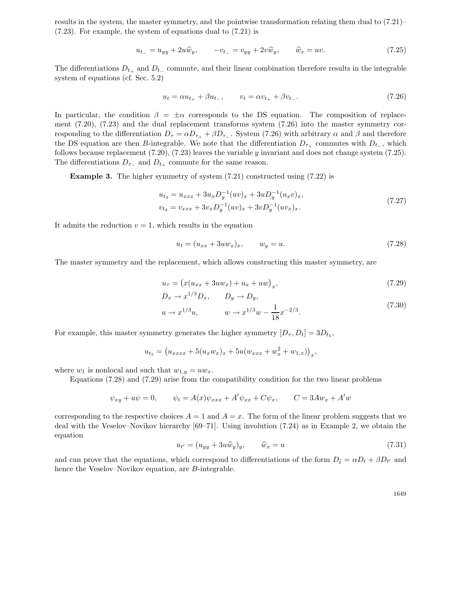results in the system, the master symmetry, and the pointwise transformation relating them dual to (7.21)– (7.23). For example, the system of equations dual to (7.21) is

$$
u_{t-} = u_{yy} + 2u\hat{w}_y, \qquad -v_{t-} = v_{yy} + 2v\hat{w}_y, \qquad \hat{w}_x = uv.
$$
 (7.25)

The differentiations  $D_{t+}$  and  $D_{t-}$  commute, and their linear combination therefore results in the integrable system of equations (cf. Sec. 5.2)

$$
u_t = \alpha u_{t+} + \beta u_{t-}, \qquad v_t = \alpha v_{t+} + \beta v_{t-}.
$$
\n(7.26)

In particular, the condition  $\beta = \pm \alpha$  corresponds to the DS equation. The composition of replacement (7.20), (7.23) and the dual replacement transforms system (7.26) into the master symmetry corresponding to the differentiation  $D_{\tau} = \alpha D_{\tau_+} + \beta D_{\tau_-}$ . System (7.26) with arbitrary  $\alpha$  and  $\beta$  and therefore the DS equation are then B-integrable. We note that the differentiation  $D_{\tau+}$  commutes with  $D_{t-}$ , which follows because replacement (7.20), (7.23) leaves the variable y invariant and does not change system (7.25). The differentiations  $D_{\tau-}$  and  $D_{t+}$  commute for the same reason.

**Example 3.** The higher symmetry of system  $(7.21)$  constructed using  $(7.22)$  is

$$
u_{t_3} = u_{xxx} + 3u_x D_y^{-1}(uv)_x + 3u D_y^{-1}(u_x v)_x,
$$
  
\n
$$
v_{t_3} = v_{xxx} + 3v_x D_y^{-1}(uv)_x + 3v D_y^{-1}(uv_x)_x.
$$
\n(7.27)

It admits the reduction  $v = 1$ , which results in the equation

$$
u_t = (u_{xx} + 3uw_x)_x, \qquad w_y = u. \tag{7.28}
$$

The master symmetry and the replacement, which allows constructing this master symmetry, are

$$
u_{\tau} = (x(u_{xx} + 3uw_x) + u_x + uw)_x,
$$
\n
$$
u_{\tau} = (x(u_{xx} + 3uw_x) + u_x + uw)_x,
$$
\n
$$
u_{\tau} = (x(u_{xx} + 3uw_x) + u_x + uw)_x,
$$
\n
$$
u_{\tau} = (x(u_{xx} + 3uw_x) + u_x + uw)_x,
$$
\n
$$
u_{\tau} = (x(u_{xx} + 3uw_x) + u_x + uw)_x,
$$
\n
$$
u_{\tau} = (x(u_{xx} + 3uw_x) + u_x + uw)_x.
$$
\n
$$
u_{\tau} = (x(u_{xx} + 3uw_x) + u_x + uw)_x.
$$
\n
$$
u_{\tau} = (x(u_{xx} + 3uw_x) + u_x + uw)_x.
$$
\n
$$
u_{\tau} = (x(u_{xx} + 3uw_x) + u_x + uw)_x.
$$

$$
D_x \to x^2 D_x, \qquad D_y \to D_y,
$$
  

$$
u \to x^{1/3}u, \qquad w \to x^{1/3}w - \frac{1}{18}x^{-2/3}.
$$
 (7.30)

For example, this master symmetry generates the higher symmetry  $[D_{\tau}, D_t]=3D_{t_5}$ ,

$$
u_{t_5} = (u_{xxxx} + 5(u_x w_x)_x + 5u(w_{xxx} + w_x^2 + w_{1,x}))_x,
$$

where  $w_1$  is nonlocal and such that  $w_{1,y} = uw_x$ .

Equations (7.28) and (7.29) arise from the compatibility condition for the two linear problems

$$
\psi_{xy} + u\psi = 0, \qquad \psi_t = A(x)\psi_{xxx} + A'\psi_{xx} + C\psi_x, \qquad C = 3Aw_x + A'w
$$

corresponding to the respective choices  $A = 1$  and  $A = x$ . The form of the linear problem suggests that we deal with the Veselov–Novikov hierarchy [69–71]. Using involution (7.24) as in Example 2, we obtain the equation

$$
u_{t'} = (u_{yy} + 3u\widehat{w}_y)_y, \qquad \widehat{w}_x = u \tag{7.31}
$$

and can prove that the equations, which correspond to differentiations of the form  $D_{\hat{t}} = \alpha D_t + \beta D_{t'}$  and hence the Veselov–Novikov equation, are B-integrable.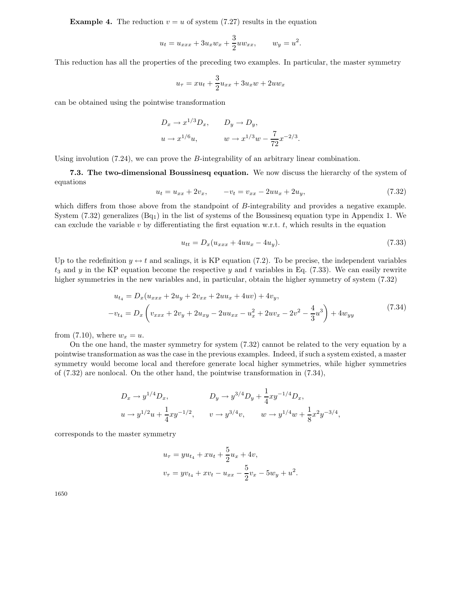**Example 4.** The reduction  $v = u$  of system (7.27) results in the equation

$$
u_t = u_{xxx} + 3u_x w_x + \frac{3}{2} u w_{xx},
$$
  $w_y = u^2.$ 

This reduction has all the properties of the preceding two examples. In particular, the master symmetry

$$
u_{\tau} = xu_t + \frac{3}{2}u_{xx} + 3u_x w + 2uw_x
$$

can be obtained using the pointwise transformation

$$
D_x \to x^{1/3} D_x, \qquad D_y \to D_y,
$$
  

$$
u \to x^{1/6} u, \qquad w \to x^{1/3} w - \frac{7}{72} x^{-2/3}.
$$

Using involution (7.24), we can prove the B-integrability of an arbitrary linear combination.

**7.3. The two-dimensional Boussinesq equation.** We now discuss the hierarchy of the system of equations

$$
u_t = u_{xx} + 2v_x, \qquad -v_t = v_{xx} - 2uu_x + 2u_y,\tag{7.32}
$$

which differs from those above from the standpoint of B-integrability and provides a negative example. System  $(7.32)$  generalizes  $(Bq_1)$  in the list of systems of the Boussinesq equation type in Appendix 1. We can exclude the variable  $v$  by differentiating the first equation w.r.t.  $t$ , which results in the equation

$$
u_{tt} = D_x(u_{xxx} + 4uu_x - 4u_y).
$$
 (7.33)

Up to the redefinition  $y \leftrightarrow t$  and scalings, it is KP equation (7.2). To be precise, the independent variables  $t_3$  and y in the KP equation become the respective y and t variables in Eq. (7.33). We can easily rewrite higher symmetries in the new variables and, in particular, obtain the higher symmetry of system  $(7.32)$ 

$$
u_{t_4} = D_x(u_{xxx} + 2u_y + 2v_{xx} + 2uu_x + 4uv) + 4v_y,
$$
  

$$
-v_{t_4} = D_x\left(v_{xxx} + 2v_y + 2u_{xy} - 2uu_{xx} - u_x^2 + 2uv_x - 2v^2 - \frac{4}{3}u^3\right) + 4w_{yy}
$$
(7.34)

from (7.10), where  $w_x = u$ .

On the one hand, the master symmetry for system (7.32) cannot be related to the very equation by a pointwise transformation as was the case in the previous examples. Indeed, if such a system existed, a master symmetry would become local and therefore generate local higher symmetries, while higher symmetries of (7.32) are nonlocal. On the other hand, the pointwise transformation in (7.34),

$$
D_x \to y^{1/4} D_x, \qquad D_y \to y^{3/4} D_y + \frac{1}{4} xy^{-1/4} D_x,
$$
  

$$
u \to y^{1/2} u + \frac{1}{4} xy^{-1/2}, \qquad v \to y^{3/4} v, \qquad w \to y^{1/4} w + \frac{1}{8} x^2 y^{-3/4},
$$

corresponds to the master symmetry

$$
u_{\tau} = yu_{t_4} + xu_t + \frac{5}{2}u_x + 4v,
$$
  

$$
v_{\tau} = yv_{t_4} + xv_t - u_{xx} - \frac{5}{2}v_x - 5w_y + u^2.
$$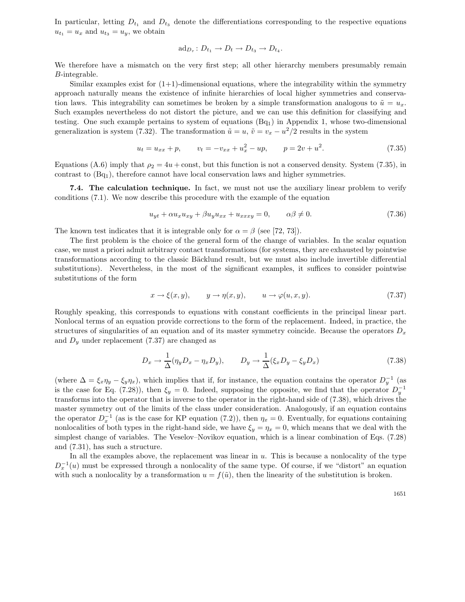In particular, letting  $D_{t_1}$  and  $D_{t_3}$  denote the differentiations corresponding to the respective equations  $u_{t_1} = u_x$  and  $u_{t_3} = u_y$ , we obtain

$$
\mathrm{ad}_{D_{\tau}}\colon D_{t_1}\to D_t\to D_{t_3}\to D_{t_4}.
$$

We therefore have a mismatch on the very first step; all other hierarchy members presumably remain B-integrable.

Similar examples exist for  $(1+1)$ -dimensional equations, where the integrability within the symmetry approach naturally means the existence of infinite hierarchies of local higher symmetries and conservation laws. This integrability can sometimes be broken by a simple transformation analogous to  $\tilde{u} = u_x$ . Such examples nevertheless do not distort the picture, and we can use this definition for classifying and testing. One such example pertains to system of equations  $(Bq_1)$  in Appendix 1, whose two-dimensional generalization is system (7.32). The transformation  $\tilde{u} = u$ ,  $\tilde{v} = v_x - u^2/2$  results in the system

$$
u_t = u_{xx} + p, \qquad v_t = -v_{xx} + u_x^2 - up, \qquad p = 2v + u^2. \tag{7.35}
$$

Equations (A.6) imply that  $\rho_2 = 4u + \text{const}$ , but this function is not a conserved density. System (7.35), in contrast to  $(Bq<sub>1</sub>)$ , therefore cannot have local conservation laws and higher symmetries.

**7.4. The calculation technique.** In fact, we must not use the auxiliary linear problem to verify conditions (7.1). We now describe this procedure with the example of the equation

$$
u_{yt} + \alpha u_x u_{xy} + \beta u_y u_{xx} + u_{xxxy} = 0, \qquad \alpha \beta \neq 0.
$$
 (7.36)

The known test indicates that it is integrable only for  $\alpha = \beta$  (see [72, 73]).

The first problem is the choice of the general form of the change of variables. In the scalar equation case, we must a priori admit arbitrary contact transformations (for systems, they are exhausted by pointwise transformations according to the classic Bäcklund result, but we must also include invertible differential substitutions). Nevertheless, in the most of the significant examples, it suffices to consider pointwise substitutions of the form

$$
x \to \xi(x, y), \qquad y \to \eta(x, y), \qquad u \to \varphi(u, x, y). \tag{7.37}
$$

Roughly speaking, this corresponds to equations with constant coefficients in the principal linear part. Nonlocal terms of an equation provide corrections to the form of the replacement. Indeed, in practice, the structures of singularities of an equation and of its master symmetry coincide. Because the operators  $D_x$ and  $D_y$  under replacement (7.37) are changed as

$$
D_x \to \frac{1}{\Delta} (\eta_y D_x - \eta_x D_y), \qquad D_y \to \frac{1}{\Delta} (\xi_x D_y - \xi_y D_x)
$$
\n(7.38)

(where  $\Delta = \xi_x \eta_y - \xi_y \eta_x$ ), which implies that if, for instance, the equation contains the operator  $D_y^{-1}$  (as is the case for Eq. (7.28)), then  $\xi_y = 0$ . Indeed, supposing the opposite, we find that the operator  $D_n^{-1}$ transforms into the operator that is inverse to the operator in the right-hand side of (7.38), which drives the master symmetry out of the limits of the class under consideration. Analogously, if an equation contains the operator  $D<sub>x</sub><sup>-1</sup>$  (as is the case for KP equation (7.2)), then  $\eta_x = 0$ . Eventually, for equations containing nonlocalities of both types in the right-hand side, we have  $\xi_y = \eta_x = 0$ , which means that we deal with the simplest change of variables. The Veselov–Novikov equation, which is a linear combination of Eqs. (7.28) and (7.31), has such a structure.

In all the examples above, the replacement was linear in  $u$ . This is because a nonlocality of the type  $D_{x}^{-1}(u)$  must be expressed through a nonlocality of the same type. Of course, if we "distort" an equation with such a nonlocality by a transformation  $u = f(\tilde{u})$ , then the linearity of the substitution is broken.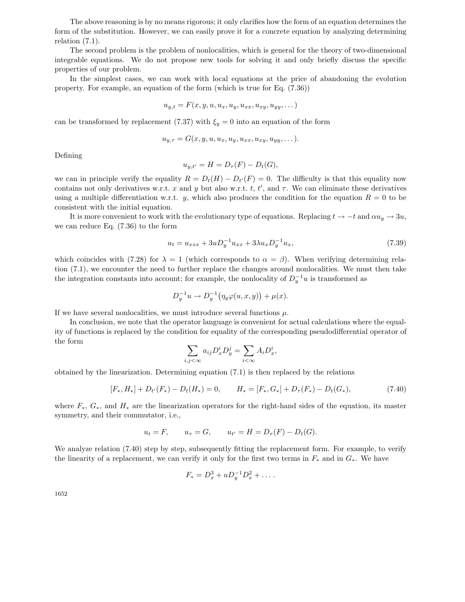The above reasoning is by no means rigorous; it only clarifies how the form of an equation determines the form of the substitution. However, we can easily prove it for a concrete equation by analyzing determining relation (7.1).

The second problem is the problem of nonlocalities, which is general for the theory of two-dimensional integrable equations. We do not propose new tools for solving it and only briefly discuss the specific properties of our problem.

In the simplest cases, we can work with local equations at the price of abandoning the evolution property. For example, an equation of the form (which is true for Eq. (7.36))

$$
u_{y,t} = F(x, y, u, u_x, u_y, u_{xx}, u_{xy}, u_{yy}, \dots)
$$

can be transformed by replacement (7.37) with  $\xi_y = 0$  into an equation of the form

$$
u_{y,\tau} = G(x, y, u, u_x, u_y, u_{xx}, u_{xy}, u_{yy}, \dots).
$$

Defining

$$
u_{y,t'} = H = D_{\tau}(F) - D_t(G),
$$

we can in principle verify the equality  $R = D_t(H) - D_{t'}(F) = 0$ . The difficulty is that this equality now contains not only derivatives w.r.t. x and y but also w.r.t. t, t', and  $\tau$ . We can eliminate these derivatives using a multiple differentiation w.r.t. y, which also produces the condition for the equation  $R = 0$  to be consistent with the initial equation.

It is more convenient to work with the evolutionary type of equations. Replacing  $t \to -t$  and  $\alpha u_y \to 3u$ , we can reduce Eq. (7.36) to the form

$$
u_t = u_{xxx} + 3uD_y^{-1}u_{xx} + 3\lambda u_x D_y^{-1}u_x, \tag{7.39}
$$

which coincides with (7.28) for  $\lambda = 1$  (which corresponds to  $\alpha = \beta$ ). When verifying determining relation (7.1), we encounter the need to further replace the changes around nonlocalities. We must then take the integration constants into account; for example, the nonlocality of  $D_{\nu}^{-1}u$  is transformed as

$$
D_y^{-1}u \to D_y^{-1}(\eta_y \varphi(u, x, y)) + \mu(x).
$$

If we have several nonlocalities, we must introduce several functions  $\mu$ .

In conclusion, we note that the operator language is convenient for actual calculations where the equality of functions is replaced by the condition for equality of the corresponding pseudodifferential operator of the form

$$
\sum_{i,j<\infty} a_{ij} D_x^i D_y^j = \sum_{i<\infty} A_i D_x^i,
$$

obtained by the linearization. Determining equation (7.1) is then replaced by the relations

$$
[F_*, H_*] + D_{t'}(F_*) - D_t(H_*) = 0, \qquad H_* = [F_*, G_*] + D_{\tau}(F_*) - D_t(G_*), \tag{7.40}
$$

where  $F_*, G_*,$  and  $H_*$  are the linearization operators for the right-hand sides of the equation, its master symmetry, and their commutator, i.e.,

$$
u_t = F
$$
,  $u_\tau = G$ ,  $u_{t'} = H = D_\tau(F) - D_t(G)$ .

We analyze relation  $(7.40)$  step by step, subsequently fitting the replacement form. For example, to verify the linearity of a replacement, we can verify it only for the first two terms in  $F_*$  and in  $G_*$ . We have

$$
F_* = D_x^3 + u D_y^{-1} D_x^2 + \dots
$$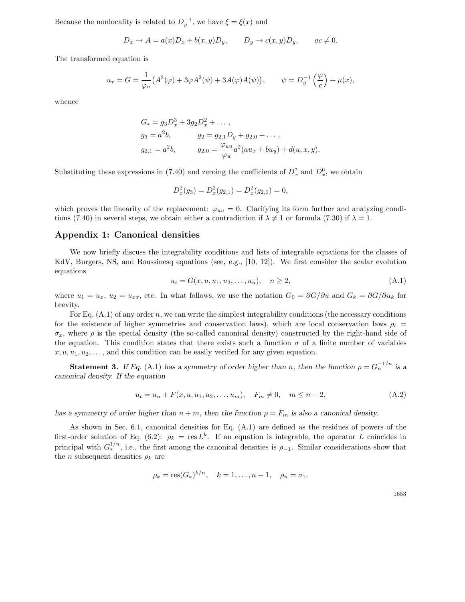Because the nonlocality is related to  $D_y^{-1}$ , we have  $\xi = \xi(x)$  and

$$
D_x \to A = a(x)D_x + b(x,y)D_y, \qquad D_y \to c(x,y)D_y, \qquad ac \neq 0.
$$

The transformed equation is

$$
u_{\tau} = G = \frac{1}{\varphi_u} \left( A^3(\varphi) + 3\varphi A^2(\psi) + 3A(\varphi)A(\psi) \right), \qquad \psi = D_y^{-1} \left( \frac{\varphi}{c} \right) + \mu(x),
$$

whence

$$
G_* = g_3 D_x^3 + 3g_2 D_x^2 + \dots,
$$
  
\n
$$
g_3 = a^2 b, \qquad g_2 = g_{2,1} D_y + g_{2,0} + \dots,
$$
  
\n
$$
g_{2,1} = a^2 b, \qquad g_{2,0} = \frac{\varphi_{uu}}{\varphi_u} a^2 (au_x + bu_y) + d(u, x, y).
$$

Substituting these expressions in (7.40) and zeroing the coefficients of  $D_x^7$  and  $D_x^6$ , we obtain

$$
D_x^2(g_3) = D_x^2(g_{2,1}) = D_x^2(g_{2,0}) = 0,
$$

which proves the linearity of the replacement:  $\varphi_{uu} = 0$ . Clarifying its form further and analyzing conditions (7.40) in several steps, we obtain either a contradiction if  $\lambda \neq 1$  or formula (7.30) if  $\lambda = 1$ .

### Appendix 1: Canonical densities

We now briefly discuss the integrability conditions and lists of integrable equations for the classes of KdV, Burgers, NS, and Boussinesq equations (see, e.g., [10, 12]). We first consider the scalar evolution equations

$$
u_t = G(x, u, u_1, u_2, \dots, u_n), \quad n \ge 2,
$$
\n(A.1)

where  $u_1 = u_x$ ,  $u_2 = u_{xx}$ , etc. In what follows, we use the notation  $G_0 = \frac{\partial G}{\partial u}$  and  $G_k = \frac{\partial G}{\partial u_k}$  for brevity.

For Eq.  $(A.1)$  of any order n, we can write the simplest integrability conditions (the necessary conditions for the existence of higher symmetries and conservation laws), which are local conservation laws  $\rho_t =$  $\sigma_x$ , where  $\rho$  is the special density (the so-called canonical density) constructed by the right-hand side of the equation. This condition states that there exists such a function  $\sigma$  of a finite number of variables  $x, u, u_1, u_2, \ldots$ , and this condition can be easily verified for any given equation.

**Statement 3.** *If Eq.* (A.1) *has a symmetry of order higher than n, then the function*  $\rho = G_n^{-1/n}$  *is a canonical density. If the equation*

$$
u_t = u_n + F(x, u, u_1, u_2, \dots, u_m), \quad F_m \neq 0, \quad m \leq n - 2,
$$
\n(A.2)

*has a symmetry of order higher than*  $n + m$ , then the function  $\rho = F_m$  is also a canonical density.

As shown in Sec. 6.1, canonical densities for Eq. (A.1) are defined as the residues of powers of the first-order solution of Eq. (6.2):  $\rho_k = \text{res } L^k$ . If an equation is integrable, the operator L coincides in principal with  $G_*^{1/n}$ , i.e., the first among the canonical densities is  $\rho_{-1}$ . Similar considerations show that the *n* subsequent densities  $\rho_k$  are

$$
\rho_k = \text{res}(G_*)^{k/n}, \quad k = 1, ..., n-1, \quad \rho_n = \sigma_1,
$$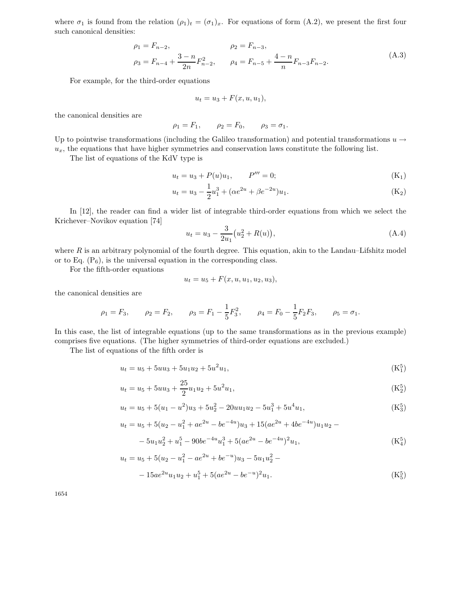where  $\sigma_1$  is found from the relation  $(\rho_1)_t = (\sigma_1)_x$ . For equations of form  $(A.2)$ , we present the first four such canonical densities:

$$
\rho_1 = F_{n-2},
$$
  
\n
$$
\rho_2 = F_{n-3},
$$
  
\n
$$
\rho_3 = F_{n-4} + \frac{3-n}{2n} F_{n-2}^2,
$$
  
\n
$$
\rho_4 = F_{n-5} + \frac{4-n}{n} F_{n-3} F_{n-2}.
$$
  
\n(A.3)

For example, for the third-order equations

$$
u_t = u_3 + F(x, u, u_1),
$$

the canonical densities are

$$
\rho_1 = F_1, \quad \rho_2 = F_0, \quad \rho_3 = \sigma_1.
$$

Up to pointwise transformations (including the Galileo transformation) and potential transformations  $u \rightarrow$  $u_x$ , the equations that have higher symmetries and conservation laws constitute the following list.

The list of equations of the KdV type is

$$
u_t = u_3 + P(u)u_1, \qquad P''' = 0; \tag{K_1}
$$

$$
u_t = u_3 - \frac{1}{2}u_1^3 + (\alpha e^{2u} + \beta e^{-2u})u_1.
$$
 (K<sub>2</sub>)

In [12], the reader can find a wider list of integrable third-order equations from which we select the Krichever–Novikov equation [74]

$$
u_t = u_3 - \frac{3}{2u_1} \left( u_2^2 + R(u) \right), \tag{A.4}
$$

where  $R$  is an arbitrary polynomial of the fourth degree. This equation, akin to the Landau–Lifshitz model or to Eq.  $(P_6)$ , is the universal equation in the corresponding class.

For the fifth-order equations

$$
u_t = u_5 + F(x, u, u_1, u_2, u_3),
$$

the canonical densities are

$$
\rho_1 = F_3
$$
,  $\rho_2 = F_2$ ,  $\rho_3 = F_1 - \frac{1}{5}F_3^2$ ,  $\rho_4 = F_0 - \frac{1}{5}F_2F_3$ ,  $\rho_5 = \sigma_1$ .

In this case, the list of integrable equations (up to the same transformations as in the previous example) comprises five equations. (The higher symmetries of third-order equations are excluded.)

The list of equations of the fifth order is

$$
u_t = u_5 + 5uu_3 + 5u_1u_2 + 5u^2u_1, \tag{K_1^5}
$$

$$
u_t = u_5 + 5uu_3 + \frac{25}{2}u_1u_2 + 5u^2u_1,
$$
\n(K<sub>2</sub><sup>5</sup>)

$$
u_t = u_5 + 5(u_1 - u^2)u_3 + 5u_2^2 - 20uu_1u_2 - 5u_1^3 + 5u^4u_1,
$$
 (K<sub>3</sub><sup>5</sup>)

$$
u_t = u_5 + 5(u_2 - u_1^2 + ae^{2u} - be^{-4u})u_3 + 15(ae^{2u} + 4be^{-4u})u_1u_2 -
$$
  

$$
-5u_1u_2^2 + u_1^5 - 90be^{-4u}u_1^3 + 5(ae^{2u} - be^{-4u})^2u_1,
$$
 (K<sup>5</sup>)

$$
u_t = u_5 + 5(u_2 - u_1^2 - ae^{2u} + be^{-u})u_3 - 5u_1u_2^2 -
$$
  

$$
- 15ae^{2u}u_1u_2 + u_1^5 + 5(ae^{2u} - be^{-u})^2u_1.
$$
 (K<sup>5</sup><sub>5</sub>)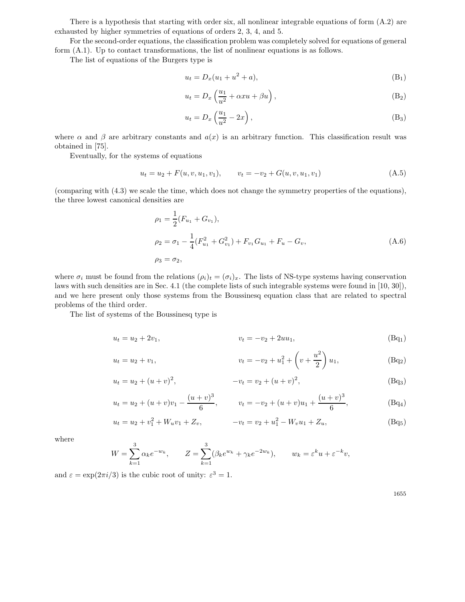There is a hypothesis that starting with order six, all nonlinear integrable equations of form (A.2) are exhausted by higher symmetries of equations of orders 2, 3, 4, and 5.

For the second-order equations, the classification problem was completely solved for equations of general form (A.1). Up to contact transformations, the list of nonlinear equations is as follows.

The list of equations of the Burgers type is

$$
u_t = D_x(u_1 + u^2 + a), \tag{B_1}
$$

$$
u_t = D_x \left(\frac{u_1}{u^2} + \alpha x u + \beta u\right),\tag{B_2}
$$

$$
u_t = D_x \left(\frac{u_1}{u^2} - 2x\right),\tag{B}_3
$$

where  $\alpha$  and  $\beta$  are arbitrary constants and  $a(x)$  is an arbitrary function. This classification result was obtained in [75].

Eventually, for the systems of equations

$$
u_t = u_2 + F(u, v, u_1, v_1), \qquad v_t = -v_2 + G(u, v, u_1, v_1)
$$
\n(A.5)

(comparing with (4.3) we scale the time, which does not change the symmetry properties of the equations), the three lowest canonical densities are

$$
\rho_1 = \frac{1}{2}(F_{u_1} + G_{v_1}),
$$
  
\n
$$
\rho_2 = \sigma_1 - \frac{1}{4}(F_{u_1}^2 + G_{v_1}^2) + F_{v_1}G_{u_1} + F_u - G_v,
$$
  
\n
$$
\rho_3 = \sigma_2,
$$
\n(A.6)

where  $\sigma_i$  must be found from the relations  $(\rho_i)_t = (\sigma_i)_x$ . The lists of NS-type systems having conservation laws with such densities are in Sec. 4.1 (the complete lists of such integrable systems were found in [10, 30]), and we here present only those systems from the Boussinesq equation class that are related to spectral problems of the third order.

The list of systems of the Boussinesq type is

$$
u_t = u_2 + 2v_1, \t\t v_t = -v_2 + 2uu_1, \t\t (Bq_1)
$$

$$
u_t = u_2 + v_1, \qquad v_t = -v_2 + u_1^2 + \left(v + \frac{u^2}{2}\right)u_1, \qquad (Bq_2)
$$

$$
u_t = u_2 + (u+v)^2, \qquad -v_t = v_2 + (u+v)^2, \qquad (Bq_3)
$$

$$
u_t = u_2 + (u+v)v_1 - \frac{(u+v)^3}{6}, \qquad v_t = -v_2 + (u+v)u_1 + \frac{(u+v)^3}{6}, \qquad (Bq_4)
$$

$$
u_t = u_2 + v_1^2 + W_u v_1 + Z_v, \qquad -v_t = v_2 + u_1^2 - W_v u_1 + Z_u, \qquad (Bq_5)
$$

where

$$
W = \sum_{k=1}^{3} \alpha_k e^{-w_k}, \qquad Z = \sum_{k=1}^{3} (\beta_k e^{w_k} + \gamma_k e^{-2w_k}), \qquad w_k = \varepsilon^k u + \varepsilon^{-k} v,
$$

and  $\varepsilon = \exp(2\pi i/3)$  is the cubic root of unity:  $\varepsilon^3 = 1$ .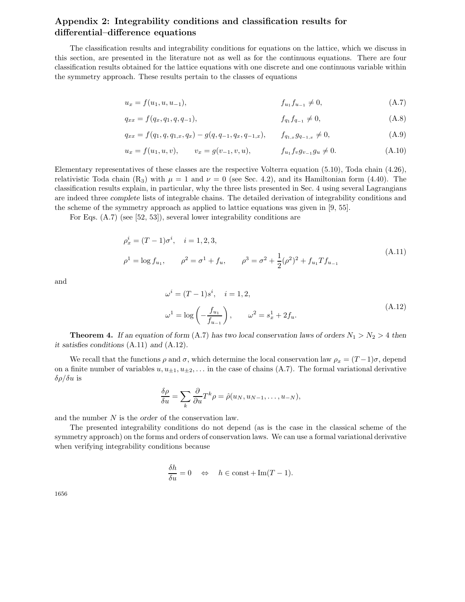# **Appendix 2: Integrability conditions and classification results for differential–difference equations**

The classification results and integrability conditions for equations on the lattice, which we discuss in this section, are presented in the literature not as well as for the continuous equations. There are four classification results obtained for the lattice equations with one discrete and one continuous variable within the symmetry approach. These results pertain to the classes of equations

$$
u_x = f(u_1, u, u_{-1}), \qquad f_{u_1}f_{u_{-1}} \neq 0, \qquad (A.7)
$$

$$
q_{xx} = f(q_x, q_1, q, q_{-1}), \qquad f_{q_1} f_{q_{-1}} \neq 0, \qquad (A.8)
$$

$$
q_{xx} = f(q_1, q, q_{1,x}, q_x) - g(q, q_{-1}, q_x, q_{-1,x}), \qquad f_{q_{1,x}} g_{q_{-1,x}} \neq 0,
$$
\n(A.9)

$$
u_x = f(u_1, u, v), \qquad v_x = g(v_{-1}, v, u), \qquad f_{u_1} f_v g_{v_{-1}} g_u \neq 0.
$$
 (A.10)

Elementary representatives of these classes are the respective Volterra equation (5.10), Toda chain (4.26), relativistic Toda chain (R<sub>3</sub>) with  $\mu = 1$  and  $\nu = 0$  (see Sec. 4.2), and its Hamiltonian form (4.40). The classification results explain, in particular, why the three lists presented in Sec. 4 using several Lagrangians are indeed three *complete* lists of integrable chains. The detailed derivation of integrability conditions and the scheme of the symmetry approach as applied to lattice equations was given in [9, 55].

For Eqs. (A.7) (see [52, 53]), several lower integrability conditions are

$$
\rho_x^i = (T - 1)\sigma^i, \quad i = 1, 2, 3,
$$
  
\n
$$
\rho^1 = \log f_{u_1}, \qquad \rho^2 = \sigma^1 + f_u, \qquad \rho^3 = \sigma^2 + \frac{1}{2}(\rho^2)^2 + f_{u_1}Tf_{u_{-1}} \tag{A.11}
$$

and

$$
\omega^{i} = (T - 1)s^{i}, \quad i = 1, 2,
$$
  

$$
\omega^{1} = \log\left(-\frac{f_{u_1}}{f_{u_{-1}}}\right), \qquad \omega^{2} = s_{x}^{1} + 2f_{u}.
$$
 (A.12)

**Theorem 4.** *If an equation of form* (A.7) *has two local conservation laws of orders*  $N_1 > N_2 > 4$  *then it satisfies conditions* (A.11) *and* (A.12)*.*

We recall that the functions  $\rho$  and  $\sigma$ , which determine the local conservation law  $\rho_x = (T-1)\sigma$ , depend on a finite number of variables  $u, u_{\pm 1}, u_{\pm 2}, \ldots$  in the case of chains (A.7). The formal variational derivative  $\delta \rho / \delta u$  is

$$
\frac{\delta \rho}{\delta u} = \sum_{k} \frac{\partial}{\partial u} T^{k} \rho = \hat{\rho}(u_N, u_{N-1}, \dots, u_{-N}),
$$

and the number N is the *order* of the conservation law.

The presented integrability conditions do not depend (as is the case in the classical scheme of the symmetry approach) on the forms and orders of conservation laws. We can use a formal variational derivative when verifying integrability conditions because

$$
\frac{\delta h}{\delta u} = 0 \quad \Leftrightarrow \quad h \in \text{const} + \text{Im}(T - 1).
$$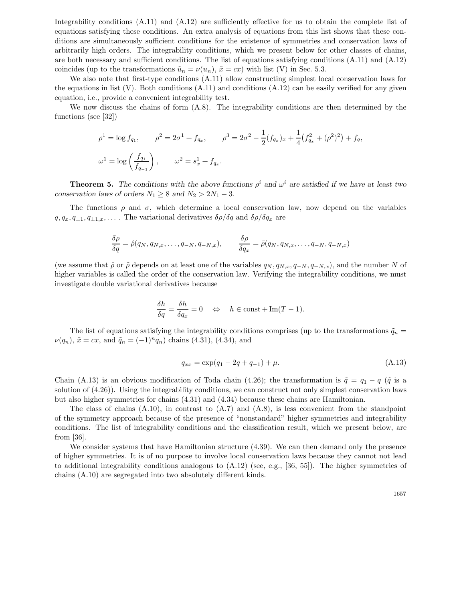Integrability conditions (A.11) and (A.12) are sufficiently effective for us to obtain the complete list of equations satisfying these conditions. An extra analysis of equations from this list shows that these conditions are simultaneously sufficient conditions for the existence of symmetries and conservation laws of arbitrarily high orders. The integrability conditions, which we present below for other classes of chains, are both necessary and sufficient conditions. The list of equations satisfying conditions (A.11) and (A.12) coincides (up to the transformations  $\tilde{u}_n = \nu(u_n)$ ,  $\tilde{x} = cx$ ) with list (V) in Sec. 5.3.

We also note that first-type conditions (A.11) allow constructing simplest local conservation laws for the equations in list  $(V)$ . Both conditions  $(A.11)$  and conditions  $(A.12)$  can be easily verified for any given equation, i.e., provide a convenient integrability test.

We now discuss the chains of form (A.8). The integrability conditions are then determined by the functions (see [32])

$$
\rho^1 = \log f_{q_1}, \qquad \rho^2 = 2\sigma^1 + f_{q_x}, \qquad \rho^3 = 2\sigma^2 - \frac{1}{2}(f_{q_x})_x + \frac{1}{4}(f_{q_x}^2 + (\rho^2)^2) + f_q,
$$
  

$$
\omega^1 = \log\left(\frac{f_{q_1}}{f_{q_{-1}}}\right), \qquad \omega^2 = s_x^1 + f_{q_x}.
$$

**Theorem 5.** *The conditions with the above functions*  $\rho^i$  and  $\omega^i$  are satisfied if we have at least two *conservation laws of orders*  $N_1 \geq 8$  *and*  $N_2 > 2N_1 - 3$ *.* 

The functions  $\rho$  and  $\sigma$ , which determine a local conservation law, now depend on the variables  $q, q_x, q_{\pm 1}, q_{\pm 1,x}, \ldots$ . The variational derivatives  $\delta \rho / \delta q$  and  $\delta \rho / \delta q_x$  are

$$
\frac{\delta \rho}{\delta q} = \hat{\rho}(q_N, q_{N,x}, \dots, q_{-N}, q_{-N,x}), \qquad \frac{\delta \rho}{\delta q_x} = \tilde{\rho}(q_N, q_{N,x}, \dots, q_{-N}, q_{-N,x})
$$

(we assume that  $\hat{\rho}$  or  $\tilde{\rho}$  depends on at least one of the variables  $q_N, q_{N,x}, q_{-N}, q_{-N,x}$ ), and the number N of higher variables is called the order of the conservation law. Verifying the integrability conditions, we must investigate double variational derivatives because

$$
\frac{\delta h}{\delta q} = \frac{\delta h}{\delta q_x} = 0 \quad \Leftrightarrow \quad h \in \text{const} + \text{Im}(T - 1).
$$

The list of equations satisfying the integrability conditions comprises (up to the transformations  $\tilde{q}_n =$  $\nu(q_n)$ ,  $\tilde{x} = cx$ , and  $\tilde{q}_n = (-1)^n q_n$  chains (4.31), (4.34), and

$$
q_{xx} = \exp(q_1 - 2q + q_{-1}) + \mu. \tag{A.13}
$$

Chain (A.13) is an obvious modification of Toda chain (4.26); the transformation is  $\tilde{q} = q_1 - q$  ( $\tilde{q}$  is a solution of (4.26)). Using the integrability conditions, we can construct not only simplest conservation laws but also higher symmetries for chains (4.31) and (4.34) because these chains are Hamiltonian.

The class of chains  $(A.10)$ , in contrast to  $(A.7)$  and  $(A.8)$ , is less convenient from the standpoint of the symmetry approach because of the presence of "nonstandard" higher symmetries and integrability conditions. The list of integrability conditions and the classification result, which we present below, are from [36].

We consider systems that have Hamiltonian structure (4.39). We can then demand only the presence of higher symmetries. It is of no purpose to involve local conservation laws because they cannot not lead to additional integrability conditions analogous to (A.12) (see, e.g., [36, 55]). The higher symmetries of chains (A.10) are segregated into two absolutely different kinds.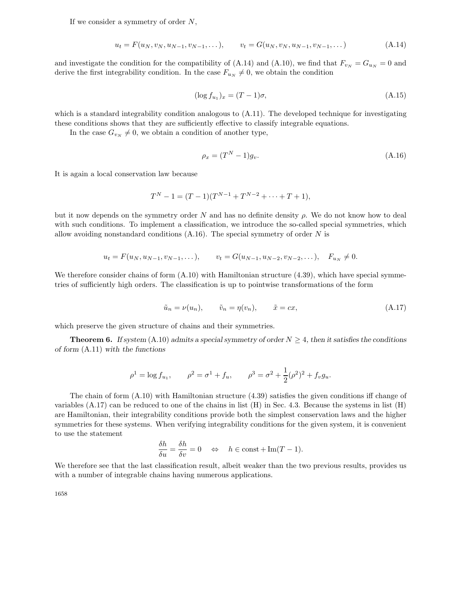If we consider a symmetry of order  $N$ ,

$$
u_t = F(u_N, v_N, u_{N-1}, v_{N-1}, \dots), \qquad v_t = G(u_N, v_N, u_{N-1}, v_{N-1}, \dots) \tag{A.14}
$$

and investigate the condition for the compatibility of (A.14) and (A.10), we find that  $F_{vw} = G_{uw} = 0$  and derive the first integrability condition. In the case  $F_{u_N} \neq 0$ , we obtain the condition

$$
(\log f_{u_1})_x = (T - 1)\sigma,\tag{A.15}
$$

which is a standard integrability condition analogous to  $(A.11)$ . The developed technique for investigating these conditions shows that they are sufficiently effective to classify integrable equations.

In the case  $G_{v_N} \neq 0$ , we obtain a condition of another type,

$$
\rho_x = (T^N - 1)g_v. \tag{A.16}
$$

It is again a local conservation law because

$$
T^{N} - 1 = (T - 1)(T^{N-1} + T^{N-2} + \dots + T + 1),
$$

but it now depends on the symmetry order N and has no definite density  $\rho$ . We do not know how to deal with such conditions. To implement a classification, we introduce the so-called special symmetries, which allow avoiding nonstandard conditions  $(A.16)$ . The special symmetry of order N is

$$
u_t = F(u_N, u_{N-1}, v_{N-1}, \dots), \qquad v_t = G(u_{N-1}, u_{N-2}, v_{N-2}, \dots), \quad F_{u_N} \neq 0.
$$

We therefore consider chains of form  $(A.10)$  with Hamiltonian structure  $(4.39)$ , which have special symmetries of sufficiently high orders. The classification is up to pointwise transformations of the form

$$
\tilde{u}_n = \nu(u_n), \qquad \tilde{v}_n = \eta(v_n), \qquad \tilde{x} = cx,
$$
\n(A.17)

which preserve the given structure of chains and their symmetries.

**Theorem 6.** *If system* (A.10) *admits a special symmetry of order*  $N \geq 4$ , *then it satisfies the conditions of form* (A.11) *with the functions*

$$
\rho^1 = \log f_{u_1},
$$
\n $\rho^2 = \sigma^1 + f_u,$ \n $\rho^3 = \sigma^2 + \frac{1}{2}(\rho^2)^2 + f_v g_u.$ 

The chain of form (A.10) with Hamiltonian structure (4.39) satisfies the given conditions iff change of variables (A.17) can be reduced to one of the chains in list (H) in Sec. 4.3. Because the systems in list (H) are Hamiltonian, their integrability conditions provide both the simplest conservation laws and the higher symmetries for these systems. When verifying integrability conditions for the given system, it is convenient to use the statement

$$
\frac{\delta h}{\delta u} = \frac{\delta h}{\delta v} = 0 \quad \Leftrightarrow \quad h \in \text{const} + \text{Im}(T - 1).
$$

We therefore see that the last classification result, albeit weaker than the two previous results, provides us with a number of integrable chains having numerous applications.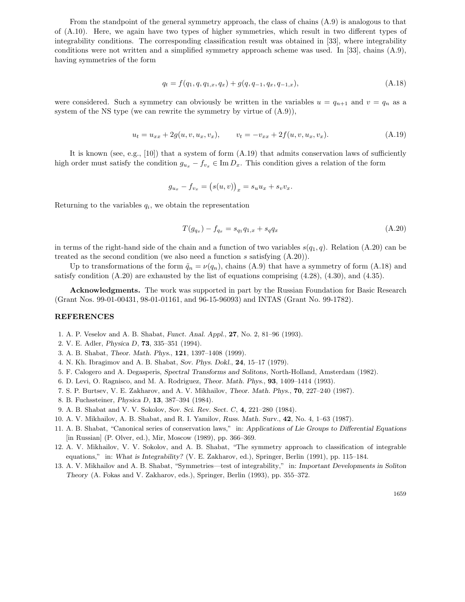From the standpoint of the general symmetry approach, the class of chains (A.9) is analogous to that of (A.10). Here, we again have two types of higher symmetries, which result in two different types of integrability conditions. The corresponding classification result was obtained in [33], where integrability conditions were not written and a simplified symmetry approach scheme was used. In [33], chains (A.9), having symmetries of the form

$$
q_t = f(q_1, q, q_{1,x}, q_x) + g(q, q_{-1}, q_x, q_{-1,x}),
$$
\n(A.18)

were considered. Such a symmetry can obviously be written in the variables  $u = q_{n+1}$  and  $v = q_n$  as a system of the NS type (we can rewrite the symmetry by virtue of (A.9)),

$$
u_t = u_{xx} + 2g(u, v, u_x, v_x), \qquad v_t = -v_{xx} + 2f(u, v, u_x, v_x). \tag{A.19}
$$

It is known (see, e.g., [10]) that a system of form  $(A.19)$  that admits conservation laws of sufficiently high order must satisfy the condition  $g_{u_x} - f_{v_x} \in \text{Im} D_x$ . This condition gives a relation of the form

$$
g_{u_x} - f_{v_x} = (s(u, v))_x = s_u u_x + s_v v_x.
$$

Returning to the variables  $q_i$ , we obtain the representation

$$
T(g_{q_x}) - f_{q_x} = s_{q_1} q_{1,x} + s_q q_x \tag{A.20}
$$

in terms of the right-hand side of the chain and a function of two variables  $s(q_1, q)$ . Relation (A.20) can be treated as the second condition (we also need a function s satisfying  $(A.20)$ ).

Up to transformations of the form  $\tilde{q}_n = \nu(q_n)$ , chains (A.9) that have a symmetry of form (A.18) and satisfy condition  $(A.20)$  are exhausted by the list of equations comprising  $(4.28)$ ,  $(4.30)$ , and  $(4.35)$ .

**Acknowledgments.** The work was supported in part by the Russian Foundation for Basic Research (Grant Nos. 99-01-00431, 98-01-01161, and 96-15-96093) and INTAS (Grant No. 99-1782).

#### **REFERENCES**

- 1. A. P. Veselov and A. B. Shabat, *Funct. Anal. Appl.*, **27**, No. 2, 81–96 (1993).
- 2. V. E. Adler, *Physica D*, **73**, 335–351 (1994).
- 3. A. B. Shabat, *Theor. Math. Phys.*, **121**, 1397–1408 (1999).
- 4. N. Kh. Ibragimov and A. B. Shabat, *Sov. Phys. Dokl.*, **24**, 15–17 (1979).
- 5. F. Calogero and A. Degasperis, *Spectral Transforms and Solitons*, North-Holland, Amsterdam (1982).
- 6. D. Levi, O. Ragnisco, and M. A. Rodriguez, *Theor. Math. Phys.*, **93**, 1409–1414 (1993).
- 7. S. P. Burtsev, V. E. Zakharov, and A. V. Mikhailov, *Theor. Math. Phys.*, **70**, 227–240 (1987).
- 8. B. Fuchssteiner, *Physica D*, **13**, 387–394 (1984).
- 9. A. B. Shabat and V. V. Sokolov, *Sov. Sci. Rev. Sect. C*, **4**, 221–280 (1984).
- 10. A. V. Mikhailov, A. B. Shabat, and R. I. Yamilov, *Russ. Math. Surv.*, **42**, No. 4, 1–63 (1987).
- 11. A. B. Shabat, "Canonical series of conservation laws," in: *Applications of Lie Groups to Differential Equations* [in Russian] (P. Olver, ed.), Mir, Moscow (1989), pp. 366–369.
- 12. A. V. Mikhailov, V. V. Sokolov, and A. B. Shabat, "The symmetry approach to classification of integrable equations," in: *What is Integrability?* (V. E. Zakharov, ed.), Springer, Berlin (1991), pp. 115–184.
- 13. A. V. Mikhailov and A. B. Shabat, "Symmetries—test of integrability," in: *Important Developments in Soliton Theory* (A. Fokas and V. Zakharov, eds.), Springer, Berlin (1993), pp. 355–372.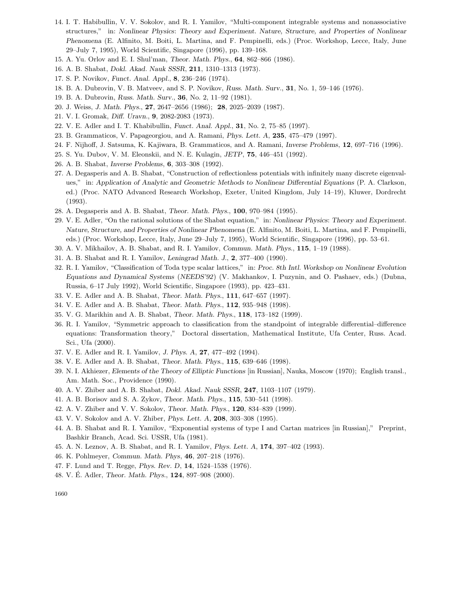- 14. I. T. Habibullin, V. V. Sokolov, and R. I. Yamilov, "Multi-component integrable systems and nonassociative structures," in: *Nonlinear Physics*: *Theory and Experiment. Nature, Structure, and Properties of Nonlinear Phenomena* (E. Alfinito, M. Boiti, L. Martina, and F. Pempinelli, eds.) (Proc. Workshop, Lecce, Italy, June 29–July 7, 1995), World Scientific, Singapore (1996), pp. 139–168.
- 15. A. Yu. Orlov and E. I. Shul'man, *Theor. Math. Phys.*, **64**, 862–866 (1986).
- 16. A. B. Shabat, *Dokl. Akad. Nauk SSSR*, **211**, 1310–1313 (1973).
- 17. S. P. Novikov, *Funct. Anal. Appl.*, **8**, 236–246 (1974).
- 18. B. A. Dubrovin, V. B. Matveev, and S. P. Novikov, *Russ. Math. Surv.*, **31**, No. 1, 59–146 (1976).
- 19. B. A. Dubrovin, *Russ. Math. Surv.*, **36**, No. 2, 11–92 (1981).
- 20. J. Weiss, *J. Math. Phys.*, **27**, 2647–2656 (1986); **28**, 2025–2039 (1987).
- 21. V. I. Gromak, *Diff. Uravn.*, **9**, 2082-2083 (1973).
- 22. V. E. Adler and I. T. Khabibullin, *Funct. Anal. Appl.*, **31**, No. 2, 75–85 (1997).
- 23. B. Grammaticos, V. Papageorgiou, and A. Ramani, *Phys. Lett. A*, **235**, 475–479 (1997).
- 24. F. Nijhoff, J. Satsuma, K. Kajiwara, B. Grammaticos, and A. Ramani, *Inverse Problems*, **12**, 697–716 (1996).
- 25. S. Yu. Dubov, V. M. Eleonskii, and N. E. Kulagin, *JETP*, **75**, 446–451 (1992).
- 26. A. B. Shabat, *Inverse Problems*, **6**, 303–308 (1992).
- 27. A. Degasperis and A. B. Shabat, "Construction of reflectionless potentials with infinitely many discrete eigenvalues," in: *Application of Analytic and Geometric Methods to Nonlinear Differential Equations* (P. A. Clarkson, ed.) (Proc. NATO Advanced Research Workshop, Exeter, United Kingdom, July 14–19), Kluwer, Dordrecht (1993).
- 28. A. Degasperis and A. B. Shabat, *Theor. Math. Phys.*, **100**, 970–984 (1995).
- 29. V. E. Adler, "On the rational solutions of the Shabat equation," in: *Nonlinear Physics*: *Theory and Experiment. Nature, Structure, and Properties of Nonlinear Phenomena* (E. Alfinito, M. Boiti, L. Martina, and F. Pempinelli, eds.) (Proc. Workshop, Lecce, Italy, June 29–July 7, 1995), World Scientific, Singapore (1996), pp. 53–61.
- 30. A. V. Mikhailov, A. B. Shabat, and R. I. Yamilov, *Commun. Math. Phys.*, **115**, 1–19 (1988).
- 31. A. B. Shabat and R. I. Yamilov, *Leningrad Math. J.*, **2**, 377–400 (1990).
- 32. R. I. Yamilov, "Classification of Toda type scalar lattices," in: *Proc. 8th Intl. Workshop on Nonlinear Evolution Equations and Dynamical Systems* (*NEEDS'92*) (V. Makhankov, I. Puzynin, and O. Pashaev, eds.) (Dubna, Russia, 6–17 July 1992), World Scientific, Singapore (1993), pp. 423–431.
- 33. V. E. Adler and A. B. Shabat, *Theor. Math. Phys.*, **111**, 647–657 (1997).
- 34. V. E. Adler and A. B. Shabat, *Theor. Math. Phys.*, **112**, 935–948 (1998).
- 35. V. G. Marikhin and A. B. Shabat, *Theor. Math. Phys.*, **118**, 173–182 (1999).
- 36. R. I. Yamilov, "Symmetric approach to classification from the standpoint of integrable differential–difference equations: Transformation theory," Doctoral dissertation, Mathematical Institute, Ufa Center, Russ. Acad. Sci., Ufa (2000).
- 37. V. E. Adler and R. I. Yamilov, *J. Phys. A*, **27**, 477–492 (1994).
- 38. V. E. Adler and A. B. Shabat, *Theor. Math. Phys.*, **115**, 639–646 (1998).
- 39. N. I. Akhiezer, *Elements of the Theory of Elliptic Functions* [in Russian], Nauka, Moscow (1970); English transl., Am. Math. Soc., Providence (1990).
- 40. A. V. Zhiber and A. B. Shabat, *Dokl. Akad. Nauk SSSR*, **247**, 1103–1107 (1979).
- 41. A. B. Borisov and S. A. Zykov, *Theor. Math. Phys.*, **115**, 530–541 (1998).
- 42. A. V. Zhiber and V. V. Sokolov, *Theor. Math. Phys.*, **120**, 834–839 (1999).
- 43. V. V. Sokolov and A. V. Zhiber, *Phys. Lett. A*, **208**, 303–308 (1995).
- 44. A. B. Shabat and R. I. Yamilov, "Exponential systems of type I and Cartan matrices [in Russian]," Preprint, Bashkir Branch, Acad. Sci. USSR, Ufa (1981).
- 45. A. N. Leznov, A. B. Shabat, and R. I. Yamilov, *Phys. Lett. A*, **174**, 397–402 (1993).
- 46. K. Pohlmeyer, *Commun. Math. Phys*, **46**, 207–218 (1976).
- 47. F. Lund and T. Regge, *Phys. Rev. D*, **14**, 1524–1538 (1976).
- 48. V. E. Adler, ´ *Theor. Math. Phys.*, **124**, 897–908 (2000).